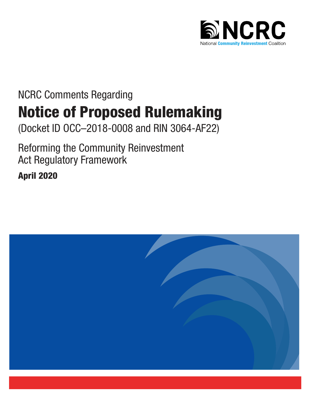

# NCRC Comments Regarding Notice of Proposed Rulemaking

(Docket ID OCC–2018-0008 and RIN 3064-AF22)

Reforming the Community Reinvestment Act Regulatory Framework

April 2020

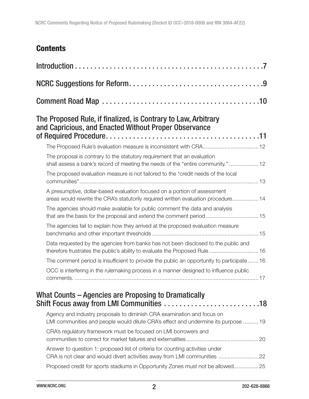# **Contents**

| The Proposed Rule, if finalized, is Contrary to Law, Arbitrary<br>and Capricious, and Enacted Without Proper Observance                                          |
|------------------------------------------------------------------------------------------------------------------------------------------------------------------|
|                                                                                                                                                                  |
| The proposal is contrary to the statutory requirement that an evaluation<br>shall assess a bank's record of meeting the needs of the "entire community."  12     |
| The proposed evaluation measure is not tailored to the "credit needs of the local                                                                                |
| A presumptive, dollar-based evaluation focused on a portion of assessment<br>areas would rewrite the CRA's statutorily required written evaluation procedure 14  |
| The agencies should make available for public comment the data and analysis<br>that are the basis for the proposal and extend the comment period  15             |
| The agencies fail to explain how they arrived at the proposed evaluation measure                                                                                 |
| Data requested by the agencies from banks has not been disclosed to the public and<br>therefore frustrates the public's ability to evaluate the Proposed Rule 16 |
| The comment period is insufficient to provide the public an opportunity to participate16                                                                         |
| OCC is interfering in the rulemaking process in a manner designed to influence public                                                                            |
| What Counts – Agencies are Proposing to Dramatically<br>Shift Focus away from LMI Communities 18                                                                 |
| Agency and industry proposals to diminish CRA examination and focus on<br>LMI communities and people would dilute CRA's effect and undermine its purpose  19     |
| CRA's regulatory framework must be focused on LMI borrowers and                                                                                                  |
| Answer to question 1: proposed list of criteria for counting activities under<br>CRA is not clear and would divert activities away from LMI communities 22       |
| Proposed credit for sports stadiums in Opportunity Zones must not be allowed25                                                                                   |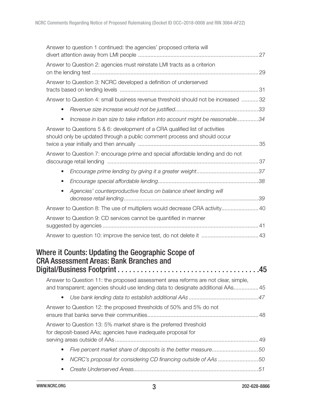| Answer to question 1 continued: the agencies' proposed criteria will                                                                                     |                                                                                                                                                                                                                                                                                                                                                                                                                                                                                                                                                             |
|----------------------------------------------------------------------------------------------------------------------------------------------------------|-------------------------------------------------------------------------------------------------------------------------------------------------------------------------------------------------------------------------------------------------------------------------------------------------------------------------------------------------------------------------------------------------------------------------------------------------------------------------------------------------------------------------------------------------------------|
| Answer to Question 2: agencies must reinstate LMI tracts as a criterion                                                                                  |                                                                                                                                                                                                                                                                                                                                                                                                                                                                                                                                                             |
| Answer to Question 3: NCRC developed a definition of underserved                                                                                         |                                                                                                                                                                                                                                                                                                                                                                                                                                                                                                                                                             |
|                                                                                                                                                          |                                                                                                                                                                                                                                                                                                                                                                                                                                                                                                                                                             |
| $\bullet$                                                                                                                                                |                                                                                                                                                                                                                                                                                                                                                                                                                                                                                                                                                             |
| $\bullet$                                                                                                                                                |                                                                                                                                                                                                                                                                                                                                                                                                                                                                                                                                                             |
| Answer to Questions 5 & 6: development of a CRA qualified list of activities<br>should only be updated through a public comment process and should occur |                                                                                                                                                                                                                                                                                                                                                                                                                                                                                                                                                             |
| Answer to Question 7: encourage prime and special affordable lending and do not                                                                          |                                                                                                                                                                                                                                                                                                                                                                                                                                                                                                                                                             |
|                                                                                                                                                          |                                                                                                                                                                                                                                                                                                                                                                                                                                                                                                                                                             |
| $\bullet$                                                                                                                                                |                                                                                                                                                                                                                                                                                                                                                                                                                                                                                                                                                             |
| $\bullet$                                                                                                                                                |                                                                                                                                                                                                                                                                                                                                                                                                                                                                                                                                                             |
| Agencies' counterproductive focus on balance sheet lending will<br>$\bullet$                                                                             |                                                                                                                                                                                                                                                                                                                                                                                                                                                                                                                                                             |
|                                                                                                                                                          |                                                                                                                                                                                                                                                                                                                                                                                                                                                                                                                                                             |
| Answer to Question 9: CD services cannot be quantified in manner                                                                                         |                                                                                                                                                                                                                                                                                                                                                                                                                                                                                                                                                             |
|                                                                                                                                                          |                                                                                                                                                                                                                                                                                                                                                                                                                                                                                                                                                             |
| Where it Counts: Updating the Geographic Scope of<br><b>CRA Assessment Areas: Bank Branches and</b>                                                      |                                                                                                                                                                                                                                                                                                                                                                                                                                                                                                                                                             |
|                                                                                                                                                          |                                                                                                                                                                                                                                                                                                                                                                                                                                                                                                                                                             |
| $\bullet$                                                                                                                                                |                                                                                                                                                                                                                                                                                                                                                                                                                                                                                                                                                             |
| Answer to Question 12: the proposed thresholds of 50% and 5% do not                                                                                      |                                                                                                                                                                                                                                                                                                                                                                                                                                                                                                                                                             |
| Answer to Question 13: 5% market share is the preferred threshold<br>for deposit-based AAs; agencies have inadequate proposal for                        |                                                                                                                                                                                                                                                                                                                                                                                                                                                                                                                                                             |
| $\bullet$                                                                                                                                                |                                                                                                                                                                                                                                                                                                                                                                                                                                                                                                                                                             |
| $\bullet$                                                                                                                                                |                                                                                                                                                                                                                                                                                                                                                                                                                                                                                                                                                             |
| $\bullet$                                                                                                                                                |                                                                                                                                                                                                                                                                                                                                                                                                                                                                                                                                                             |
|                                                                                                                                                          | Answer to Question 4: small business revenue threshold should not be increased 32<br>Increase in loan size to take inflation into account might be reasonable34<br>Answer to Question 8: The use of multipliers would decrease CRA activity 40<br>Answer to Question 11: the proposed assessment area reforms are not clear, simple,<br>and transparent; agencies should use lending data to designate additional AAs 45<br>Five percent market share of deposits is the better measure50<br>NCRC's proposal for considering CD financing outside of AAs 50 |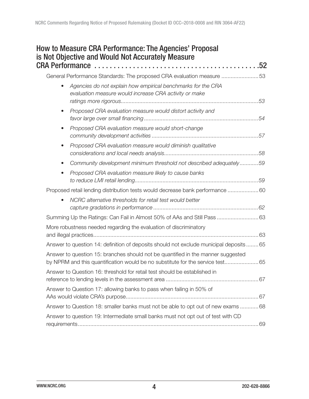|           | is Not Objective and Would Not Accurately Measure                                                                                                                  |
|-----------|--------------------------------------------------------------------------------------------------------------------------------------------------------------------|
|           | General Performance Standards: The proposed CRA evaluation measure 53                                                                                              |
| $\bullet$ | Agencies do not explain how empirical benchmarks for the CRA<br>evaluation measure would increase CRA activity or make                                             |
| $\bullet$ | Proposed CRA evaluation measure would distort activity and                                                                                                         |
| $\bullet$ | Proposed CRA evaluation measure would short-change                                                                                                                 |
| $\bullet$ | Proposed CRA evaluation measure would diminish qualitative                                                                                                         |
|           | Community development minimum threshold not described adequately59                                                                                                 |
| $\bullet$ | Proposed CRA evaluation measure likely to cause banks                                                                                                              |
|           | Proposed retail lending distribution tests would decrease bank performance 60                                                                                      |
| $\bullet$ | NCRC alternative thresholds for retail test would better                                                                                                           |
|           | Summing Up the Ratings: Can Fail in Almost 50% of AAs and Still Pass  63                                                                                           |
|           | More robustness needed regarding the evaluation of discriminatory                                                                                                  |
|           | Answer to question 14: definition of deposits should not exclude municipal deposits  65                                                                            |
|           | Answer to question 15: branches should not be quantified in the manner suggested<br>by NPRM and this quantification would be no substitute for the service test 65 |
|           | Answer to Question 16: threshold for retail test should be established in                                                                                          |
|           | Answer to Question 17: allowing banks to pass when failing in 50% of                                                                                               |
|           | Answer to Question 18: smaller banks must not be able to opt out of new exams 68                                                                                   |
|           | Answer to question 19: Intermediate small banks must not opt out of test with CD                                                                                   |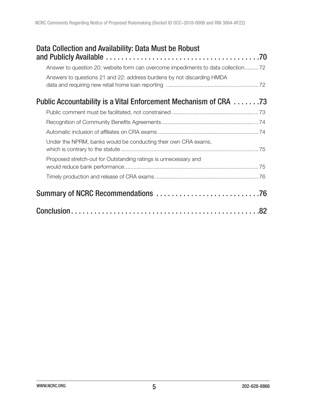| Data Collection and Availability: Data Must be Robust                             |  |
|-----------------------------------------------------------------------------------|--|
| Answer to question 20: website form can overcome impediments to data collection72 |  |
| Answers to questions 21 and 22: address burdens by not discarding HMDA            |  |
| <b>Public Accountability is a Vital Enforcement Mechanism of CRA</b> 73           |  |
|                                                                                   |  |
|                                                                                   |  |
|                                                                                   |  |
| Under the NPRM, banks would be conducting their own CRA exams,                    |  |
| Proposed stretch-out for Outstanding ratings is unnecessary and                   |  |
|                                                                                   |  |
|                                                                                   |  |
|                                                                                   |  |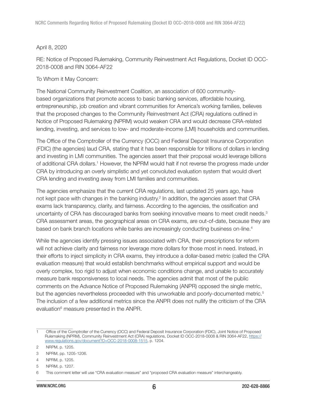#### April 8, 2020

RE: Notice of Proposed Rulemaking, Community Reinvestment Act Regulations, Docket ID OCC-2018-0008 and RIN 3064-AF22

To Whom it May Concern:

The National Community Reinvestment Coalition, an association of 600 communitybased organizations that promote access to basic banking services, affordable housing, entrepreneurship, job creation and vibrant communities for America's working families, believes that the proposed changes to the Community Reinvestment Act (CRA) regulations outlined in Notice of Proposed Rulemaking (NPRM) would weaken CRA and would decrease CRA-related lending, investing, and services to low- and moderate-income (LMI) households and communities.

The Office of the Comptroller of the Currency (OCC) and Federal Deposit Insurance Corporation (FDIC) (the agencies) laud CRA, stating that it has been responsible for trillions of dollars in lending and investing in LMI communities. The agencies assert that their proposal would leverage billions of additional CRA dollars.<sup>1</sup> However, the NPRM would halt if not reverse the progress made under CRA by introducing an overly simplistic and yet convoluted evaluation system that would divert CRA lending and investing away from LMI families and communities.

The agencies emphasize that the current CRA regulations, last updated 25 years ago, have not kept pace with changes in the banking industry.<sup>2</sup> In addition, the agencies assert that CRA exams lack transparency, clarity, and fairness. According to the agencies, the ossification and uncertainty of CRA has discouraged banks from seeking innovative means to meet credit needs.<sup>3</sup> CRA assessment areas, the geographical areas on CRA exams, are out-of-date, because they are based on bank branch locations while banks are increasingly conducting business on-line.<sup>4</sup>

While the agencies identify pressing issues associated with CRA, their prescriptions for reform will not achieve clarity and fairness nor leverage more dollars for those most in need. Instead, in their efforts to inject simplicity in CRA exams, they introduce a dollar-based metric (called the CRA evaluation measure) that would establish benchmarks without empirical support and would be overly complex, too rigid to adjust when economic conditions change, and unable to accurately measure bank responsiveness to local needs. The agencies admit that most of the public comments on the Advance Notice of Proposed Rulemaking (ANPR) opposed the single metric, but the agencies nevertheless proceeded with this unworkable and poorly-documented metric.<sup>5</sup> The inclusion of a few additional metrics since the ANPR does not nullify the criticism of the CRA evaluation<sup>6</sup> measure presented in the ANPR.

<sup>1</sup> Office of the Comptroller of the Currency (OCC) and Federal Deposit Insurance Corporation (FDIC), Joint Notice of Proposed Rulemaking (NPRM), Community Reinvestment Act (CRA) regulations, Docket ID OCC-2018-0008 & RIN 3064-AF22, [https://](https://www.regulations.gov/document?D=OCC-2018-0008-1515) [www.regulations.gov/document?D=OCC-2018-0008-1515](https://www.regulations.gov/document?D=OCC-2018-0008-1515), p. 1204.

<sup>2</sup> NRPM, p. 1205.

<sup>3</sup> NPRM, pp. 1205-1206.

<sup>4</sup> NPRM, p. 1205.

<sup>5</sup> NPRM, p. 1207.

<sup>6</sup> This comment letter will use "CRA evaluation measure" and "proposed CRA evaluation measure" interchangeably.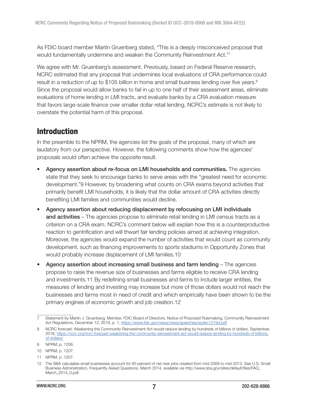<span id="page-6-0"></span>As FDIC board member Martin Gruenberg stated, "This is a deeply misconceived proposal that would fundamentally undermine and weaken the Community Reinvestment Act."<sup>7</sup>

We agree with Mr. Gruenberg's assessment. Previously, based on Federal Reserve research, NCRC estimated that any proposal that undermines local evaluations of CRA performance could result in a reduction of up to \$105 billion in home and small business lending over five years.<sup>8</sup> Since the proposal would allow banks to fail in up to one half of their assessment areas, eliminate evaluations of home lending in LMI tracts, and evaluate banks by a CRA evaluation measure that favors large-scale finance over smaller dollar retail lending, NCRC's estimate is not likely to overstate the potential harm of this proposal.

# Introduction

In the preamble to the NPRM, the agencies list the goals of the proposal, many of which are laudatory from our perspective. However, the following comments show how the agencies' proposals would often achieve the opposite result.

- Agency assertion about re-focus on LMI households and communities. The agencies state that they seek to encourage banks to serve areas with the "greatest need for economic development."9 However, by broadening what counts on CRA exams beyond activities that primarily benefit LMI households, it is likely that the dollar amount of CRA activities directly benefiting LMI families and communities would decline.
- Agency assertion about reducing displacement by refocusing on LMI individuals and activities – The agencies propose to eliminate retail lending in LMI census tracts as a criterion on a CRA exam. NCRC's comment below will explain how this is a counterproductive reaction to gentrification and will thwart fair lending policies aimed at achieving integration. Moreover, the agencies would expand the number of activities that would count as community development, such as financing improvements to sports stadiums in Opportunity Zones that would probably increase displacement of LMI families.10
- Agency assertion about increasing small business and farm lending  $-$  The agencies propose to raise the revenue size of businesses and farms eligible to receive CRA lending and investments.11 By redefining small businesses and farms to include larger entities, the measures of lending and investing may increase but more of those dollars would not reach the businesses and farms most in need of credit and which empirically have been shown to be the primary engines of economic growth and job creation.12

<sup>7</sup> Statement by Martin J. Gruenberg, Member, FDIC Board of Directors, Notice of Proposed Rulemaking, Community Reinvestment Act Regulations, December 12, 2019, p. 1,<https://www.fdic.gov/news/news/speeches/spdec1219d.pdf>

<sup>8</sup> NCRC forecast: Weakening the Community Reinvestment Act would reduce lending by hundreds of billions of dollars, September, 2018, [https://ncrc.org/ncrc-forecast-weakening-the-community-reinvestment-act-would-reduce-lending-by-hundreds-of-billions](https://ncrc.org/ncrc-forecast-weakening-the-community-reinvestment-act-would-reduce-lending-by-hundreds-of-billions-of-dollars/)[of-dollars/](https://ncrc.org/ncrc-forecast-weakening-the-community-reinvestment-act-would-reduce-lending-by-hundreds-of-billions-of-dollars/)

<sup>9</sup> NPRM, p. 1206.

<sup>10</sup> NPRM, p. 1207.

<sup>11</sup> NPRM, p. 1207.

<sup>12</sup> The SBA calculates small businesses account for 60 percent of net new jobs created from mid-2009 to mid-2012. See U.S. Small Business Administration, Frequently Asked Questions, March 2014, available via http://www.sba.gov/sites/default/files/FAQ\_ March\_2014\_0.pdf.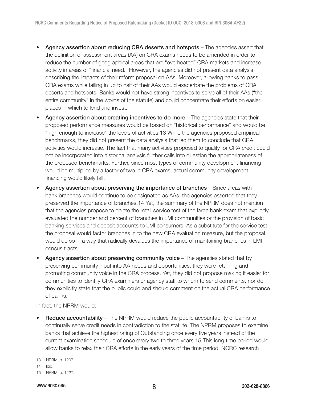- Agency assertion about reducing CRA deserts and hotspots The agencies assert that the definition of assessment areas (AA) on CRA exams needs to be amended in order to reduce the number of geographical areas that are "overheated" CRA markets and increase activity in areas of "financial need." However, the agencies did not present data analysis describing the impacts of their reform proposal on AAs. Moreover, allowing banks to pass CRA exams while failing in up to half of their AAs would exacerbate the problems of CRA deserts and hotspots. Banks would not have strong incentives to serve all of their AAs ("the entire community" in the words of the statute) and could concentrate their efforts on easier places in which to lend and invest.
- Agency assertion about creating incentives to do more The agencies state that their proposed performance measures would be based on "historical performance" and would be "high enough to increase" the levels of activities.13 While the agencies proposed empirical benchmarks, they did not present the data analysis that led them to conclude that CRA activities would increase. The fact that many activities proposed to qualify for CRA credit could not be incorporated into historical analysis further calls into question the appropriateness of the proposed benchmarks. Further, since most types of community development financing would be multiplied by a factor of two in CRA exams, actual community development financing would likely fall.
- Agency assertion about preserving the importance of branches Since areas with bank branches would continue to be designated as AAs, the agencies asserted that they preserved the importance of branches.14 Yet, the summary of the NPRM does not mention that the agencies propose to delete the retail service test of the large bank exam that explicitly evaluated the number and percent of branches in LMI communities or the provision of basic banking services and deposit accounts to LMI consumers. As a substitute for the service test, the proposal would factor branches in to the new CRA evaluation measure, but the proposal would do so in a way that radically devalues the importance of maintaining branches in LMI census tracts.
- Agency assertion about preserving community voice  $-$  The agencies stated that by preserving community input into AA needs and opportunities, they were retaining and promoting community voice in the CRA process. Yet, they did not propose making it easier for communities to identify CRA examiners or agency staff to whom to send comments, nor do they explicitly state that the public could and should comment on the actual CRA performance of banks.

In fact, the NPRM would:

**Reduce accountability** – The NPRM would reduce the public accountability of banks to continually serve credit needs in contradiction to the statute. The NPRM proposes to examine banks that achieve the highest rating of Outstanding once every five years instead of the current examination schedule of once every two to three years.15 This long time period would allow banks to relax their CRA efforts in the early years of the time period. NCRC research

<sup>13</sup> NPRM, p. 1207.

<sup>14</sup> Ibid.

<sup>15</sup> NPRM, p. 1227.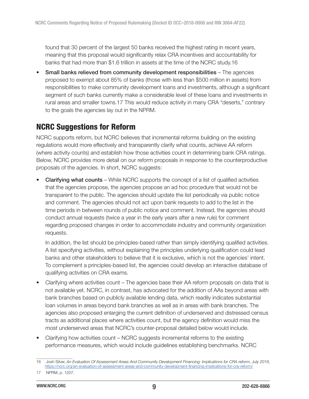<span id="page-8-0"></span>found that 30 percent of the largest 50 banks received the highest rating in recent years, meaning that this proposal would significantly relax CRA incentives and accountability for banks that had more than \$1.6 trillion in assets at the time of the NCRC study.16

• Small banks relieved from community development responsibilities – The agencies proposed to exempt about 85% of banks (those with less than \$500 million in assets) from responsibilities to make community development loans and investments, although a significant segment of such banks currently make a considerable level of these loans and investments in rural areas and smaller towns.17 This would reduce activity in many CRA "deserts," contrary to the goals the agencies lay out in the NPRM.

# NCRC Suggestions for Reform

NCRC supports reform, but NCRC believes that incremental reforms building on the existing regulations would more effectively and transparently clarify what counts, achieve AA reform (where activity counts) and establish how those activities count in determining bank CRA ratings. Below, NCRC provides more detail on our reform proposals in response to the counterproductive proposals of the agencies. In short, NCRC suggests:

Clarifying what counts – While NCRC supports the concept of a list of qualified activities that the agencies propose, the agencies propose an ad hoc procedure that would not be transparent to the public. The agencies should update the list periodically via public notice and comment. The agencies should not act upon bank requests to add to the list in the time periods in between rounds of public notice and comment. Instead, the agencies should conduct annual requests (twice a year in the early years after a new rule) for comment regarding proposed changes in order to accommodate industry and community organization requests.

In addition, the list should be principles-based rather than simply identifying qualified activities. A list specifying activities, without explaining the principles underlying qualification could lead banks and other stakeholders to believe that it is exclusive, which is not the agencies' intent. To complement a principles-based list, the agencies could develop an interactive database of qualifying activities on CRA exams.

- Clarifying where activities count The agencies base their AA reform proposals on data that is not available yet. NCRC, in contrast, has advocated for the addition of AAs beyond areas with bank branches based on publicly available lending data, which readily indicates substantial loan volumes in areas beyond bank branches as well as in areas with bank branches. The agencies also proposed enlarging the current definition of underserved and distressed census tracts as additional places where activities count, but the agency definition would miss the most underserved areas that NCRC's counter-proposal detailed below would include.
- Clarifying how activities count NCRC suggests incremental reforms to the existing performance measures, which would include guidelines establishing benchmarks. NCRC

<sup>16</sup> Josh Silver, An Evaluation Of Assessment Areas And Community Development Financing: Implications for CRA reform, July 2019, <https://ncrc.org/an-evaluation-of-assessment-areas-and-community-development-financing-implications-for-cra-reform/>

<sup>17</sup> NPRM, p. 1207.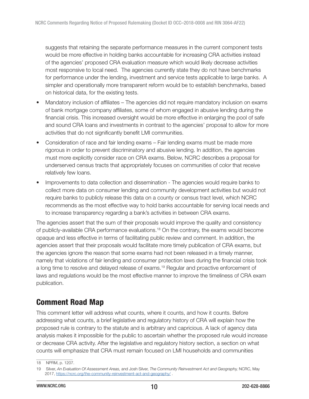<span id="page-9-0"></span>suggests that retaining the separate performance measures in the current component tests would be more effective in holding banks accountable for increasing CRA activities instead of the agencies' proposed CRA evaluation measure which would likely decrease activities most responsive to local need. The agencies currently state they do not have benchmarks for performance under the lending, investment and service tests applicable to large banks. A simpler and operationally more transparent reform would be to establish benchmarks, based on historical data, for the existing tests.

- Mandatory inclusion of affiliates The agencies did not require mandatory inclusion on exams of bank mortgage company affiliates, some of whom engaged in abusive lending during the financial crisis. This increased oversight would be more effective in enlarging the pool of safe and sound CRA loans and investments in contrast to the agencies' proposal to allow for more activities that do not significantly benefit LMI communities.
- Consideration of race and fair lending exams Fair lending exams must be made more rigorous in order to prevent discriminatory and abusive lending. In addition, the agencies must more explicitly consider race on CRA exams. Below, NCRC describes a proposal for underserved census tracts that appropriately focuses on communities of color that receive relatively few loans.
- Improvements to data collection and dissemination The agencies would require banks to collect more data on consumer lending and community development activities but would not require banks to publicly release this data on a county or census tract level, which NCRC recommends as the most effective way to hold banks accountable for serving local needs and to increase transparency regarding a bank's activities in between CRA exams.

The agencies assert that the sum of their proposals would improve the quality and consistency of publicly-available CRA performance evaluations.<sup>18</sup> On the contrary, the exams would become opaque and less effective in terms of facilitating public review and comment. In addition, the agencies assert that their proposals would facilitate more timely publication of CRA exams, but the agencies ignore the reason that some exams had not been released in a timely manner, namely that violations of fair lending and consumer protection laws during the financial crisis took a long time to resolve and delayed release of exams.<sup>19</sup> Regular and proactive enforcement of laws and regulations would be the most effective manner to improve the timeliness of CRA exam publication.

# Comment Road Map

This comment letter will address what counts, where it counts, and how it counts. Before addressing what counts, a brief legislative and regulatory history of CRA will explain how the proposed rule is contrary to the statute and is arbitrary and capricious. A lack of agency data analysis makes it impossible for the public to ascertain whether the proposed rule would increase or decrease CRA activity. After the legislative and regulatory history section, a section on what counts will emphasize that CRA must remain focused on LMI households and communities

<sup>18</sup> NPRM, p. 1207.

<sup>19</sup> Silver, An Evaluation Of Assessment Areas, and Josh Silver, The Community Reinvestment Act and Geography, NCRC, May 2017,<https://ncrc.org/the-community-reinvestment-act-and-geography/> .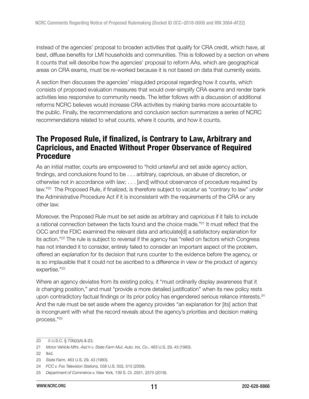<span id="page-10-0"></span>instead of the agencies' proposal to broaden activities that qualify for CRA credit, which have, at best, diffuse benefits for LMI households and communities. This is followed by a section on where it counts that will describe how the agencies' proposal to reform AAs, which are geographical areas on CRA exams, must be re-worked because it is not based on data that currently exists.

A section then discusses the agencies' misguided proposal regarding how it counts, which consists of proposed evaluation measures that would over-simplify CRA exams and render bank activities less responsive to community needs. The letter follows with a discussion of additional reforms NCRC believes would increase CRA activities by making banks more accountable to the public. Finally, the recommendations and conclusion section summarizes a series of NCRC recommendations related to what counts, where it counts, and how it counts.

# The Proposed Rule, if finalized, is Contrary to Law, Arbitrary and Capricious, and Enacted Without Proper Observance of Required **Procedure**

As an initial matter, courts are empowered to "hold unlawful and set aside agency action, findings, and conclusions found to be . . . arbitrary, capricious, an abuse of discretion, or otherwise not in accordance with law; . . . [and] without observance of procedure required by law."<sup>20</sup> The Proposed Rule, if finalized, is therefore subject to vacatur as "contrary to law" under the Administrative Procedure Act if it is inconsistent with the requirements of the CRA or any other law.

Moreover, the Proposed Rule must be set aside as arbitrary and capricious if it fails to include a rational connection between the facts found and the choice made."<sup>21</sup> It must reflect that the OCC and the FDIC examined the relevant data and articulate[d] a satisfactory explanation for its action."<sup>22</sup> The rule is subject to reversal if the agency has "relied on factors which Congress has not intended it to consider, entirely failed to consider an important aspect of the problem, offered an explanation for its decision that runs counter to the evidence before the agency, or is so implausible that it could not be ascribed to a difference in view or the product of agency expertise."<sup>23</sup>

Where an agency deviates from its existing policy, it "must ordinarily display awareness that it is changing position," and must "provide a more detailed justification" when its new policy rests upon contradictory factual findings or its prior policy has engendered serious reliance interests. $^{24}$ And the rule must be set aside where the agency provides "an explanation for [its] action that is incongruent with what the record reveals about the agency's priorities and decision making process."<sup>25</sup>

22 Ibid.

<sup>20 5</sup> U.S.C. § 706(2)(A) & (D).

<sup>21</sup> Motor Vehicle Mfrs. Ass'n v. State Farm Mut. Auto. Ins. Co., 463 U.S. 29, 43 (1983).

<sup>23</sup> State Farm, 463 U.S. 29, 43 (1983).

<sup>24</sup> FCC v. Fox Television Stations, 556 U.S. 502, 515 (2009).

<sup>25</sup> Department of Commerce v. New York, 139 S. Ct. 2551, 2575 (2019).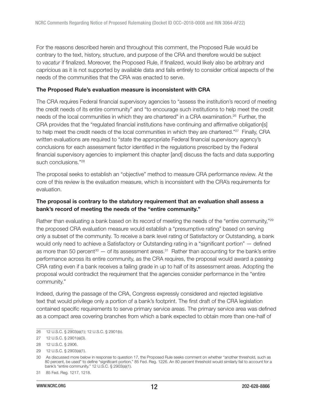<span id="page-11-0"></span>For the reasons described herein and throughout this comment, the Proposed Rule would be contrary to the text, history, structure, and purpose of the CRA and therefore would be subject to vacatur if finalized. Moreover, the Proposed Rule, if finalized, would likely also be arbitrary and capricious as it is not supported by available data and fails entirely to consider critical aspects of the needs of the communities that the CRA was enacted to serve.

#### The Proposed Rule's evaluation measure is inconsistent with CRA

The CRA requires Federal financial supervisory agencies to "assess the institution's record of meeting the credit needs of its entire community" and "to encourage such institutions to help meet the credit needs of the local communities in which they are chartered" in a CRA examination.<sup>26</sup> Further, the CRA provides that the "regulated financial institutions have continuing and affirmative obligation[s] to help meet the credit needs of the local communities in which they are chartered."<sup>27</sup> Finally, CRA written evaluations are required to "state the appropriate Federal financial supervisory agency's conclusions for each assessment factor identified in the regulations prescribed by the Federal financial supervisory agencies to implement this chapter [and] discuss the facts and data supporting such conclusions."<sup>28</sup>

The proposal seeks to establish an "objective" method to measure CRA performance review. At the core of this review is the evaluation measure, which is inconsistent with the CRA's requirements for evaluation.

#### The proposal is contrary to the statutory requirement that an evaluation shall assess a bank's record of meeting the needs of the "entire community."

Rather than evaluating a bank based on its record of meeting the needs of the "entire community,"<sup>29</sup> the proposed CRA evaluation measure would establish a "presumptive rating" based on serving only a subset of the community. To receive a bank level rating of Satisfactory or Outstanding, a bank would only need to achieve a Satisfactory or Outstanding rating in a "significant portion" — defined as more than 50 percent<sup>30</sup> — of its assessment areas.<sup>31</sup> Rather than accounting for the bank's entire performance across its entire community, as the CRA requires, the proposal would award a passing CRA rating even if a bank receives a failing grade in up to half of its assessment areas. Adopting the proposal would contradict the requirement that the agencies consider performance in the "entire community."

Indeed, during the passage of the CRA, Congress expressly considered and rejected legislative text that would privilege only a portion of a bank's footprint. The first draft of the CRA legislation contained specific requirements to serve primary service areas. The primary service area was defined as a compact area covering branches from which a bank expected to obtain more than one-half of

<sup>26 12</sup> U.S.C. § 2903(a)(1); 12 U.S.C. § 2901(b).

<sup>27 12</sup> U.S.C. § 2901(a)(3).

<sup>28 12</sup> U.S.C. § 2906.

<sup>29 12</sup> U.S.C. § 2903(a)(1).

<sup>30</sup> As discussed more below in response to question 17, the Proposed Rule seeks comment on whether "another threshold, such as 80 percent, be used" to define "significant portion." 85 Fed. Reg. 1226. An 80 percent threshold would similarly fail to account for a bank's "entire community." 12 U.S.C. § 2903(a)(1).

<sup>31 85</sup> Fed. Reg. 1217, 1218.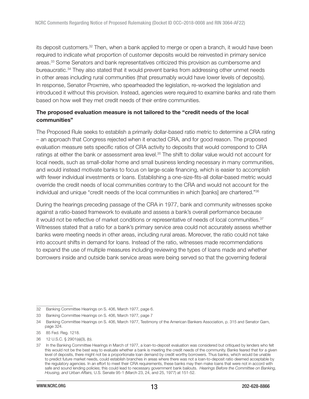<span id="page-12-0"></span>its deposit customers.<sup>32</sup> Then, when a bank applied to merge or open a branch, it would have been required to indicate what proportion of customer deposits would be reinvested in primary service areas.<sup>33</sup> Some Senators and bank representatives criticized this provision as cumbersome and bureaucratic.<sup>34</sup> They also stated that it would prevent banks from addressing other unmet needs in other areas including rural communities (that presumably would have lower levels of deposits). In response, Senator Proxmire, who spearheaded the legislation, re-worked the legislation and introduced it without this provision. Instead, agencies were required to examine banks and rate them based on how well they met credit needs of their entire communities.

#### The proposed evaluation measure is not tailored to the "credit needs of the local communities"

The Proposed Rule seeks to establish a primarily dollar-based ratio metric to determine a CRA rating – an approach that Congress rejected when it enacted CRA, and for good reason. The proposed evaluation measure sets specific ratios of CRA activity to deposits that would correspond to CRA ratings at either the bank or assessment area level.<sup>35</sup> The shift to dollar value would not account for local needs, such as small-dollar home and small business lending necessary in many communities, and would instead motivate banks to focus on large-scale financing, which is easier to accomplish with fewer individual investments or loans. Establishing a one-size-fits-all dollar-based metric would override the credit needs of local communities contrary to the CRA and would not account for the individual and unique "credit needs of the local communities in which [banks] are chartered."<sup>36</sup>

During the hearings preceding passage of the CRA in 1977, bank and community witnesses spoke against a ratio-based framework to evaluate and assess a bank's overall performance because it would not be reflective of market conditions or representative of needs of local communities.<sup>37</sup> Witnesses stated that a ratio for a bank's primary service area could not accurately assess whether banks were meeting needs in other areas, including rural areas. Moreover, the ratio could not take into account shifts in demand for loans. Instead of the ratio, witnesses made recommendations to expand the use of multiple measures including reviewing the types of loans made and whether borrowers inside and outside bank service areas were being served so that the governing federal

36 12 U.S.C. § 2901(a)(3), (b).

<sup>32</sup> Banking Committee Hearings on S. 406, March 1977, page 6.

<sup>33</sup> Banking Committee Hearings on S. 406, March 1977, page 7

<sup>34</sup> Banking Committee Hearings on S. 406, March 1977, Testimony of the American Bankers Association, p. 315 and Senator Garn, page 324.

<sup>35 85</sup> Fed. Reg. 1218.

<sup>37</sup> In the Banking Committee Hearings in March of 1977, a loan-to-deposit evaluation was considered but critiqued by lenders who felt this would not be the best way to evaluate whether a bank is meeting the credit needs of the community. Banks feared that for a given level of deposits, there might not be a proportionate loan demand by credit worthy borrowers. Thus banks, which would be unable to predict future market needs, could establish branches in areas where there was not a loan-to-deposit ratio deemed acceptable by the regulatory agencies. In an effort to meet their CRA requirements, these banks may then make loans that were not in accord with safe and sound lending policies; this could lead to necessary government bank bailouts. Hearings Before the Committee on Banking, Housing, and Urban Affairs, U.S. Senate 95-1 (March 23, 24, and 25, 1977) at 151-52.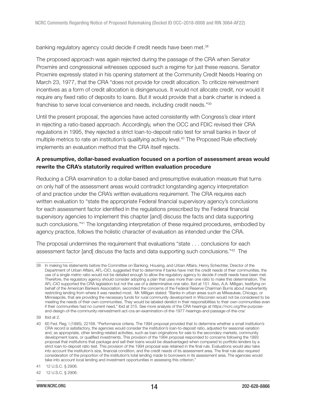<span id="page-13-0"></span>banking regulatory agency could decide if credit needs have been met.<sup>38</sup>

The proposed approach was again rejected during the passage of the CRA when Senator Proxmire and congressional witnesses opposed such a regime for just these reasons. Senator Proxmire expressly stated in his opening statement at the Community Credit Needs Hearing on March 23, 1977, that the CRA "does not provide for credit allocation. To criticize reinvestment incentives as a form of credit allocation is disingenuous. It would not allocate credit, nor would it require any fixed ratio of deposits to loans. But it would provide that a bank charter is indeed a franchise to serve local convenience and needs, including credit needs."<sup>39</sup>

Until the present proposal, the agencies have acted consistently with Congress's clear intent in rejecting a ratio-based approach. Accordingly, when the OCC and FDIC revised their CRA regulations in 1995, they rejected a strict loan-to-deposit ratio test for small banks in favor of multiple metrics to rate an institution's qualifying activity level.<sup>40</sup> The Proposed Rule effectively implements an evaluation method that the CRA itself rejects.

#### A presumptive, dollar-based evaluation focused on a portion of assessment areas would rewrite the CRA's statutorily required written evaluation procedure

Reducing a CRA examination to a dollar-based and presumptive evaluation measure that turns on only half of the assessment areas would contradict longstanding agency interpretation of and practice under the CRA's written evaluations requirement. The CRA requires each written evaluation to "state the appropriate Federal financial supervisory agency's conclusions for each assessment factor identified in the regulations prescribed by the Federal financial supervisory agencies to implement this chapter [and] discuss the facts and data supporting such conclusions."<sup>41</sup> The longstanding interpretation of these required procedures, embodied by agency practice, follows the holistic character of evaluation as intended under the CRA.

The proposal undermines the requirement that evaluations "state . . . conclusions for each assessment factor [and] discuss the facts and data supporting such conclusions."<sup>42</sup> The

<sup>38</sup> In making his statements before the Committee on Banking, Housing, and Urban Affairs, Henry Schechter, Director of the Department of Urban Affairs, AFL-CIO, suggested that to determine if banks have met the credit needs of their communities, the use of a single metric ratio would not be detailed enough to allow the regulatory agency to decide if credit needs have been met. Therefore, the regulatory agency should consider adopting a plan that uses more than one ratio to make this determination. The AFL-CIO supported the CRA legislation but not the use of a determinative one ratio. Ibid at 151. Also, A.A. Milligan, testifying on behalf of the American Bankers Association, seconded the concerns of the Federal Reserve Chairman Burns about inadvertently restricting lending from where it was needed most. Mr. Milligan stated: "Banks in urban areas such as Milwaukee, Chicago, or Minneapolis, that are providing the necessary funds for rural community development in Wisconsin would not be considered to be meeting the needs of their own communities. They would be labeled derelict in their responsibilities to their own communities even if their communities had no current need," Ibid at 315. See more analysis of the CRA hearings at https://ncrc.org/the-purposeand-design-of-the-community-reinvestment-act-cra-an-examination-of-the-1977-hearings-and-passage-of-the-cra/

<sup>39</sup> Ibid at 2.

<sup>40 60</sup> Fed. Reg. I (1995), 22168. "Performance criteria. The 1994 proposal provided that to determine whether a small institution's CRA record is satisfactory, the agencies would consider the institution's loan-to-deposit ratio, adjusted for seasonal variation and, as appropriate, other lending-related activities, such as loan originations for sale to the secondary markets, community development loans, or qualified investments. This provision of the 1994 proposal responded to concerns following the 1993 proposal that institutions that package and sell their loans would be disadvantaged when compared to portfolio lenders by a strict loan-to-deposit ratio test. This provision of the 1994 proposal was retained in the final rule. Evaluations would also take into account the institution's size, financial condition, and the credit needs of its assessment area. The final rule also required consideration of the proportion of the institution's total lending made to borrowers in its assessment area. The agencies would take into account local lending and investment opportunities in assessing this criterion."

<sup>41 12</sup> U.S.C. § 2906.

<sup>42 12</sup> U.S.C. § 2906.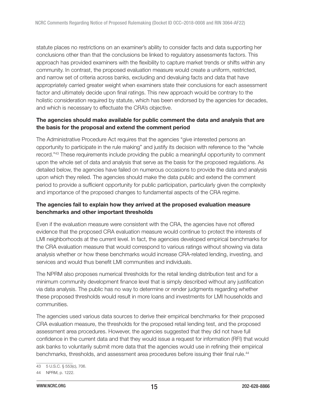<span id="page-14-0"></span>statute places no restrictions on an examiner's ability to consider facts and data supporting her conclusions other than that the conclusions be linked to regulatory assessments factors. This approach has provided examiners with the flexibility to capture market trends or shifts within any community. In contrast, the proposed evaluation measure would create a uniform, restricted, and narrow set of criteria across banks, excluding and devaluing facts and data that have appropriately carried greater weight when examiners state their conclusions for each assessment factor and ultimately decide upon final ratings. This new approach would be contrary to the holistic consideration required by statute, which has been endorsed by the agencies for decades, and which is necessary to effectuate the CRA's objective.

#### The agencies should make available for public comment the data and analysis that are the basis for the proposal and extend the comment period

The Administrative Procedure Act requires that the agencies "give interested persons an opportunity to participate in the rule making" and justify its decision with reference to the "whole record."<sup>43</sup> These requirements include providing the public a meaningful opportunity to comment upon the whole set of data and analysis that serve as the basis for the proposed regulations. As detailed below, the agencies have failed on numerous occasions to provide the data and analysis upon which they relied. The agencies should make the data public and extend the comment period to provide a sufficient opportunity for public participation, particularly given the complexity and importance of the proposed changes to fundamental aspects of the CRA regime.

## The agencies fail to explain how they arrived at the proposed evaluation measure benchmarks and other important thresholds

Even if the evaluation measure were consistent with the CRA, the agencies have not offered evidence that the proposed CRA evaluation measure would continue to protect the interests of LMI neighborhoods at the current level. In fact, the agencies developed empirical benchmarks for the CRA evaluation measure that would correspond to various ratings without showing via data analysis whether or how these benchmarks would increase CRA-related lending, investing, and services and would thus benefit LMI communities and individuals.

The NPRM also proposes numerical thresholds for the retail lending distribution test and for a minimum community development finance level that is simply described without any justification via data analysis. The public has no way to determine or render judgments regarding whether these proposed thresholds would result in more loans and investments for LMI households and communities.

The agencies used various data sources to derive their empirical benchmarks for their proposed CRA evaluation measure, the thresholds for the proposed retail lending test, and the proposed assessment area procedures. However, the agencies suggested that they did not have full confidence in the current data and that they would issue a request for information (RFI) that would ask banks to voluntarily submit more data that the agencies would use in refining their empirical benchmarks, thresholds, and assessment area procedures before issuing their final rule.<sup>44</sup>

<sup>43 5</sup> U.S.C. § 553(c), 706.

<sup>44</sup> NPRM, p. 1222.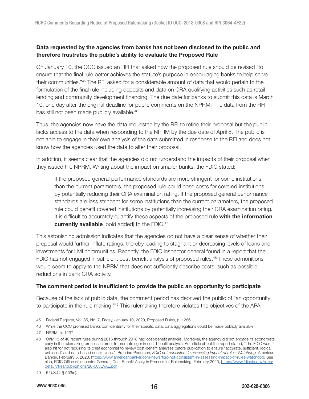#### <span id="page-15-0"></span>Data requested by the agencies from banks has not been disclosed to the public and therefore frustrates the public's ability to evaluate the Proposed Rule

On January 10, the OCC issued an RFI that asked how the proposed rule should be revised "to ensure that the final rule better achieves the statute's purpose in encouraging banks to help serve their communities."<sup>45</sup> The RFI asked for a considerable amount of data that would pertain to the formulation of the final rule including deposits and data on CRA qualifying activities such as retail lending and community development financing. The due date for banks to submit this data is March 10, one day after the original deadline for public comments on the NPRM. The data from the RFI has still not been made publicly available.<sup>46</sup>

Thus, the agencies now have the data requested by the RFI to refine their proposal but the public lacks access to the data when responding to the NPRM by the due date of April 8. The public is not able to engage in their own analysis of the data submitted in response to the RFI and does not know how the agencies used the data to alter their proposal.

In addition, it seems clear that the agencies did not understand the impacts of their proposal when they issued the NPRM. Writing about the impact on smaller banks, the FDIC stated:

If the proposed general performance standards are more stringent for some institutions than the current parameters, the proposed rule could pose costs for covered institutions by potentially reducing their CRA examination rating. If the proposed general performance standards are less stringent for some institutions than the current parameters, the proposed rule could benefit covered institutions by potentially increasing their CRA examination rating. It is difficult to accurately quantify these aspects of the proposed rule with the information currently available [bold added] to the FDIC.<sup>47</sup>

This astonishing admission indicates that the agencies do not have a clear sense of whether their proposal would further inflate ratings, thereby leading to stagnant or decreasing levels of loans and investments for LMI communities. Recently, the FDIC inspector general found in a report that the FDIC has not engaged in sufficient cost-benefit analysis of proposed rules.<sup>48</sup> These admonitions would seem to apply to the NPRM that does not sufficiently describe costs, such as possible reductions in bank CRA activity.

#### The comment period is insufficient to provide the public an opportunity to participate

Because of the lack of public data, the comment period has deprived the public of "an opportunity to participate in the rule making."<sup>49</sup> This rulemaking therefore violates the objectives of the APA

<sup>45</sup> Federal Register, Vol. 85, No. 7, Friday, January 10, 2020, Proposed Rules, p. 1286.

<sup>46</sup> While the OCC promised banks confidentiality for their specific data, data aggregations could be made publicly available.

<sup>47</sup> NPRM, p. 1237.

<sup>48</sup> Only 15 of 40 recent rules during 2016 through 2018 had cost-benefit analysis. Moreover, the agency did not engage its economists early in the rulemaking process in order to promote rigor in cost-benefit analysis. An article about the report stated, "The FDIC was also hit for not requiring its chief economist to review cost-benefit analyses before publication to ensure "accurate, sufficient, logical, unbiased" and data-based conclusions." Brendan Pederson, FDIC not consistent in assessing impact of rules: Watchdog, American Banker, February 5, 2020, [https://www.americanbanker.com/news/fdic-not-consistent-in-assessing-impact-of-rules-watchdog;](https://www.americanbanker.com/news/fdic-not-consistent-in-assessing-impact-of-rules-watchdog) See also, FDIC Office of Inspector General, Cost Benefit Analysis Process for Rulemaking, February 2020, [https://www.fdicoig.gov/sites/](https://www.fdicoig.gov/sites/default/files/publications/20-003EVAL.pdf) [default/files/publications/20-003EVAL.pdf](https://www.fdicoig.gov/sites/default/files/publications/20-003EVAL.pdf)

<sup>49 5</sup> U.S.C. § 553(c).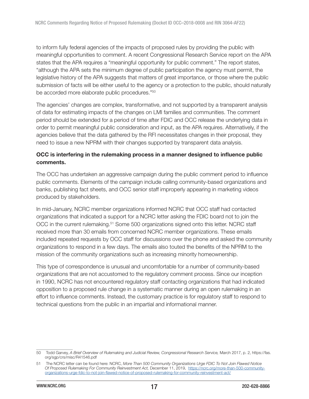<span id="page-16-0"></span>to inform fully federal agencies of the impacts of proposed rules by providing the public with meaningful opportunities to comment. A recent Congressional Research Service report on the APA states that the APA requires a "meaningful opportunity for public comment." The report states, "although the APA sets the minimum degree of public participation the agency must permit, the legislative history of the APA suggests that matters of great importance, or those where the public submission of facts will be either useful to the agency or a protection to the public, should naturally be accorded more elaborate public procedures."<sup>50</sup>

The agencies' changes are complex, transformative, and not supported by a transparent analysis of data for estimating impacts of the changes on LMI families and communities. The comment period should be extended for a period of time after FDIC and OCC release the underlying data in order to permit meaningful public consideration and input, as the APA requires. Alternatively, if the agencies believe that the data gathered by the RFI necessitates changes in their proposal, they need to issue a new NPRM with their changes supported by transparent data analysis.

#### OCC is interfering in the rulemaking process in a manner designed to influence public comments.

The OCC has undertaken an aggressive campaign during the public comment period to influence public comments. Elements of the campaign include calling community-based organizations and banks, publishing fact sheets, and OCC senior staff improperly appearing in marketing videos produced by stakeholders.

In mid-January, NCRC member organizations informed NCRC that OCC staff had contacted organizations that indicated a support for a NCRC letter asking the FDIC board not to join the OCC in the current rulemaking.<sup>51</sup> Some 500 organizations signed onto this letter. NCRC staff received more than 30 emails from concerned NCRC member organizations. These emails included repeated requests by OCC staff for discussions over the phone and asked the community organizations to respond in a few days. The emails also touted the benefits of the NPRM to the mission of the community organizations such as increasing minority homeownership.

This type of correspondence is unusual and uncomfortable for a number of community-based organizations that are not accustomed to the regulatory comment process. Since our inception in 1990, NCRC has not encountered regulatory staff contacting organizations that had indicated opposition to a proposed rule change in a systematic manner during an open rulemaking in an effort to influence comments. Instead, the customary practice is for regulatory staff to respond to technical questions from the public in an impartial and informational manner.

<sup>50</sup> Todd Garvey, A Brief Overview of Rulemaking and Judicial Review, Congressional Research Service, March 2017, p. 2, https://fas. org/sgp/crs/misc/R41546.pdf

<sup>51</sup> The NCRC letter can be found here: NCRC, More Than 500 Community Organizations Urge FDIC To Not Join Flawed Notice Of Proposed Rulemaking For Community Reinvestment Act, December 11, 2019, [https://ncrc.org/more-than-500-community](https://ncrc.org/more-than-500-community-organizations-urge-fdic-to-not-join-flawed-notice-of-proposed-rulemaking-for-community-reinvestment-act/)[organizations-urge-fdic-to-not-join-flawed-notice-of-proposed-rulemaking-for-community-reinvestment-act/](https://ncrc.org/more-than-500-community-organizations-urge-fdic-to-not-join-flawed-notice-of-proposed-rulemaking-for-community-reinvestment-act/)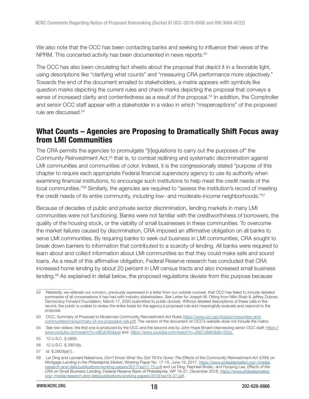<span id="page-17-0"></span>We also note that the OCC has been contacting banks and seeking to influence their views of the NPRM. This concerted activity has been documented in news reports.<sup>52</sup>

The OCC has also been circulating fact sheets about the proposal that depict it in a favorable light, using descriptions like "clarifying what counts" and "measuring CRA performance more objectively." Towards the end of the document emailed to stakeholders, a matrix appears with symbols like question marks depicting the current rules and check marks depicting the proposal that conveys a sense of increased clarity and contentedness as a result of the proposal.<sup>53</sup> In addition, the Comptroller and senior OCC staff appear with a stakeholder in a video in which "misperceptions" of the proposed rule are discussed.<sup>54</sup>

# What Counts – Agencies are Proposing to Dramatically Shift Focus away from LMI Communities

The CRA permits the agencies to promulgate "[r]egulations to carry out the purposes of" the Community Reinvestment Act,<sup>55</sup> that is, to combat redlining and systematic discrimination against LMI communities and communities of color. Indeed, it is the congressionally stated "purpose of this chapter to require each appropriate Federal financial supervisory agency to use its authority when examining financial institutions, to encourage such institutions to help meet the credit needs of the local communities."<sup>56</sup> Similarly, the agencies are required to "assess the institution's record of meeting the credit needs of its entire community, including low- and moderate-income neighborhoods."<sup>57</sup>

Because of decades of public and private sector discrimination, lending markets in many LMI communities were not functioning. Banks were not familiar with the creditworthiness of borrowers, the quality of the housing stock, or the viability of small businesses in these communities. To overcome the market failures caused by discrimination, CRA imposed an affirmative obligation on all banks to serve LMI communities. By requiring banks to seek out business in LMI communities, CRA sought to break down barriers to information that contributed to a scarcity of lending. All banks were required to learn about and collect information about LMI communities so that they could make safe and sound loans. As a result of this affirmative obligation, Federal Reserve research has concluded that CRA increased home lending by about 20 percent in LMI census tracts and also increased small business lending.<sup>58</sup> As explained in detail below, the proposed regulations deviate from this purpose because

<sup>52</sup> Relatedly, we reiterate our concern, previously expressed in a letter from our outside counsel, that OCC has failed to include detailed summaries of all conversations it has had with industry stakeholders. See Letter for Joseph M. Otting from Nitin Shah & Jeffrey Dubner, Democracy Forward Foundation, March 17, 2020 (submitted to public docket). Without detailed descriptions of these calls in the record, the public is unable to review the entire basis for the agency›s proposed rule and meaningfully evaluate and respond to the proposal.

<sup>53</sup> OCC, Summary of Proposal to Modernize Community Reinvestment Act Rules [https://www.occ.gov/topics/consumers-and](https://www.occ.gov/topics/consumers-and-communities/cra/summary-of-cra-proposed-rule.pdf)[communities/cra/summary-of-cra-proposed-rule.pdf](https://www.occ.gov/topics/consumers-and-communities/cra/summary-of-cra-proposed-rule.pdf). The version of the document on OCC's website does not include the matrix.

<sup>54</sup> See two videos: the first one is produced by the OCC and the second one by John Hope Bryant interviewing senior OCC staff: [https://](https://www.youtube.com/watch?v=rdEclUWxbpw) [www.youtube.com/watch?v=rdEclUWxbpw](https://www.youtube.com/watch?v=rdEclUWxbpw) and [https://www.youtube.com/watch?v=JXl57u8sK3k&t=552s.](https://www.youtube.com/watch?v=JXl57u8sK3k&t=552s)

<sup>55 12</sup> U.S.C. § 2905.

<sup>56 12</sup> U.S.C. § 2901(b).

<sup>57</sup> Id. § 2903(a)(1).

<sup>58</sup> Lei Ding and Leonard Nakamura, Don't Know What You Got Till It's Gone: The Effects of the Community Reinvestment Act (CRA) on Mortgage Lending in the Philadelphia Market, Working Paper No. 17-15, June 19, 2017, [https://www.philadelphiafed.org/-/media/](https://www.philadelphiafed.org/-/media/research-and-data/publications/working-papers/2017/wp17-15.pdf) [research-and-data/publications/working-papers/2017/wp17-15.pdf](https://www.philadelphiafed.org/-/media/research-and-data/publications/working-papers/2017/wp17-15.pdf) and Lei Ding, Raphael Bostic, and Hyojung Lee, Effects of the CRA on Small Business Lending, Federal Reserve Bank of Philadelphia, WP 18-27, December 2018, [https://www.philadelphiafed.](https://www.philadelphiafed.org/-/media/research-and-data/publications/working-papers/2018/wp18-27.pdf) [org/-/media/research-and-data/publications/working-papers/2018/wp18-27.pdf](https://www.philadelphiafed.org/-/media/research-and-data/publications/working-papers/2018/wp18-27.pdf).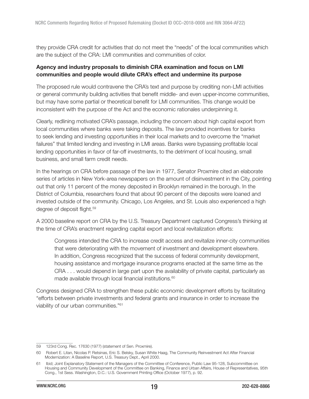<span id="page-18-0"></span>they provide CRA credit for activities that do not meet the "needs" of the local communities which are the subject of the CRA: LMI communities and communities of color.

#### Agency and industry proposals to diminish CRA examination and focus on LMI communities and people would dilute CRA's effect and undermine its purpose

The proposed rule would contravene the CRA's text and purpose by crediting non-LMI activities or general community building activities that benefit middle- and even upper-income communities, but may have some partial or theoretical benefit for LMI communities. This change would be inconsistent with the purpose of the Act and the economic rationales underpinning it.

Clearly, redlining motivated CRA's passage, including the concern about high capital export from local communities where banks were taking deposits. The law provided incentives for banks to seek lending and investing opportunities in their local markets and to overcome the "market failures" that limited lending and investing in LMI areas. Banks were bypassing profitable local lending opportunities in favor of far-off investments, to the detriment of local housing, small business, and small farm credit needs.

In the hearings on CRA before passage of the law in 1977, Senator Proxmire cited an elaborate series of articles in New York-area newspapers on the amount of disinvestment in the City, pointing out that only 11 percent of the money deposited in Brooklyn remained in the borough. In the District of Columbia, researchers found that about 90 percent of the deposits were loaned and invested outside of the community. Chicago, Los Angeles, and St. Louis also experienced a high degree of deposit flight.<sup>59</sup>

A 2000 baseline report on CRA by the U.S. Treasury Department captured Congress's thinking at the time of CRA's enactment regarding capital export and local revitalization efforts:

Congress intended the CRA to increase credit access and revitalize inner-city communities that were deteriorating with the movement of investment and development elsewhere. In addition, Congress recognized that the success of federal community development, housing assistance and mortgage insurance programs enacted at the same time as the CRA . . . would depend in large part upon the availability of private capital, particularly as made available through local financial institutions.<sup>60</sup>

Congress designed CRA to strengthen these public economic development efforts by facilitating "efforts between private investments and federal grants and insurance in order to increase the viability of our urban communities."<sup>61</sup>

<sup>59 123</sup>rd Cong. Rec. 17630 (1977) (statement of Sen. Proxmire).

<sup>60</sup> Robert E. Litan, Nicolas P. Retsinas, Eric S. Belsky, Susan White Haag, The Community Reinvestment Act After Financial Modernization: A Baseline Report, U.S. Treasury Dept., April 2000.

<sup>61</sup> Ibid; Joint Explanatory Statement of the Managers of the Committee of Conference, Public Law 95-128, Subcommittee on Housing and Community Development of the Committee on Banking, Finance and Urban Affairs, House of Representatives, 95th Cong., 1st Sess. Washington, D.C.: U.S. Government Printing Office (October 1977), p. 92.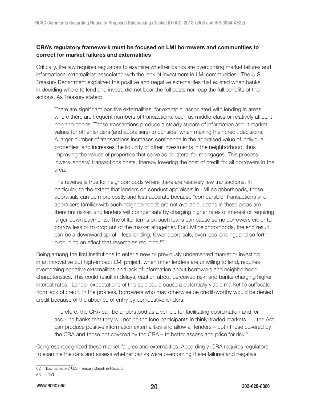## <span id="page-19-0"></span>CRA's regulatory framework must be focused on LMI borrowers and communities to correct for market failures and externalities

Critically, the law requires regulators to examine whether banks are overcoming market failures and informational externalities associated with the lack of investment in LMI communities. The U.S. Treasury Department explained the positive and negative externalities that existed when banks, in deciding where to lend and invest, did not bear the full costs nor reap the full benefits of their actions. As Treasury stated:

There are significant positive externalities, for example, associated with lending in areas where there are frequent numbers of transactions, such as middle-class or relatively affluent neighborhoods. These transactions produce a steady stream of information about market values for other lenders (and appraisers) to consider when making their credit decisions. A larger number of transactions increases confidence in the appraised value of individual properties, and increases the liquidity of other investments in the neighborhood, thus improving the values of properties that serve as collateral for mortgages. This process lowers lenders' transactions costs, thereby lowering the cost of credit for all borrowers in the area.

The reverse is true for neighborhoods where there are relatively few transactions. In particular, to the extent that lenders do conduct appraisals in LMI neighborhoods, these appraisals can be more costly and less accurate because "comparable" transactions and appraisers familiar with such neighborhoods are not available. Loans in these areas are therefore riskier, and lenders will compensate by charging higher rates of interest or requiring larger down payments. The stiffer terms on such loans can cause some borrowers either to borrow less or to drop out of the market altogether. For LMI neighborhoods, the end result can be a downward spiral – less lending, fewer appraisals, even less lending, and so forth – producing an effect that resembles redlining.<sup>62</sup>

Being among the first institutions to enter a new or previously underserved market or investing in an innovative but high-impact LMI project, when other lenders are unwilling to lend, requires overcoming negative externalities and lack of information about borrowers and neighborhood characteristics. This could result in delays, caution about perceived risk, and banks charging higher interest rates. Lender expectations of this sort could cause a potentially viable market to suffocate from lack of credit. In the process, borrowers who may otherwise be credit-worthy would be denied credit because of the absence of entry by competitive lenders.

Therefore, the CRA can be understood as a vehicle for facilitating coordination and for assuring banks that they will not be the lone participants in thinly-traded markets . . . the Act can produce positive information externalities and allow all lenders – both those covered by the CRA and those not covered by the CRA – to better assess and price for risk. $63$ 

Congress recognized these market failures and externalities. Accordingly, CRA requires regulators to examine the data and assess whether banks were overcoming these failures and negative

<sup>62</sup> Ibid. at note 7 U.S Treasury Baseline Report.

<sup>63</sup> Ibid.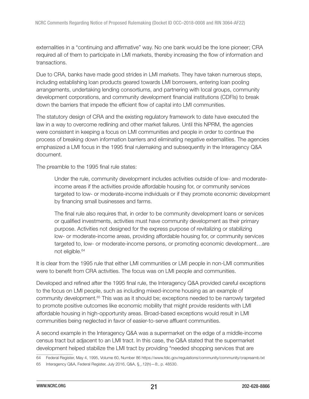externalities in a "continuing and affirmative" way. No one bank would be the lone pioneer; CRA required all of them to participate in LMI markets, thereby increasing the flow of information and transactions.

Due to CRA, banks have made good strides in LMI markets. They have taken numerous steps, including establishing loan products geared towards LMI borrowers, entering loan pooling arrangements, undertaking lending consortiums, and partnering with local groups, community development corporations, and community development financial institutions (CDFIs) to break down the barriers that impede the efficient flow of capital into LMI communities.

The statutory design of CRA and the existing regulatory framework to date have executed the law in a way to overcome redlining and other market failures. Until this NPRM, the agencies were consistent in keeping a focus on LMI communities and people in order to continue the process of breaking down information barriers and eliminating negative externalities. The agencies emphasized a LMI focus in the 1995 final rulemaking and subsequently in the Interagency Q&A document.

The preamble to the 1995 final rule states:

Under the rule, community development includes activities outside of low- and moderateincome areas if the activities provide affordable housing for, or community services targeted to low- or moderate-income individuals or if they promote economic development by financing small businesses and farms.

The final rule also requires that, in order to be community development loans or services or qualified investments, activities must have community development as their primary purpose. Activities not designed for the express purpose of revitalizing or stabilizing low- or moderate-income areas, providing affordable housing for, or community services targeted to, low- or moderate-income persons, or promoting economic development…are not eligible.<sup>64</sup>

It is clear from the 1995 rule that either LMI communities or LMI people in non-LMI communities were to benefit from CRA activities. The focus was on LMI people and communities.

Developed and refined after the 1995 final rule, the Interagency Q&A provided careful exceptions to the focus on LMI people, such as including mixed-income housing as an example of community development.<sup>65</sup> This was as it should be; exceptions needed to be narrowly targeted to promote positive outcomes like economic mobility that might provide residents with LMI affordable housing in high-opportunity areas. Broad-based exceptions would result in LMI communities being neglected in favor of easier-to-serve affluent communities.

A second example in the Interagency Q&A was a supermarket on the edge of a middle-income census tract but adjacent to an LMI tract. In this case, the Q&A stated that the supermarket development helped stabilize the LMI tract by providing "needed shopping services that are

64 Federal Register, May 4, 1995, Volume 60, Number 86 https://www.fdic.gov/regulations/community/community/crapreamb.txt

<sup>65</sup> Interagency Q&A, Federal Register, July 2016, Q&A, §\_.12(h)—8:, p. 48530.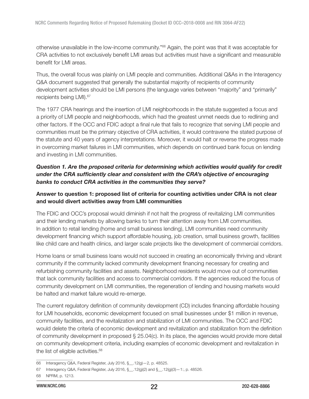<span id="page-21-0"></span>otherwise unavailable in the low-income community."<sup>66</sup> Again, the point was that it was acceptable for CRA activities to not exclusively benefit LMI areas but activities must have a significant and measurable benefit for LMI areas.

Thus, the overall focus was plainly on LMI people and communities. Additional Q&As in the Interagency Q&A document suggested that generally the substantial majority of recipients of community development activities should be LMI persons (the language varies between "majority" and "primarily" recipients being LMI).<sup>67</sup>

The 1977 CRA hearings and the insertion of LMI neighborhoods in the statute suggested a focus and a priority of LMI people and neighborhoods, which had the greatest unmet needs due to redlining and other factors. If the OCC and FDIC adopt a final rule that fails to recognize that serving LMI people and communities must be the primary objective of CRA activities, it would contravene the stated purpose of the statute and 40 years of agency interpretations. Moreover, it would halt or reverse the progress made in overcoming market failures in LMI communities, which depends on continued bank focus on lending and investing in LMI communities.

# Question 1. Are the proposed criteria for determining which activities would qualify for credit under the CRA sufficiently clear and consistent with the CRA's objective of encouraging banks to conduct CRA activities in the communities they serve?

## Answer to question 1: proposed list of criteria for counting activities under CRA is not clear and would divert activities away from LMI communities

The FDIC and OCC's proposal would diminish if not halt the progress of revitalizing LMI communities and their lending markets by allowing banks to turn their attention away from LMI communities. In addition to retail lending (home and small business lending), LMI communities need community development financing which support affordable housing, job creation, small business growth, facilities like child care and health clinics, and larger scale projects like the development of commercial corridors.

Home loans or small business loans would not succeed in creating an economically thriving and vibrant community if the community lacked community development financing necessary for creating and refurbishing community facilities and assets. Neighborhood residents would move out of communities that lack community facilities and access to commercial corridors. If the agencies reduced the focus of community development on LMI communities, the regeneration of lending and housing markets would be halted and market failure would re-emerge.

The current regulatory definition of community development (CD) includes financing affordable housing for LMI households, economic development focused on small businesses under \$1 million in revenue, community facilities, and the revitalization and stabilization of LMI communities. The OCC and FDIC would delete the criteria of economic development and revitalization and stabilization from the definition of community development in proposed § 25.04(c). In its place, the agencies would provide more detail on community development criteria, including examples of economic development and revitalization in the list of eligible activities.<sup>68</sup>

<sup>66</sup> Interagency Q&A, Federal Register, July 2016, §\_\_.12(g)—2, p. 48525.

<sup>67</sup> Interagency Q&A, Federal Register, July 2016, §\_\_.12(g)(2) and §\_\_.12(g)(3)—1:, p. 48526.

<sup>68</sup> NPRM, p. 1213.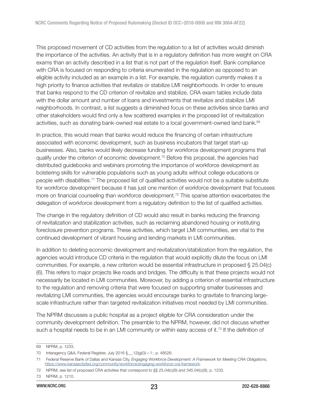This proposed movement of CD activities from the regulation to a list of activities would diminish the importance of the activities. An activity that is in a regulatory definition has more weight on CRA exams than an activity described in a list that is not part of the regulation itself. Bank compliance with CRA is focused on responding to criteria enumerated in the regulation as opposed to an eligible activity included as an example in a list. For example, the regulation currently makes it a high priority to finance activities that revitalize or stabilize LMI neighborhoods. In order to ensure that banks respond to the CD criterion of revitalize and stabilize, CRA exam tables include data with the dollar amount and number of loans and investments that revitalize and stabilize LMI neighborhoods. In contrast, a list suggests a diminished focus on these activities since banks and other stakeholders would find only a few scattered examples in the proposed list of revitalization activities, such as donating bank-owned real estate to a local government-owned land bank.<sup>69</sup>

In practice, this would mean that banks would reduce the financing of certain infrastructure associated with economic development, such as business incubators that target start-up businesses. Also, banks would likely decrease funding for workforce development programs that qualify under the criterion of economic development.<sup>70</sup> Before this proposal, the agencies had distributed guidebooks and webinars promoting the importance of workforce development as bolstering skills for vulnerable populations such as young adults without college educations or people with disabilities.<sup>71</sup> The proposed list of qualified activities would not be a suitable substitute for workforce development because it has just one mention of workforce development that focusses more on financial counseling than workforce development.<sup>72</sup> This sparse attention exacerbates the delegation of workforce development from a regulatory definition to the list of qualified activities.

The change in the regulatory definition of CD would also result in banks reducing the financing of revitalization and stabilization activities, such as reclaiming abandoned housing or instituting foreclosure prevention programs. These activities, which target LMI communities, are vital to the continued development of vibrant housing and lending markets in LMI communities.

In addition to deleting economic development and revitalization/stabilization from the regulation, the agencies would introduce CD criteria in the regulation that would explicitly dilute the focus on LMI communities. For example, a new criterion would be essential infrastructure in proposed § 25.04(c) (6). This refers to major projects like roads and bridges. The difficulty is that these projects would not necessarily be located in LMI communities. Moreover, by adding a criterion of essential infrastructure to the regulation and removing criteria that were focused on supporting smaller businesses and revitalizing LMI communities, the agencies would encourage banks to gravitate to financing largescale infrastructure rather than targeted revitalization initiatives most needed by LMI communities.

The NPRM discusses a public hospital as a project eligible for CRA consideration under the community development definition. The preamble to the NPRM, however, did not discuss whether such a hospital needs to be in an LMI community or within easy access of it.<sup>73</sup> If the definition of

<sup>69</sup> NPRM, p. 1233.

<sup>70</sup> Interagency Q&A, Federal Register, July 2016 §\_\_.12(g)(3)—1:, p. 48526.

<sup>71</sup> Federal Reserve Bank of Dallas and Kansas City, Engaging Workforce Development: A Framework for Meeting CRA Obligations, <https://www.kansascityfed.org/community/workforce/engaging-workforce-cra-framework>.

<sup>72</sup> NPRM, see list of proposed CRA activities that correspond to  $\S$ § 25.04(c)(9) and 345.04(c)(9), p. 1233.

<sup>73</sup> NPRM, p. 1210.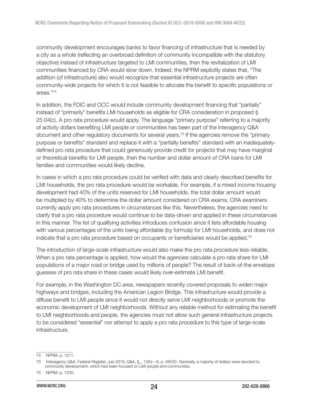community development encourages banks to favor financing of infrastructure that is needed by a city as a whole (reflecting an overbroad definition of community incompatible with the statutory objective) instead of infrastructure targeted to LMI communities, then the revitalization of LMI communities financed by CRA would slow down. Indeed, the NPRM explicitly states that, "The addition (of infrastructure) also would recognize that essential infrastructure projects are often community-wide projects for which it is not feasible to allocate the benefit to specific populations or areas."<sup>74</sup>

In addition, the FDIC and OCC would include community development financing that "partially" instead of "primarily" benefits LMI households as eligible for CRA consideration in proposed § 25.04(c). A pro rata procedure would apply. The language "primary purpose" referring to a majority of activity dollars benefiting LMI people or communities has been part of the Interagency Q&A document and other regulatory documents for several years.<sup>75</sup> If the agencies remove the "primary purpose or benefits" standard and replace it with a "partially benefits" standard with an inadequatelydefined pro rata procedure that could generously provide credit for projects that may have marginal or theoretical benefits for LMI people, then the number and dollar amount of CRA loans for LMI families and communities would likely decline.

In cases in which a pro rata procedure could be verified with data and clearly described benefits for LMI households, the pro rata procedure would be workable. For example, if a mixed income housing development had 40% of the units reserved for LMI households, the total dollar amount would be multiplied by 40% to determine the dollar amount considered on CRA exams. CRA examiners currently apply pro rata procedures in circumstances like this. Nevertheless, the agencies need to clarify that a pro rata procedure would continue to be data-driven and applied in these circumstances in this manner. The list of qualifying activities introduces confusion since it lists affordable housing with various percentages of the units being affordable (by formula) for LMI households, and does not indicate that a pro rata procedure based on occupants or beneficiaries would be applied.<sup>76</sup>

The introduction of large-scale infrastructure would also make the pro rata procedure less reliable. When a pro rata percentage is applied, how would the agencies calculate a pro rata share for LMI populations of a major road or bridge used by millions of people? The result of back-of-the envelope guesses of pro rata share in these cases would likely over-estimate LMI benefit.

For example, in the Washington DC area, newspapers recently covered proposals to widen major highways and bridges, including the American Legion Bridge. This infrastructure would provide a diffuse benefit to LMI people since it would not directly serve LMI neighborhoods or promote the economic development of LMI neighborhoods. Without any reliable method for estimating the benefit to LMI neighborhoods and people, the agencies must not allow such general infrastructure projects to be considered "essential" nor attempt to apply a pro rata procedure to this type of large-scale infrastructure.

<sup>74</sup> NPRM, p. 1211.

<sup>75</sup> Interagency Q&A, Federal Register, July 2016, Q&A, §\_. 12(h)—8, p. 48530. Generally, a majority of dollars were devoted to community development, which had been focused on LMI people and communities.

<sup>76</sup> NPRM, p. 1230.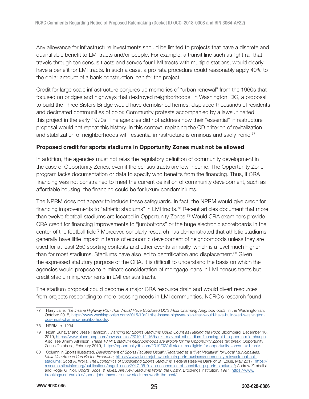<span id="page-24-0"></span>Any allowance for infrastructure investments should be limited to projects that have a discrete and quantifiable benefit to LMI tracts and/or people. For example, a transit line such as light rail that travels through ten census tracts and serves four LMI tracts with multiple stations, would clearly have a benefit for LMI tracts. In such a case, a pro rata procedure could reasonably apply 40% to the dollar amount of a bank construction loan for the project.

Credit for large scale infrastructure conjures up memories of "urban renewal" from the 1960s that focused on bridges and highways that destroyed neighborhoods. In Washington, DC, a proposal to build the Three Sisters Bridge would have demolished homes, displaced thousands of residents and decimated communities of color. Community protests accompanied by a lawsuit halted this project in the early 1970s. The agencies did not address how their "essential" infrastructure proposal would not repeat this history. In this context, replacing the CD criterion of revitalization and stabilization of neighborhoods with essential infrastructure is ominous and sadly ironic.<sup>77</sup>

#### Proposed credit for sports stadiums in Opportunity Zones must not be allowed

In addition, the agencies must not relax the regulatory definition of community development in the case of Opportunity Zones, even if the census tracts are low-income. The Opportunity Zone program lacks documentation or data to specify who benefits from the financing. Thus, if CRA financing was not constrained to meet the current definition of community development, such as affordable housing, the financing could be for luxury condominiums.

The NPRM does not appear to include these safeguards. In fact, the NPRM would give credit for financing improvements to "athletic stadiums" in LMI tracts.<sup>78</sup> Recent articles document that more than twelve football stadiums are located in Opportunity Zones.<sup>79</sup> Would CRA examiners provide CRA credit for financing improvements to "jumbotrons" or the huge electronic scoreboards in the center of the football field? Moreover, scholarly research has demonstrated that athletic stadiums generally have little impact in terms of economic development of neighborhoods unless they are used for at least 250 sporting contests and other events annually, which is a level much higher than for most stadiums. Stadiums have also led to gentrification and displacement.<sup>80</sup> Given the expressed statutory purpose of the CRA, it is difficult to understand the basis on which the agencies would propose to eliminate consideration of mortgage loans in LMI census tracts but credit stadium improvements in LMI census tracts.

The stadium proposal could become a major CRA resource drain and would divert resources from projects responding to more pressing needs in LMI communities. NCRC's research found

<sup>77</sup> Harry Jaffe, The Insane Highway Plan That Would Have Bulldozed DC's Most Charming Neighborhoods, in the Washingtonian. October 2015, [https://www.washingtonian.com/2015/10/21/the-insane-highway-plan-that-would-have-bulldozed-washington](https://www.washingtonian.com/2015/10/21/the-insane-highway-plan-that-would-have-bulldozed-washington-dcs-most-charming-neighborhoods/)[dcs-most-charming-neighborhoods/](https://www.washingtonian.com/2015/10/21/the-insane-highway-plan-that-would-have-bulldozed-washington-dcs-most-charming-neighborhoods/).

<sup>78</sup> NPRM, p. 1234.

<sup>79</sup> Noah Buhayar and Jesse Hamilton, Financing for Sports Stadiums Could Count as Helping the Poor, Bloomberg, December 16, 2019, [https://www.bloomberg.com/news/articles/2019-12-16/banks-may-call-nfl-stadium-financing-aid-to-poor-in-rule-change.](https://www.bloomberg.com/news/articles/2019-12-16/banks-may-call-nfl-stadium-financing-aid-to-poor-in-rule-change) Also, see Jimmy Atkinson, These 18 NFL stadium neighborhoods are eligible for the Opportunity Zones tax break, Opportunity Zones Database, February 2019, [https://opportunitydb.com/2019/02/nfl-stadiums-eligible-for-opportunity-zones-tax-break/.](https://opportunitydb.com/2019/02/nfl-stadiums-eligible-for-opportunity-zones-tax-break/)

<sup>80</sup> Column in Sports Illustrated, Development of Sports Facilities Usually Regarded as a "Net Negative" for Local Municipalities, Multi-Use Arenas Can Be the Exception, [https://www.si.com/johnwallstreet/sports-business/community-reinvestment-act](https://www.si.com/johnwallstreet/sports-business/community-reinvestment-act-stadiums)[stadiums](https://www.si.com/johnwallstreet/sports-business/community-reinvestment-act-stadiums); Scott A. Wolla, The Economics of Subsidizing Sports Stadiums, Federal Reserve Bank of St. Louis, May 2017, [https://](https://research.stlouisfed.org/publications/page1-econ/2017-05-01/the-economics-of-subsidizing-sports-stadiums/) [research.stlouisfed.org/publications/page1-econ/2017-05-01/the-economics-of-subsidizing-sports-stadiums/](https://research.stlouisfed.org/publications/page1-econ/2017-05-01/the-economics-of-subsidizing-sports-stadiums/); Andrew Zimbalist and Roger G. Noll, Sports, Jobs, & Taxes: Are New Stadiums Worth the Cost?, Brookings Institution, 1997, [https://www.](https://www.brookings.edu/articles/sports-jobs-taxes-are-new-stadiums-worth-the-cost/) [brookings.edu/articles/sports-jobs-taxes-are-new-stadiums-worth-the-cost/.](https://www.brookings.edu/articles/sports-jobs-taxes-are-new-stadiums-worth-the-cost/)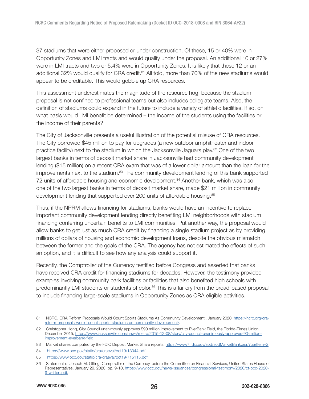37 stadiums that were either proposed or under construction. Of these, 15 or 40% were in Opportunity Zones and LMI tracts and would qualify under the proposal. An additional 10 or 27% were in LMI tracts and two or 5.4% were in Opportunity Zones. It is likely that these 12 or an additional 32% would qualify for CRA credit.<sup>81</sup> All told, more than 70% of the new stadiums would appear to be creditable. This would gobble up CRA resources.

This assessment underestimates the magnitude of the resource hog, because the stadium proposal is not confined to professional teams but also includes collegiate teams. Also, the definition of stadiums could expand in the future to include a variety of athletic facilities. If so, on what basis would LMI benefit be determined – the income of the students using the facilities or the income of their parents?

The City of Jacksonville presents a useful illustration of the potential misuse of CRA resources. The City borrowed \$45 million to pay for upgrades (a new outdoor amphitheater and indoor practice facility) next to the stadium in which the Jacksonville Jaguars play.<sup>82</sup> One of the two largest banks in terms of deposit market share in Jacksonville had community development lending (\$15 million) on a recent CRA exam that was of a lower dollar amount than the loan for the improvements next to the stadium.<sup>83</sup> The community development lending of this bank supported 72 units of affordable housing and economic development.<sup>84</sup> Another bank, which was also one of the two largest banks in terms of deposit market share, made \$21 million in community development lending that supported over 200 units of affordable housing.<sup>85</sup>

Thus, if the NPRM allows financing for stadiums, banks would have an incentive to replace important community development lending directly benefiting LMI neighborhoods with stadium financing conferring uncertain benefits to LMI communities. Put another way, the proposal would allow banks to get just as much CRA credit by financing a single stadium project as by providing millions of dollars of housing and economic development loans, despite the obvious mismatch between the former and the goals of the CRA. The agency has not estimated the effects of such an option, and it is difficult to see how any analysis could support it.

Recently, the Comptroller of the Currency testified before Congress and asserted that banks have received CRA credit for financing stadiums for decades. However, the testimony provided examples involving community park facilities or facilities that also benefited high schools with predominantly LMI students or students of color.<sup>86</sup> This is a far cry from the broad-based proposal to include financing large-scale stadiums in Opportunity Zones as CRA eligible activities.

<sup>81</sup> NCRC, CRA Reform Proposals Would Count Sports Stadiums As Community Development!, January 2020, [https://ncrc.org/cra](https://ncrc.org/cra-reform-proposals-would-count-sports-stadiums-as-community-development/)[reform-proposals-would-count-sports-stadiums-as-community-development/](https://ncrc.org/cra-reform-proposals-would-count-sports-stadiums-as-community-development/).

<sup>82</sup> Christopher Hong, City Council unanimously approves \$90 million improvement to EverBank Field, the Florida-Times Union, December 2015, [https://www.jacksonville.com/news/metro/2015-12-08/story/city-council-unanimously-approves-90-million](https://www.jacksonville.com/news/metro/2015-12-08/story/city-council-unanimously-approves-90-million-improvement-everbank-field)[improvement-everbank-field](https://www.jacksonville.com/news/metro/2015-12-08/story/city-council-unanimously-approves-90-million-improvement-everbank-field).

<sup>83</sup> Market shares computed by the FDIC Deposit Market Share reports,<https://www7.fdic.gov/sod/sodMarketBank.asp?barItem=2>.

<sup>84</sup> <https://www.occ.gov/static/cra/craeval/oct19/13044.pdf>.

<sup>85</sup> <https://www.occ.gov/static/cra/craeval/oct19/715115.pdf>.

<sup>86</sup> Statement of Joseph M. Otting, Comptroller of the Currency, before the Committee on Financial Services, United States House of Representatives, January 29, 2020, pp. 9-10, [https://www.occ.gov/news-issuances/congressional-testimony/2020/ct-occ-2020-](https://www.occ.gov/news-issuances/congressional-testimony/2020/ct-occ-2020-9-written.pdf) [9-written.pdf.](https://www.occ.gov/news-issuances/congressional-testimony/2020/ct-occ-2020-9-written.pdf)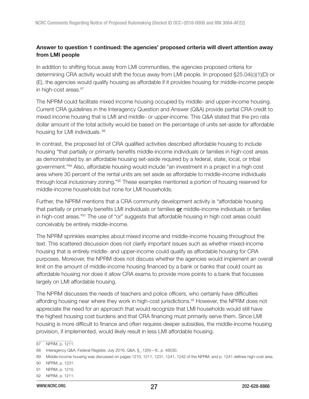## <span id="page-26-0"></span>Answer to question 1 continued: the agencies' proposed criteria will divert attention away from LMI people

In addition to shifting focus away from LMI communities, the agencies proposed criteria for determining CRA activity would shift the focus away from LMI people. In proposed §25.04(c)(1)(D) or (E), the agencies would qualify housing as affordable if it provides housing for middle-income people in high-cost areas.<sup>87</sup>

The NPRM could facilitate mixed income housing occupied by middle- and upper-income housing. Current CRA guidelines in the Interagency Question and Answer (Q&A) provide partial CRA credit to mixed income housing that is LMI and middle- or upper-income. This Q&A stated that the pro rata dollar amount of the total activity would be based on the percentage of units set-aside for affordable housing for LMI individuals. 88

In contrast, the proposed list of CRA qualified activities described affordable housing to include housing "that partially or primarily benefits middle-income individuals or families in high-cost areas as demonstrated by an affordable housing set-aside required by a federal, state, local, or tribal government."<sup>89</sup> Also, affordable housing would include "an investment in a project in a high cost area where 30 percent of the rental units are set aside as affordable to middle-income individuals through local inclusionary zoning."<sup>90</sup> These examples mentioned a portion of housing reserved for middle-income households but none for LMI households.

Further, the NPRM mentions that a CRA community development activity is "affordable housing that partially or primarily benefits LMI individuals or families or middle-income individuals or families in high-cost areas."<sup>91</sup> The use of "or" suggests that affordable housing in high cost areas could conceivably be entirely middle-income.

The NPRM sprinkles examples about mixed income and middle-income housing throughout the text. This scattered discussion does not clarify important issues such as whether mixed-income housing that is entirely middle- and upper-income could qualify as affordable housing for CRA purposes. Moreover, the NPRM does not discuss whether the agencies would implement an overall limit on the amount of middle-income housing financed by a bank or banks that could count as affordable housing nor does it allow CRA exams to provide more points to a bank that focusses largely on LMI affordable housing.

The NPRM discusses the needs of teachers and police officers, who certainly have difficulties affording housing near where they work in high-cost jurisdictions.<sup>92</sup> However, the NPRM does not appreciate the need for an approach that would recognize that LMI households would still have the highest housing cost burdens and that CRA financing must primarily serve them. Since LMI housing is more difficult to finance and often requires deeper subsidies, the middle-income housing provision, if implemented, would likely result in less LMI affordable housing.

<sup>87</sup> NPRM, p. 1211.

<sup>88</sup> Interagency Q&A, Federal Register, July 2016, Q&A, §\_.12(h)—8:, p. 48530.

<sup>89</sup> Middle-income housing was discussed on pages 1210, 1211, 1231, 1241, 1242 of the NPRM, and p. 1241 defines high-cost area.

<sup>90</sup> NPRM, p. 1231.

<sup>91</sup> NPRM, p. 1210.

<sup>92</sup> NPRM, p. 1211.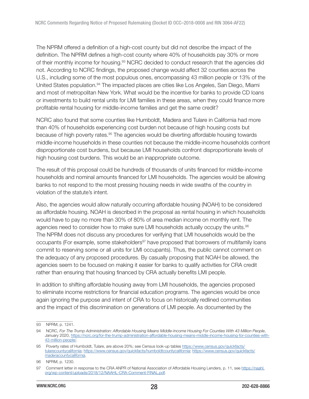The NPRM offered a definition of a high-cost county but did not describe the impact of the definition. The NPRM defines a high-cost county where 40% of households pay 30% or more of their monthly income for housing.<sup>93</sup> NCRC decided to conduct research that the agencies did not. According to NCRC findings, the proposed change would affect 32 counties across the U.S., including some of the most populous ones, encompassing 43 million people or 13% of the United States population.<sup>94</sup> The impacted places are cities like Los Angeles, San Diego, Miami and most of metropolitan New York. What would be the incentive for banks to provide CD loans or investments to build rental units for LMI families in these areas, when they could finance more profitable rental housing for middle-income families and get the same credit?

NCRC also found that some counties like Humboldt, Madera and Tulare in California had more than 40% of households experiencing cost burden not because of high housing costs but because of high poverty rates.<sup>95</sup> The agencies would be diverting affordable housing towards middle-income households in these counties not because the middle-income households confront disproportionate cost burdens, but because LMI households confront disproportionate levels of high housing cost burdens. This would be an inappropriate outcome.

The result of this proposal could be hundreds of thousands of units financed for middle-income households and nominal amounts financed for LMI households. The agencies would be allowing banks to not respond to the most pressing housing needs in wide swaths of the country in violation of the statute's intent.

Also, the agencies would allow naturally occurring affordable housing (NOAH) to be considered as affordable housing. NOAH is described in the proposal as rental housing in which households would have to pay no more than 30% of 80% of area median income on monthly rent. The agencies need to consider how to make sure LMI households actually occupy the units.<sup>96</sup> The NPRM does not discuss any procedures for verifying that LMI households would be the occupants (For example, some stakeholders<sup>97</sup> have proposed that borrowers of multifamily loans commit to reserving some or all units for LMI occupants). Thus, the public cannot comment on the adequacy of any proposed procedures. By casually proposing that NOAH be allowed, the agencies seem to be focused on making it easier for banks to qualify activities for CRA credit rather than ensuring that housing financed by CRA actually benefits LMI people.

In addition to shifting affordable housing away from LMI households, the agencies proposed to eliminate income restrictions for financial education programs. The agencies would be once again ignoring the purpose and intent of CRA to focus on historically redlined communities and the impact of this discrimination on generations of LMI people. As documented by the

<sup>93</sup> NPRM, p. 1241.

<sup>94</sup> NCRC, For The Trump Administration: Affordable Housing Means Middle-Income Housing For Counties With 43 Million People, January 2020, [https://ncrc.org/for-the-trump-administration-affordable-housing-means-middle-income-housing-for-counties-with-](https://ncrc.org/for-the-trump-administration-affordable-housing-means-middle-income-housing-for-counties-with-43-million-people/)[43-million-people/](https://ncrc.org/for-the-trump-administration-affordable-housing-means-middle-income-housing-for-counties-with-43-million-people/).

<sup>95</sup> Poverty rates of Humboldt, Tulare, are above 20%; see Census look-up tables [https://www.census.gov/quickfacts/](https://www.census.gov/quickfacts/tularecountycalifornia) [tularecountycalifornia](https://www.census.gov/quickfacts/tularecountycalifornia); [https://www.census.gov/quickfacts/humboldtcountycalifornia;](https://www.census.gov/quickfacts/humboldtcountycalifornia) [https://www.census.gov/quickfacts/](https://www.census.gov/quickfacts/maderacountycalifornia) [maderacountycalifornia.](https://www.census.gov/quickfacts/maderacountycalifornia)

<sup>96</sup> NPRM, p. 1230.

<sup>97</sup> Comment letter in response to the CRA ANPR of National Association of Affordable Housing Lenders, p. 11, see [https://naahl.](https://naahl.org/wp-content/uploads/2018/12/NAAHL-CRA-Comment-FINAL.pdf) [org/wp-content/uploads/2018/12/NAAHL-CRA-Comment-FINAL.pdf.](https://naahl.org/wp-content/uploads/2018/12/NAAHL-CRA-Comment-FINAL.pdf)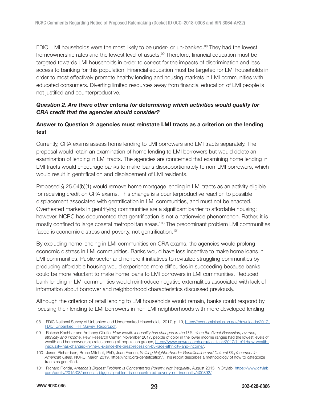<span id="page-28-0"></span>FDIC, LMI households were the most likely to be under- or un-banked.<sup>98</sup> They had the lowest homeownership rates and the lowest level of assets.<sup>99</sup> Therefore, financial education must be targeted towards LMI households in order to correct for the impacts of discrimination and less access to banking for this population. Financial education must be targeted for LMI households in order to most effectively promote healthy lending and housing markets in LMI communities with educated consumers. Diverting limited resources away from financial education of LMI people is not justified and counterproductive.

## Question 2. Are there other criteria for determining which activities would qualify for CRA credit that the agencies should consider?

## Answer to Question 2: agencies must reinstate LMI tracts as a criterion on the lending test

Currently, CRA exams assess home lending to LMI borrowers and LMI tracts separately. The proposal would retain an examination of home lending to LMI borrowers but would delete an examination of lending in LMI tracts. The agencies are concerned that examining home lending in LMI tracts would encourage banks to make loans disproportionately to non-LMI borrowers, which would result in gentrification and displacement of LMI residents.

Proposed § 25.04(b)(1) would remove home mortgage lending in LMI tracts as an activity eligible for receiving credit on CRA exams. This change is a counterproductive reaction to possible displacement associated with gentrification in LMI communities, and must not be enacted. Overheated markets in gentrifying communities are a significant barrier to affordable housing; however, NCRC has documented that gentrification is not a nationwide phenomenon. Rather, it is mostly confined to large coastal metropolitan areas.<sup>100</sup> The predominant problem LMI communities faced is economic distress and poverty, not gentrification.<sup>101</sup>

By excluding home lending in LMI communities on CRA exams, the agencies would prolong economic distress in LMI communities. Banks would have less incentive to make home loans in LMI communities. Public sector and nonprofit initiatives to revitalize struggling communities by producing affordable housing would experience more difficulties in succeeding because banks could be more reluctant to make home loans to LMI borrowers in LMI communities. Reduced bank lending in LMI communities would reintroduce negative externalities associated with lack of information about borrower and neighborhood characteristics discussed previously.

Although the criterion of retail lending to LMI households would remain, banks could respond by focusing their lending to LMI borrowers in non-LMI neighborhoods with more developed lending

<sup>98</sup> FDIC National Survey of Unbanked and Underbanked Households, 2017, p. 19, [https://economicinclusion.gov/downloads/2017\\_](https://economicinclusion.gov/downloads/2017_FDIC_Unbanked_HH_Survey_Report.pdf) [FDIC\\_Unbanked\\_HH\\_Survey\\_Report.pdf](https://economicinclusion.gov/downloads/2017_FDIC_Unbanked_HH_Survey_Report.pdf).

<sup>99</sup> Rakesh Kochhar and Anthony Cilluffo, How wealth inequality has changed in the U.S. since the Great Recession, by race, ethnicity and income, Pew Research Center, November 2017, people of color in the lower income ranges had the lowest levels of wealth and homeownership rates among all population groups, [https://www.pewresearch.org/fact-tank/2017/11/01/how-wealth](https://www.pewresearch.org/fact-tank/2017/11/01/how-wealth-inequality-has-changed-in-the-u-s-since-the-great-recession-by-race-ethnicity-and-income/)[inequality-has-changed-in-the-u-s-since-the-great-recession-by-race-ethnicity-and-income/.](https://www.pewresearch.org/fact-tank/2017/11/01/how-wealth-inequality-has-changed-in-the-u-s-since-the-great-recession-by-race-ethnicity-and-income/)

<sup>100</sup> Jason Richardson, Bruce Mitchell, PhD, Juan Franco, Shifting Neighborhoods: Gentrification and Cultural Displacement in American Cities, NCRC, March 2019, [https://ncrc.org/gentrification/.](https://ncrc.org/gentrification/) This report describes a methodology of how to categorize tracts as gentrified.

<sup>101</sup> Richard Florida, America's Biggest Problem Is Concentrated Poverty, Not Inequality, August 2015, in Citylab, [https://www.citylab.](https://www.citylab.com/equity/2015/08/americas-biggest-problem-is-concentrated-poverty-not-inequality/400892/) [com/equity/2015/08/americas-biggest-problem-is-concentrated-poverty-not-inequality/400892/](https://www.citylab.com/equity/2015/08/americas-biggest-problem-is-concentrated-poverty-not-inequality/400892/).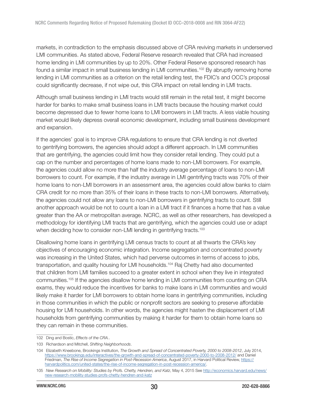markets, in contradiction to the emphasis discussed above of CRA reviving markets in underserved LMI communities. As stated above, Federal Reserve research revealed that CRA had increased home lending in LMI communities by up to 20%. Other Federal Reserve sponsored research has found a similar impact in small business lending in LMI communities.<sup>102</sup> By abruptly removing home lending in LMI communities as a criterion on the retail lending test, the FDIC's and OCC's proposal could significantly decrease, if not wipe out, this CRA impact on retail lending in LMI tracts.

Although small business lending in LMI tracts would still remain in the retail test, it might become harder for banks to make small business loans in LMI tracts because the housing market could become depressed due to fewer home loans to LMI borrowers in LMI tracts. A less viable housing market would likely depress overall economic development, including small business development and expansion.

If the agencies' goal is to improve CRA regulations to ensure that CRA lending is not diverted to gentrifying borrowers, the agencies should adopt a different approach. In LMI communities that are gentrifying, the agencies could limit how they consider retail lending. They could put a cap on the number and percentages of home loans made to non-LMI borrowers. For example, the agencies could allow no more than half the industry average percentage of loans to non-LMI borrowers to count. For example, if the industry average in LMI gentrifying tracts was 70% of their home loans to non-LMI borrowers in an assessment area, the agencies could allow banks to claim CRA credit for no more than 35% of their loans in these tracts to non-LMI borrowers. Alternatively, the agencies could not allow any loans to non-LMI borrowers in gentrifying tracts to count. Still another approach would be not to count a loan in a LMI tract if it finances a home that has a value greater than the AA or metropolitan average. NCRC, as well as other researchers, has developed a methodology for identifying LMI tracts that are gentrifying, which the agencies could use or adapt when deciding how to consider non-LMI lending in gentrifying tracts.<sup>103</sup>

Disallowing home loans in gentrifying LMI census tracts to count at all thwarts the CRA's key objectives of encouraging economic integration. Income segregation and concentrated poverty was increasing in the United States, which had perverse outcomes in terms of access to jobs, transportation, and quality housing for LMI households.<sup>104</sup> Raj Chetty had also documented that children from LMI families succeed to a greater extent in school when they live in integrated communities.<sup>105</sup> If the agencies disallow home lending in LMI communities from counting on CRA exams, they would reduce the incentives for banks to make loans in LMI communities and would likely make it harder for LMI borrowers to obtain home loans in gentrifying communities, including in those communities in which the public or nonprofit sectors are seeking to preserve affordable housing for LMI households. In other words, the agencies might hasten the displacement of LMI households from gentrifying communities by making it harder for them to obtain home loans so they can remain in these communities.

<sup>102</sup> Ding and Bostic, Effects of the CRA..

<sup>103</sup> Richardson and Mitchell, Shifting Neighborhoods.

<sup>104</sup> Elizabeth Kneebone, Brookings Institution, The Growth and Spread of Concentrated Poverty, 2000 to 2008-2012, July 2014, <https://www.brookings.edu/interactives/the-growth-and-spread-of-concentrated-poverty-2000-to-2008-2012/> and Daniel Friedman, The Rise of Income Segregation in Post-Recession America, August 2017, in Harvard Political Review, [https://](https://harvardpolitics.com/united-states/the-rise-of-income-segregation-in-post-recession-america/) [harvardpolitics.com/united-states/the-rise-of-income-segregation-in-post-recession-america/](https://harvardpolitics.com/united-states/the-rise-of-income-segregation-in-post-recession-america/).

<sup>105</sup> New Research on Mobility: Studies by Profs. Chetty, Hendren, and Katz, May 4, 2015 See [http://economics.harvard.edu/news/](http://economics.harvard.edu/news/new-research-mobility-studies-profs-chetty-hendren-and-katz) [new-research-mobility-studies-profs-chetty-hendren-and-katz](http://economics.harvard.edu/news/new-research-mobility-studies-profs-chetty-hendren-and-katz)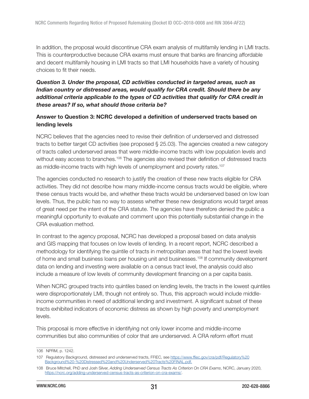<span id="page-30-0"></span>In addition, the proposal would discontinue CRA exam analysis of multifamily lending in LMI tracts. This is counterproductive because CRA exams must ensure that banks are financing affordable and decent multifamily housing in LMI tracts so that LMI households have a variety of housing choices to fit their needs.

## Question 3. Under the proposal, CD activities conducted in targeted areas, such as Indian country or distressed areas, would qualify for CRA credit. Should there be any additional criteria applicable to the types of CD activities that qualify for CRA credit in these areas? If so, what should those criteria be?

#### Answer to Question 3: NCRC developed a definition of underserved tracts based on lending levels

NCRC believes that the agencies need to revise their definition of underserved and distressed tracts to better target CD activities (see proposed § 25.03). The agencies created a new category of tracts called underserved areas that were middle-income tracts with low population levels and without easy access to branches.<sup>106</sup> The agencies also revised their definition of distressed tracts as middle-income tracts with high levels of unemployment and poverty rates.<sup>107</sup>

The agencies conducted no research to justify the creation of these new tracts eligible for CRA activities. They did not describe how many middle-income census tracts would be eligible, where these census tracts would be, and whether these tracts would be underserved based on low loan levels. Thus, the public has no way to assess whether these new designations would target areas of great need per the intent of the CRA statute. The agencies have therefore denied the public a meaningful opportunity to evaluate and comment upon this potentially substantial change in the CRA evaluation method.

In contrast to the agency proposal, NCRC has developed a proposal based on data analysis and GIS mapping that focuses on low levels of lending. In a recent report, NCRC described a methodology for identifying the quintile of tracts in metropolitan areas that had the lowest levels of home and small business loans per housing unit and businesses.<sup>108</sup> If community development data on lending and investing were available on a census tract level, the analysis could also include a measure of low levels of community development financing on a per capita basis.

When NCRC grouped tracts into quintiles based on lending levels, the tracts in the lowest quintiles were disproportionately LMI, though not entirely so. Thus, this approach would include middleincome communities in need of additional lending and investment. A significant subset of these tracts exhibited indicators of economic distress as shown by high poverty and unemployment levels.

This proposal is more effective in identifying not only lower income and middle-income communities but also communities of color that are underserved. A CRA reform effort must

<sup>106</sup> NPRM, p. 1242.

<sup>107</sup> Regulatory Background, distressed and underserved tracts, FFIEC, see [https://www.ffiec.gov/cra/pdf/Regulatory%20](https://www.ffiec.gov/cra/pdf/Regulatory%20Background%20-%20Distressed%20and%20Underserved%20Tracts%20FINAL.pdf) [Background%20-%20Distressed%20and%20Underserved%20Tracts%20FINAL.pdf.](https://www.ffiec.gov/cra/pdf/Regulatory%20Background%20-%20Distressed%20and%20Underserved%20Tracts%20FINAL.pdf)

<sup>108</sup> Bruce Mitchell, PhD and Josh Silver, Adding Underserved Census Tracts As Criterion On CRA Exams, NCRC, January 2020, [https://ncrc.org/adding-underserved-census-tracts-as-criterion-on-cra-exams/.](https://ncrc.org/adding-underserved-census-tracts-as-criterion-on-cra-exams/)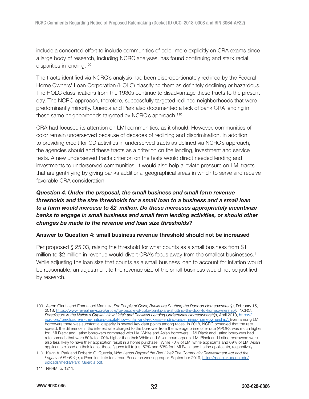<span id="page-31-0"></span>include a concerted effort to include communities of color more explicitly on CRA exams since a large body of research, including NCRC analyses, has found continuing and stark racial disparities in lending.<sup>109</sup>

The tracts identified via NCRC's analysis had been disproportionately redlined by the Federal Home Owners' Loan Corporation (HOLC) classifying them as definitely declining or hazardous. The HOLC classifications from the 1930s continue to disadvantage these tracts to the present day. The NCRC approach, therefore, successfully targeted redlined neighborhoods that were predominantly minority. Quercia and Park also documented a lack of bank CRA lending in these same neighborhoods targeted by NCRC's approach.<sup>110</sup>

CRA had focused its attention on LMI communities, as it should. However, communities of color remain underserved because of decades of redlining and discrimination. In addition to providing credit for CD activities in underserved tracts as defined via NCRC's approach, the agencies should add these tracts as a criterion on the lending, investment and service tests. A new underserved tracts criterion on the tests would direct needed lending and investments to underserved communities. It would also help alleviate pressure on LMI tracts that are gentrifying by giving banks additional geographical areas in which to serve and receive favorable CRA consideration.

# Question 4. Under the proposal, the small business and small farm revenue thresholds and the size thresholds for a small loan to a business and a small loan to a farm would increase to \$2 million. Do these increases appropriately incentivize banks to engage in small business and small farm lending activities, or should other changes be made to the revenue and loan size thresholds?

#### Answer to Question 4: small business revenue threshold should not be increased

Per proposed § 25.03, raising the threshold for what counts as a small business from \$1 million to \$2 million in revenue would divert CRA's focus away from the smallest businesses.<sup>111</sup> While adjusting the loan size that counts as a small business loan to account for inflation would be reasonable, an adjustment to the revenue size of the small business would not be justified by research.

<sup>109</sup> Aaron Glantz and Emmanuel Martinez, For People of Color, Banks are Shutting the Door on Homeownership, February 15, 2018,<https://www.revealnews.org/article/for-people-of-color-banks-are-shutting-the-door-to-homeownership/>; NCRC, Foreclosure in the Nation's Capital: How Unfair and Reckless Lending Undermines Homeownership, April 2010, [https://](https://ncrc.org/foreclosure-in-the-nations-capital-how-unfair-and-reckless-lending-undermines-homeownership/) [ncrc.org/foreclosure-in-the-nations-capital-how-unfair-and-reckless-lending-undermines-homeownership/](https://ncrc.org/foreclosure-in-the-nations-capital-how-unfair-and-reckless-lending-undermines-homeownership/); Even among LMI borrowers there was substantial disparity in several key data points among races. In 2018, NCRC observed that the rate spread, the difference in the interest rate charged to the borrower from the average prime offer rate (APOR), was much higher for LMI Black and Latino borrowers compared with LMI White and Asian borrowers. LMI Black and Latino borrowers had rate spreads that were 50% to 100% higher than their White and Asian counterparts. LMI Black and Latino borrowers were also less likely to have their application result in a home purchase. While 70% of LMI white applicants and 69% of LMI Asian applicants closed on their loans, those figures fell to just 57% and 63% for LMI Black and Latino applicants, respectively.

<sup>110</sup> Kevin A. Park and Roberto G. Quercia, Who Lends Beyond the Red Line? The Community Reinvestment Act and the Legacy of Redlining, a Penn Institute for Urban Research working paper, September 2019, [https://penniur.upenn.edu/](https://penniur.upenn.edu/uploads/media/Park_Quercia.pdf) [uploads/media/Park\\_Quercia.pdf.](https://penniur.upenn.edu/uploads/media/Park_Quercia.pdf)

<sup>111</sup> NPRM, p. 1211.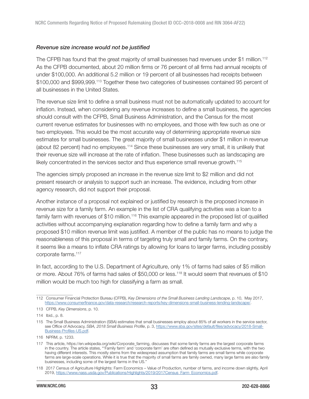#### <span id="page-32-0"></span>Revenue size increase would not be justified

The CFPB has found that the great majority of small businesses had revenues under \$1 million.<sup>112</sup> As the CFPB documented, about 20 million firms or 76 percent of all firms had annual receipts of under \$100,000. An additional 5.2 million or 19 percent of all businesses had receipts between \$100,000 and \$999,999.<sup>113</sup> Together these two categories of businesses contained 95 percent of all businesses in the United States.

The revenue size limit to define a small business must not be automatically updated to account for inflation. Instead, when considering any revenue increases to define a small business, the agencies should consult with the CFPB, Small Business Administration, and the Census for the most current revenue estimates for businesses with no employees, and those with few such as one or two employees. This would be the most accurate way of determining appropriate revenue size estimates for small businesses. The great majority of small businesses under \$1 million in revenue (about 82 percent) had no employees.<sup>114</sup> Since these businesses are very small, it is unlikely that their revenue size will increase at the rate of inflation. These businesses such as landscaping are likely concentrated in the services sector and thus experience small revenue growth.<sup>115</sup>

The agencies simply proposed an increase in the revenue size limit to \$2 million and did not present research or analysis to support such an increase. The evidence, including from other agency research, did not support their proposal.

Another instance of a proposal not explained or justified by research is the proposed increase in revenue size for a family farm. An example in the list of CRA qualifying activities was a loan to a family farm with revenues of \$10 million.<sup>116</sup> This example appeared in the proposed list of qualified activities without accompanying explanation regarding how to define a family farm and why a proposed \$10 million revenue limit was justified. A member of the public has no means to judge the reasonableness of this proposal in terms of targeting truly small and family farms. On the contrary, it seems like a means to inflate CRA ratings by allowing for loans to larger farms, including possibly corporate farms.<sup>117</sup>

In fact, according to the U.S. Department of Agriculture, only 1% of farms had sales of \$5 million or more. About 76% of farms had sales of \$50,000 or less.<sup>118</sup> It would seem that revenues of \$10 million would be much too high for classifying a farm as small.

<sup>112</sup> Consumer Financial Protection Bureau (CFPB), Key Dimensions of the Small Business Lending Landscape, p. 10, May 2017, <https://www.consumerfinance.gov/data-research/research-reports/key-dimensions-small-business-lending-landscape/>.

<sup>113</sup> CFPB, Key Dimensions, p. 10.

<sup>114</sup> Ibid., p. 8.

<sup>115</sup> The Small Business Administration (SBA) estimates that small businesses employ about 85% of all workers in the service sector, see Office of Advocacy, SBA, 2018 Small Business Profile, p. 3, [https://www.sba.gov/sites/default/files/advocacy/2018-Small-](https://www.sba.gov/sites/default/files/advocacy/2018-Small-Business-Profiles-US.pdf)[Business-Profiles-US.pdf.](https://www.sba.gov/sites/default/files/advocacy/2018-Small-Business-Profiles-US.pdf)

<sup>116</sup> NPRM, p. 1233.

<sup>117</sup> This article, https://en.wikipedia.org/wiki/Corporate\_farming, discusses that some family farms are the largest corporate farms in the country. The article states, "'Family farm' and 'corporate farm' are often defined as mutually exclusive terms, with the two having different interests. This mostly stems from the widespread assumption that family farms are small farms while corporate farms are large-scale operations. While it is true that the majority of small farms are family owned, many large farms are also family businesses, including some of the largest farms in the US."

<sup>118 2017</sup> Census of Agriculture Highlights: Farm Economics – Value of Production, number of farms, and income down slightly, April 2019, [https://www.nass.usda.gov/Publications/Highlights/2019/2017Census\\_Farm\\_Economics.pdf.](https://www.nass.usda.gov/Publications/Highlights/2019/2017Census_Farm_Economics.pdf)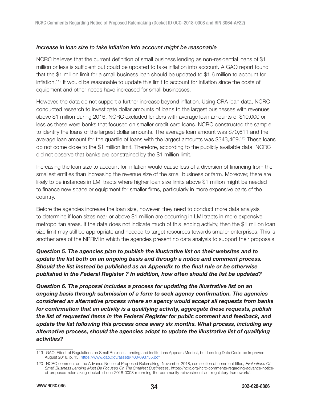#### <span id="page-33-0"></span>Increase in loan size to take inflation into account might be reasonable

NCRC believes that the current definition of small business lending as non-residential loans of \$1 million or less is sufficient but could be updated to take inflation into account. A GAO report found that the \$1 million limit for a small business loan should be updated to \$1.6 million to account for inflation.<sup>119</sup> It would be reasonable to update this limit to account for inflation since the costs of equipment and other needs have increased for small businesses.

However, the data do not support a further increase beyond inflation. Using CRA loan data, NCRC conducted research to investigate dollar amounts of loans to the largest businesses with revenues above \$1 million during 2016. NCRC excluded lenders with average loan amounts of \$10,000 or less as these were banks that focused on smaller credit card loans. NCRC constructed the sample to identify the loans of the largest dollar amounts. The average loan amount was \$70,611 and the average loan amount for the quartile of loans with the largest amounts was \$343,469.<sup>120</sup> These loans do not come close to the \$1 million limit. Therefore, according to the publicly available data, NCRC did not observe that banks are constrained by the \$1 million limit.

Increasing the loan size to account for inflation would cause less of a diversion of financing from the smallest entities than increasing the revenue size of the small business or farm. Moreover, there are likely to be instances in LMI tracts where higher loan size limits above \$1 million might be needed to finance new space or equipment for smaller firms, particularly in more expensive parts of the country.

Before the agencies increase the loan size, however, they need to conduct more data analysis to determine if loan sizes near or above \$1 million are occurring in LMI tracts in more expensive metropolitan areas. If the data does not indicate much of this lending activity, then the \$1 million loan size limit may still be appropriate and needed to target resources towards smaller enterprises. This is another area of the NPRM in which the agencies present no data analysis to support their proposals.

# Question 5. The agencies plan to publish the illustrative list on their websites and to update the list both on an ongoing basis and through a notice and comment process. Should the list instead be published as an Appendix to the final rule or be otherwise published in the Federal Register ? In addition, how often should the list be updated?

Question 6. The proposal includes a process for updating the illustrative list on an ongoing basis through submission of a form to seek agency confirmation. The agencies considered an alternative process where an agency would accept all requests from banks for confirmation that an activity is a qualifying activity, aggregate these requests, publish the list of requested items in the Federal Register for public comment and feedback, and update the list following this process once every six months. What process, including any alternative process, should the agencies adopt to update the illustrative list of qualifying activities?

<sup>119</sup> GAO, Effect of Regulations on Small Business Lending and Institutions Appears Modest, but Lending Data Could be Improved, August 2018, p. 15,<https://www.gao.gov/assets/700/693755.pdf>

<sup>120</sup> NCRC comment on the Advance Notice of Proposed Rulemaking, November 2018, see section of comment titled, Evaluations Of Small Business Lending Must Be Focused On The Smallest Businesses, https://ncrc.org/ncrc-comments-regarding-advance-noticeof-proposed-rulemaking-docket-id-occ-2018-0008-reforming-the-community-reinvestment-act-regulatory-framework/.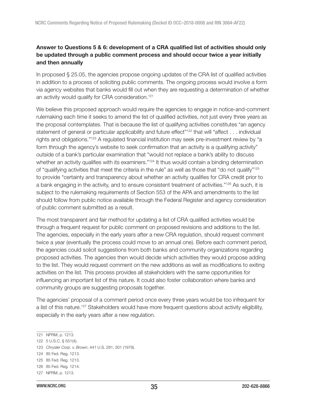# <span id="page-34-0"></span>Answer to Questions 5 & 6: development of a CRA qualified list of activities should only be updated through a public comment process and should occur twice a year initially and then annually

In proposed § 25.05, the agencies propose ongoing updates of the CRA list of qualified activities in addition to a process of soliciting public comments. The ongoing process would involve a form via agency websites that banks would fill out when they are requesting a determination of whether an activity would qualify for CRA consideration.<sup>121</sup>

We believe this proposed approach would require the agencies to engage in notice-and-comment rulemaking each time it seeks to amend the list of qualified activities, not just every three years as the proposal contemplates. That is because the list of qualifying activities constitutes "an agency statement of general or particular applicability and future effect"<sup>122</sup> that will "affect . . . individual rights and obligations."<sup>123</sup> A regulated financial institution may seek pre-investment review by "a form through the agency's website to seek confirmation that an activity is a qualifying activity" outside of a bank's particular examination that "would not replace a bank's ability to discuss whether an activity qualifies with its examiners."<sup>124</sup> It thus would contain a binding determination of "qualifying activities that meet the criteria in the rule" as well as those that "do not qualify"<sup>125</sup> to provide "certainty and transparency about whether an activity qualifies for CRA credit prior to a bank engaging in the activity, and to ensure consistent treatment of activities."<sup>126</sup> As such, it is subject to the rulemaking requirements of Section 553 of the APA and amendments to the list should follow from public notice available through the Federal Register and agency consideration of public comment submitted as a result.

The most transparent and fair method for updating a list of CRA qualified activities would be through a frequent request for public comment on proposed revisions and additions to the list. The agencies, especially in the early years after a new CRA regulation, should request comment twice a year (eventually the process could move to an annual one). Before each comment period, the agencies could solicit suggestions from both banks and community organizations regarding proposed activities. The agencies then would decide which activities they would propose adding to the list. They would request comment on the new additions as well as modifications to exiting activities on the list. This process provides all stakeholders with the same opportunities for influencing an important list of this nature. It could also foster collaboration where banks and community groups are suggesting proposals together.

The agencies' proposal of a comment period once every three years would be too infrequent for a list of this nature.<sup>127</sup> Stakeholders would have more frequent questions about activity eligibility, especially in the early years after a new regulation.

124 85 Fed. Reg. 1213.

<sup>121</sup> NPRM, p. 1213.

<sup>122 5</sup> U.S.C. § 551(4).

<sup>123</sup> Chrysler Corp. v. Brown, 441 U.S. 281, 301 (1979).

<sup>125 85</sup> Fed. Reg. 1213.

<sup>126 85</sup> Fed. Reg. 1214.

<sup>127</sup> NPRM, p. 1213.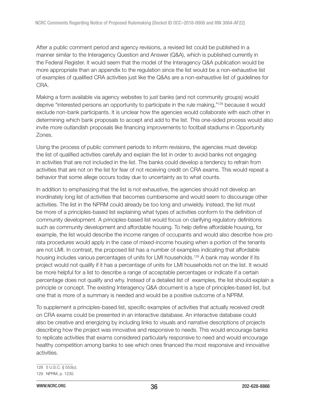After a public comment period and agency revisions, a revised list could be published in a manner similar to the Interagency Question and Answer (Q&A), which is published currently in the Federal Register. It would seem that the model of the Interagency Q&A publication would be more appropriate than an appendix to the regulation since the list would be a non-exhaustive list of examples of qualified CRA activities just like the Q&As are a non-exhaustive list of guidelines for CRA.

Making a form available via agency websites to just banks (and not community groups) would deprive "interested persons an opportunity to participate in the rule making,"<sup>128</sup> because it would exclude non-bank participants. It is unclear how the agencies would collaborate with each other in determining which bank proposals to accept and add to the list. This one-sided process would also invite more outlandish proposals like financing improvements to football stadiums in Opportunity Zones.

Using the process of public comment periods to inform revisions, the agencies must develop the list of qualified activities carefully and explain the list in order to avoid banks not engaging in activities that are not included in the list. The banks could develop a tendency to refrain from activities that are not on the list for fear of not receiving credit on CRA exams. This would repeat a behavior that some allege occurs today due to uncertainty as to what counts.

In addition to emphasizing that the list is not exhaustive, the agencies should not develop an inordinately long list of activities that becomes cumbersome and would seem to discourage other activities. The list in the NPRM could already be too long and unwieldy. Instead, the list must be more of a principles-based list explaining what types of activities conform to the definition of community development. A principles-based list would focus on clarifying regulatory definitions such as community development and affordable housing. To help define affordable housing, for example, the list would describe the income ranges of occupants and would also describe how pro rata procedures would apply in the case of mixed-income housing when a portion of the tenants are not LMI. In contrast, the proposed list has a number of examples indicating that affordable housing includes various percentages of units for LMI households.<sup>129</sup> A bank may wonder if its project would not qualify if it has a percentage of units for LMI households not on the list. It would be more helpful for a list to describe a range of acceptable percentages or indicate if a certain percentage does not qualify and why. Instead of a detailed list of examples, the list should explain a principle or concept. The existing Interagency Q&A document is a type of principles-based list, but one that is more of a summary is needed and would be a positive outcome of a NPRM.

To supplement a principles-based list, specific examples of activities that actually received credit on CRA exams could be presented in an interactive database. An interactive database could also be creative and energizing by including links to visuals and narrative descriptions of projects describing how the project was innovative and responsive to needs. This would encourage banks to replicate activities that exams considered particularly responsive to need and would encourage healthy competition among banks to see which ones financed the most responsive and innovative activities.

<sup>128 5</sup> U.S.C. § 553(c).

<sup>129</sup> NPRM, p. 1230.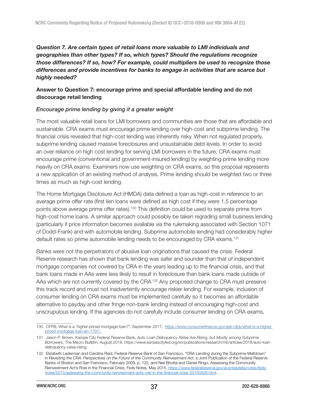# Question 7. Are certain types of retail loans more valuable to LMI individuals and geographies than other types? If so, which types? Should the regulations recognize those differences? If so, how? For example, could multipliers be used to recognize those differences and provide incentives for banks to engage in activities that are scarce but highly needed?

## Answer to Question 7: encourage prime and special affordable lending and do not discourage retail lending

### Encourage prime lending by giving it a greater weight

The most valuable retail loans for LMI borrowers and communities are those that are affordable and sustainable. CRA exams must encourage prime lending over high-cost and subprime lending. The financial crisis revealed that high-cost lending was inherently risky. When not regulated properly, subprime lending caused massive foreclosures and unsustainable debt levels. In order to avoid an over-reliance on high cost lending for serving LMI borrowers in the future, CRA exams must encourage prime (conventional and government-insured lending) by weighting prime lending more heavily on CRA exams. Examiners now use weighting on CRA exams, so this proposal represents a new application of an existing method of analysis. Prime lending should be weighted two or three times as much as high-cost lending.

The Home Mortgage Disclosure Act (HMDA) data defined a loan as high-cost in reference to an average prime offer rate (first lien loans were defined as high cost if they were 1.5 percentage points above average prime offer rates).<sup>130</sup> This definition could be used to separate prime from high-cost home loans. A similar approach could possibly be taken regrading small business lending (particularly if price information becomes available via the rulemaking associated with Section 1071 of Dodd-Frank) and with automobile lending. Subprime automobile lending had considerably higher default rates so prime automobile lending needs to be encouraged by CRA exams.<sup>131</sup>

Banks were not the perpetrators of abusive loan originations that caused the crisis. Federal Reserve research has shown that bank lending was safer and sounder than that of independent mortgage companies not covered by CRA in the years leading up to the financial crisis, and that bank loans made in AAs were less likely to result in foreclosure than bank loans made outside of AAs which are not currently covered by the CRA<sup>-132</sup> Any proposed change to CRA must preserve this track record and must not inadvertently encourage riskier lending. For example, inclusion of consumer lending on CRA exams must be implemented carefully so it becomes an affordable alternative to payday and other fringe non-bank lending instead of encouraging high-cost and unscrupulous lending. If the agencies do not carefully include consumer lending on CRA exams,

<sup>130</sup> CFPB, What is a "higher-priced mortgage loan?", September 2017, [https://www.consumerfinance.gov/ask-cfpb/what-is-a-higher](https://www.consumerfinance.gov/ask-cfpb/what-is-a-higher-priced-mortgage-loan-en-1797/)[priced-mortgage-loan-en-1797/.](https://www.consumerfinance.gov/ask-cfpb/what-is-a-higher-priced-mortgage-loan-en-1797/)

<sup>131</sup> Jason P. Brown, Kansas City Federal Reserve Bank, Auto Loan Delinquency Rates Are Rising, but Mostly among Subprime Borrowers, The Macro Bulletin, August 2018. https://www.kansascityfed.org/en/publications/research/mb/articles/2018/auto-loandelinquency-rates-rising.

<sup>132</sup> Elizabeth Laderman and Carolina Reid, Federal Reserve Bank of San Francisco, "CRA Lending during the Subprime Meltdown" in Revisiting the CRA: Perspectives on the Future of the Community Reinvestment Act, a Joint Publication of the Federal Reserve Banks of Boston and San Francisco, February 2009, p. 122, and Neil Bhutta and Daniel Ringo, Assessing the Community Reinvestment Act's Role in the Financial Crisis, Feds Notes, May 2015, [https://www.federalreserve.gov/econresdata/notes/feds](https://www.federalreserve.gov/econresdata/notes/feds-notes/2015/assessing-the-community-reinvestment-acts-role-in-the-financial-crisis-20150526.html)[notes/2015/assessing-the-community-reinvestment-acts-role-in-the-financial-crisis-20150526.html.](https://www.federalreserve.gov/econresdata/notes/feds-notes/2015/assessing-the-community-reinvestment-acts-role-in-the-financial-crisis-20150526.html)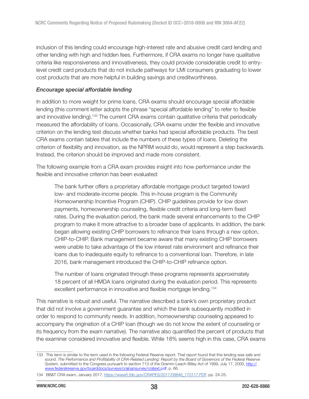inclusion of this lending could encourage high-interest rate and abusive credit card lending and other lending with high and hidden fees. Furthermore, if CRA exams no longer have qualitative criteria like responsiveness and innovativeness, they could provide considerable credit to entrylevel credit card products that do not include pathways for LMI consumers graduating to lower cost products that are more helpful in building savings and creditworthiness.

#### Encourage special affordable lending

In addition to more weight for prime loans, CRA exams should encourage special affordable lending (this comment letter adopts the phrase "special affordable lending" to refer to flexible and innovative lending).<sup>133</sup> The current CRA exams contain qualitative criteria that periodically measured the affordability of loans. Occasionally, CRA exams under the flexible and innovative criterion on the lending test discuss whether banks had special affordable products. The best CRA exams contain tables that include the numbers of these types of loans. Deleting the criterion of flexibility and innovation, as the NPRM would do, would represent a step backwards. Instead, the criterion should be improved and made more consistent.

The following example from a CRA exam provides insight into how performance under the flexible and innovative criterion has been evaluated:

The bank further offers a proprietary affordable mortgage product targeted toward low- and moderate-income people. This in-house program is the Community Homeownership Incentive Program (CHIP). CHIP guidelines provide for low down payments, homeownership counseling, flexible credit criteria and long-term fixed rates. During the evaluation period, the bank made several enhancements to the CHIP program to make it more attractive to a broader base of applicants. In addition, the bank began allowing existing CHIP borrowers to refinance their loans through a new option, CHIP-to-CHIP. Bank management became aware that many existing CHIP borrowers were unable to take advantage of the low interest rate environment and refinance their loans due to inadequate equity to refinance to a conventional loan. Therefore, in late 2016, bank management introduced the CHIP-to-CHIP refinance option.

The number of loans originated through these programs represents approximately 18 percent of all HMDA loans originated during the evaluation period. This represents excellent performance in innovative and flexible mortgage lending.<sup>134</sup>

This narrative is robust and useful. The narrative described a bank's own proprietary product that did not involve a government guarantee and which the bank subsequently modified in order to respond to community needs. In addition, homeownership counseling appeared to accompany the origination of a CHIP loan (though we do not know the extent of counseling or its frequency from the exam narrative). The narrative also quantified the percent of products that the examiner considered innovative and flexible. While 18% seems high in this case, CRA exams

<sup>133</sup> This term is similar to the term used in the following Federal Reserve report. That report found that this lending was safe and sound. The Performance and Profitability of CRA-Related Lending: Report by the Board of Governors of the Federal Reserve System, submitted to the Congress pursuant to section 713 of the Gramm-Leach-Bliley Act of 1999, July 17, 2000, [http://](http://www.federalreserve.gov/boarddocs/surveys/craloansurvey/cratext.pdf) [www.federalreserve.gov/boarddocs/surveys/craloansurvey/cratext.pdf,](http://www.federalreserve.gov/boarddocs/surveys/craloansurvey/cratext.pdf) p. 66.

<sup>134</sup> BB&T CRA exam, January 2017, [https://www5.fdic.gov/CRAPES/2017/09846\\_170117.PDF,](https://www5.fdic.gov/CRAPES/2017/09846_170117.PDF) pp. 24-25.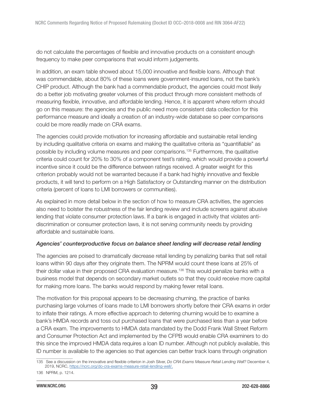do not calculate the percentages of flexible and innovative products on a consistent enough frequency to make peer comparisons that would inform judgements.

In addition, an exam table showed about 15,000 innovative and flexible loans. Although that was commendable, about 80% of these loans were government-insured loans, not the bank's CHIP product. Although the bank had a commendable product, the agencies could most likely do a better job motivating greater volumes of this product through more consistent methods of measuring flexible, innovative, and affordable lending. Hence, it is apparent where reform should go on this measure: the agencies and the public need more consistent data collection for this performance measure and ideally a creation of an industry-wide database so peer comparisons could be more readily made on CRA exams.

The agencies could provide motivation for increasing affordable and sustainable retail lending by including qualitative criteria on exams and making the qualitative criteria as "quantifiable" as possible by including volume measures and peer comparisons.<sup>135</sup> Furthermore, the qualitative criteria could count for 20% to 30% of a component test's rating, which would provide a powerful incentive since it could be the difference between ratings received. A greater weight for this criterion probably would not be warranted because if a bank had highly innovative and flexible products, it will tend to perform on a High Satisfactory or Outstanding manner on the distribution criteria (percent of loans to LMI borrowers or communities).

As explained in more detail below in the section of how to measure CRA activities, the agencies also need to bolster the robustness of the fair lending review and include screens against abusive lending that violate consumer protection laws. If a bank is engaged in activity that violates antidiscrimination or consumer protection laws, it is not serving community needs by providing affordable and sustainable loans.

## Agencies' counterproductive focus on balance sheet lending will decrease retail lending

The agencies are poised to dramatically decrease retail lending by penalizing banks that sell retail loans within 90 days after they originate them. The NPRM would count these loans at 25% of their dollar value in their proposed CRA evaluation measure.<sup>136</sup> This would penalize banks with a business model that depends on secondary market outlets so that they could receive more capital for making more loans. The banks would respond by making fewer retail loans.

The motivation for this proposal appears to be decreasing churning, the practice of banks purchasing large volumes of loans made to LMI borrowers shortly before their CRA exams in order to inflate their ratings. A more effective approach to deterring churning would be to examine a bank's HMDA records and toss out purchased loans that were purchased less than a year before a CRA exam. The improvements to HMDA data mandated by the Dodd Frank Wall Street Reform and Consumer Protection Act and implemented by the CFPB would enable CRA examiners to do this since the improved HMDA data requires a loan ID number. Although not publicly available, this ID number is available to the agencies so that agencies can better track loans through origination

<sup>135</sup> See a discussion on the innovative and flexible criterion in Josh Silver, Do CRA Exams Measure Retail Lending Well? December 4, 2019, NCRC, [https://ncrc.org/do-cra-exams-measure-retail-lending-well/.](https://ncrc.org/do-cra-exams-measure-retail-lending-well/)

<sup>136</sup> NPRM, p. 1214.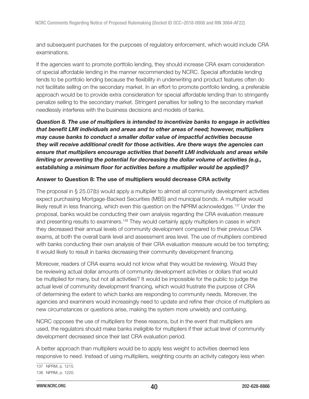and subsequent purchases for the purposes of regulatory enforcement, which would include CRA examinations.

If the agencies want to promote portfolio lending, they should increase CRA exam consideration of special affordable lending in the manner recommended by NCRC. Special affordable lending tends to be portfolio lending because the flexibility in underwriting and product features often do not facilitate selling on the secondary market. In an effort to promote portfolio lending, a preferable approach would be to provide extra consideration for special affordable lending than to stringently penalize selling to the secondary market. Stringent penalties for selling to the secondary market needlessly interferes with the business decisions and models of banks.

Question 8. The use of multipliers is intended to incentivize banks to engage in activities that benefit LMI individuals and areas and to other areas of need; however, multipliers may cause banks to conduct a smaller dollar value of impactful activities because they will receive additional credit for those activities. Are there ways the agencies can ensure that multipliers encourage activities that benefit LMI individuals and areas while limiting or preventing the potential for decreasing the dollar volume of activities (e.g., establishing a minimum floor for activities before a multiplier would be applied)?

#### Answer to Question 8: The use of multipliers would decrease CRA activity

The proposal in § 25.07(b) would apply a multiplier to almost all community development activities expect purchasing Mortgage-Backed Securities (MBS) and municipal bonds. A multiplier would likely result in less financing, which even this question on the NPRM acknowledges.<sup>137</sup> Under the proposal, banks would be conducting their own analysis regarding the CRA evaluation measure and presenting results to examiners.<sup>138</sup> They would certainly apply multipliers in cases in which they decreased their annual levels of community development compared to their previous CRA exams, at both the overall bank level and assessment area level. The use of multipliers combined with banks conducting their own analysis of their CRA evaluation measure would be too tempting; it would likely to result in banks decreasing their community development financing.

Moreover, readers of CRA exams would not know what they would be reviewing. Would they be reviewing actual dollar amounts of community development activities or dollars that would be multiplied for many, but not all activities? It would be impossible for the public to judge the actual level of community development financing, which would frustrate the purpose of CRA of determining the extent to which banks are responding to community needs. Moreover, the agencies and examiners would increasingly need to update and refine their choice of multipliers as new circumstances or questions arise, making the system more unwieldy and confusing.

NCRC opposes the use of multipliers for these reasons, but in the event that multipliers are used, the regulators should make banks ineligible for multipliers if their actual level of community development decreased since their last CRA evaluation period.

A better approach than multipliers would be to apply less weight to activities deemed less responsive to need. Instead of using multipliers, weighting counts an activity category less when

<sup>137</sup> NPRM, p. 1215.

<sup>138</sup> NPRM, p. 1220.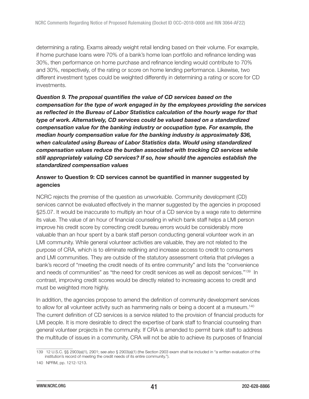determining a rating. Exams already weight retail lending based on their volume. For example, if home purchase loans were 70% of a bank's home loan portfolio and refinance lending was 30%, then performance on home purchase and refinance lending would contribute to 70% and 30%, respectively, of the rating or score on home lending performance. Likewise, two different investment types could be weighted differently in determining a rating or score for CD investments.

Question 9. The proposal quantifies the value of CD services based on the compensation for the type of work engaged in by the employees providing the services as reflected in the Bureau of Labor Statistics calculation of the hourly wage for that type of work. Alternatively, CD services could be valued based on a standardized compensation value for the banking industry or occupation type. For example, the median hourly compensation value for the banking industry is approximately \$36, when calculated using Bureau of Labor Statistics data. Would using standardized compensation values reduce the burden associated with tracking CD services while still appropriately valuing CD services? If so, how should the agencies establish the standardized compensation values

### Answer to Question 9: CD services cannot be quantified in manner suggested by agencies

NCRC rejects the premise of the question as unworkable. Community development (CD) services cannot be evaluated effectively in the manner suggested by the agencies in proposed §25.07. It would be inaccurate to multiply an hour of a CD service by a wage rate to determine its value. The value of an hour of financial counseling in which bank staff helps a LMI person improve his credit score by correcting credit bureau errors would be considerably more valuable than an hour spent by a bank staff person conducting general volunteer work in an LMI community. While general volunteer activities are valuable, they are not related to the purpose of CRA, which is to eliminate redlining and increase access to credit to consumers and LMI communities. They are outside of the statutory assessment criteria that privileges a bank's record of "meeting the credit needs of its entire community" and lists the "convenience and needs of communities" as "the need for credit services as well as deposit services."<sup>139</sup> In contrast, improving credit scores would be directly related to increasing access to credit and must be weighted more highly.

In addition, the agencies propose to amend the definition of community development services to allow for all volunteer activity such as hammering nails or being a docent at a museum.<sup>140</sup> The current definition of CD services is a service related to the provision of financial products for LMI people. It is more desirable to direct the expertise of bank staff to financial counseling than general volunteer projects in the community. If CRA is amended to permit bank staff to address the multitude of issues in a community, CRA will not be able to achieve its purposes of financial

<sup>139 12</sup> U.S.C. §§ 2903(a)(1), 2901; see also § 2903(a)(1) (the Section 2903 exam shall be included in "a written evaluation of the institution's record of meeting the credit needs of its entire community.").

<sup>140</sup> NPRM, pp. 1212-1213.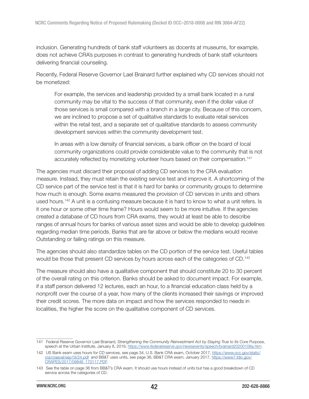inclusion. Generating hundreds of bank staff volunteers as docents at museums, for example, does not achieve CRA's purposes in contrast to generating hundreds of bank staff volunteers delivering financial counseling.

Recently, Federal Reserve Governor Lael Brainard further explained why CD services should not be monetized:

For example, the services and leadership provided by a small bank located in a rural community may be vital to the success of that community, even if the dollar value of those services is small compared with a branch in a large city. Because of this concern, we are inclined to propose a set of qualitative standards to evaluate retail services within the retail test, and a separate set of qualitative standards to assess community development services within the community development test.

In areas with a low density of financial services, a bank officer on the board of local community organizations could provide considerable value to the community that is not accurately reflected by monetizing volunteer hours based on their compensation.<sup>141</sup>

The agencies must discard their proposal of adding CD services to the CRA evaluation measure. Instead, they must retain the existing service test and improve it. A shortcoming of the CD service part of the service test is that it is hard for banks or community groups to determine how much is enough. Some exams measured the provision of CD services in units and others used hours.<sup>142</sup> A unit is a confusing measure because it is hard to know to what a unit refers. Is it one hour or some other time frame? Hours would seem to be more intuitive. If the agencies created a database of CD hours from CRA exams, they would at least be able to describe ranges of annual hours for banks of various asset sizes and would be able to develop guidelines regarding median time periods. Banks that are far above or below the medians would receive Outstanding or failing ratings on this measure.

The agencies should also standardize tables on the CD portion of the service test. Useful tables would be those that present CD services by hours across each of the categories of CD.<sup>143</sup>

The measure should also have a qualitative component that should constitute 20 to 30 percent of the overall rating on this criterion. Banks should be asked to document impact. For example, if a staff person delivered 12 lectures, each an hour, to a financial education class held by a nonprofit over the course of a year, how many of the clients increased their savings or improved their credit scores. The more data on impact and how the services responded to needs in localities, the higher the score on the qualitative component of CD services.

<sup>141</sup> Federal Reserve Governor Lael Brainard, Strengthening the Community Reinvestment Act by Staying True to Its Core Purpose, speech at the Urban Institute, January 8, 2019,<https://www.federalreserve.gov/newsevents/speech/brainard20200108a.htm>.

<sup>142</sup> US Bank exam uses hours for CD services, see page 34, U.S. Bank CRA exam, October 2017, [https://www.occ.gov/static/](https://www.occ.gov/static/cra/craeval/sep19/24.pdf) [cra/craeval/sep19/24.pdf](https://www.occ.gov/static/cra/craeval/sep19/24.pdf) and BB&T uses units, see page 36, BB&T CRA exam, January 2017, [https://www7.fdic.gov/](https://www7.fdic.gov/CRAPES/2017/09846_170117.PDF) [CRAPES/2017/09846\\_170117.PDF.](https://www7.fdic.gov/CRAPES/2017/09846_170117.PDF)

<sup>143</sup> See the table on page 36 from BB&T's CRA exam. It should use hours instead of units but has a good breakdown of CD service across the categories of CD.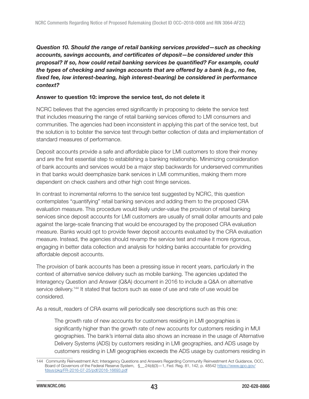# Question 10. Should the range of retail banking services provided—such as checking accounts, savings accounts, and certificates of deposit—be considered under this proposal? If so, how could retail banking services be quantified? For example, could the types of checking and savings accounts that are offered by a bank (e.g., no fee, fixed fee, low interest-bearing, high interest-bearing) be considered in performance context?

### Answer to question 10: improve the service test, do not delete it

NCRC believes that the agencies erred significantly in proposing to delete the service test that includes measuring the range of retail banking services offered to LMI consumers and communities. The agencies had been inconsistent in applying this part of the service test, but the solution is to bolster the service test through better collection of data and implementation of standard measures of performance.

Deposit accounts provide a safe and affordable place for LMI customers to store their money and are the first essential step to establishing a banking relationship. Minimizing consideration of bank accounts and services would be a major step backwards for underserved communities in that banks would deemphasize bank services in LMI communities, making them more dependent on check cashers and other high cost fringe services.

In contrast to incremental reforms to the service test suggested by NCRC, this question contemplates "quantifying" retail banking services and adding them to the proposed CRA evaluation measure. This procedure would likely under-value the provision of retail banking services since deposit accounts for LMI customers are usually of small dollar amounts and pale against the large-scale financing that would be encouraged by the proposed CRA evaluation measure. Banks would opt to provide fewer deposit accounts evaluated by the CRA evaluation measure. Instead, the agencies should revamp the service test and make it more rigorous, engaging in better data collection and analysis for holding banks accountable for providing affordable deposit accounts.

The provision of bank accounts has been a pressing issue in recent years, particularly in the context of alternative service delivery such as mobile banking. The agencies updated the Interagency Question and Answer (Q&A) document in 2016 to include a Q&A on alternative service delivery.<sup>144</sup> It stated that factors such as ease of use and rate of use would be considered.

As a result, readers of CRA exams will periodically see descriptions such as this one:

The growth rate of new accounts for customers residing in LMI geographies is significantly higher than the growth rate of new accounts for customers residing in MUI geographies. The bank's internal data also shows an increase in the usage of Alternative Delivery Systems (ADS) by customers residing in LMI geographies, and ADS usage by customers residing in LMI geographies exceeds the ADS usage by customers residing in

<sup>144</sup> Community Reinvestment Act; Interagency Questions and Answers Regarding Community Reinvestment Act Guidance, OCC, Board of Governors of the Federal Reserve System, §\_\_.24(d)(3)—1, Fed. Reg. 81, 142, p. 48542 [https://www.gpo.gov/](https://www.gpo.gov/fdsys/pkg/FR-2016-07-25/pdf/2016-16693.pdf) [fdsys/pkg/FR-2016-07-25/pdf/2016-16693.pdf](https://www.gpo.gov/fdsys/pkg/FR-2016-07-25/pdf/2016-16693.pdf)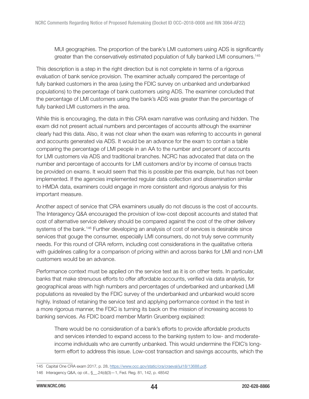MUI geographies. The proportion of the bank's LMI customers using ADS is significantly greater than the conservatively estimated population of fully banked LMI consumers.<sup>145</sup>

This description is a step in the right direction but is not complete in terms of a rigorous evaluation of bank service provision. The examiner actually compared the percentage of fully banked customers in the area (using the FDIC survey on unbanked and underbanked populations) to the percentage of bank customers using ADS. The examiner concluded that the percentage of LMI customers using the bank's ADS was greater than the percentage of fully banked LMI customers in the area.

While this is encouraging, the data in this CRA exam narrative was confusing and hidden. The exam did not present actual numbers and percentages of accounts although the examiner clearly had this data. Also, it was not clear when the exam was referring to accounts in general and accounts generated via ADS. It would be an advance for the exam to contain a table comparing the percentage of LMI people in an AA to the number and percent of accounts for LMI customers via ADS and traditional branches. NCRC has advocated that data on the number and percentage of accounts for LMI customers and/or by income of census tracts be provided on exams. It would seem that this is possible per this example, but has not been implemented. If the agencies implemented regular data collection and dissemination similar to HMDA data, examiners could engage in more consistent and rigorous analysis for this important measure.

Another aspect of service that CRA examiners usually do not discuss is the cost of accounts. The Interagency Q&A encouraged the provision of low-cost deposit accounts and stated that cost of alternative service delivery should be compared against the cost of the other delivery systems of the bank.<sup>146</sup> Further developing an analysis of cost of services is desirable since services that gouge the consumer, especially LMI consumers, do not truly serve community needs. For this round of CRA reform, including cost considerations in the qualitative criteria with guidelines calling for a comparison of pricing within and across banks for LMI and non-LMI customers would be an advance.

Performance context must be applied on the service test as it is on other tests. In particular, banks that make strenuous efforts to offer affordable accounts, verified via data analysis, for geographical areas with high numbers and percentages of underbanked and unbanked LMI populations as revealed by the FDIC survey of the underbanked and unbanked would score highly. Instead of retaining the service test and applying performance context in the test in a more rigorous manner, the FDIC is turning its back on the mission of increasing access to banking services. As FDIC board member Martin Gruenberg explained:

There would be no consideration of a bank's efforts to provide affordable products and services intended to expand access to the banking system to low- and moderateincome individuals who are currently unbanked. This would undermine the FDIC's longterm effort to address this issue. Low-cost transaction and savings accounts, which the

<sup>145</sup> Capital One CRA exam 2017, p. 28, [https://www.occ.gov/static/cra/craeval/jul18/13688.pdf.](https://www.occ.gov/static/cra/craeval/jul18/13688.pdf)

<sup>146</sup> Interagency Q&A, op cit., §\_\_.24(d)(3)—1, Fed. Reg. 81, 142, p. 48542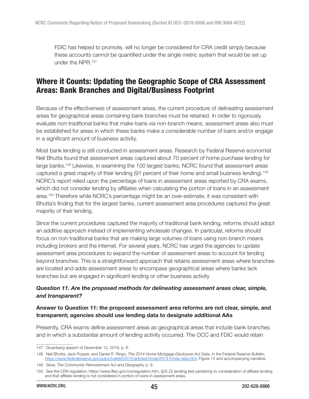FDIC has helped to promote, will no longer be considered for CRA credit simply because these accounts cannot be quantified under the single metric system that would be set up under the NPR.<sup>147</sup>

# Where it Counts: Updating the Geographic Scope of CRA Assessment Areas: Bank Branches and Digital/Business Footprint

Because of the effectiveness of assessment areas, the current procedure of delineating assessment areas for geographical areas containing bank branches must be retained. In order to rigorously evaluate non-traditional banks that make loans via non-branch means, assessment areas also must be established for areas in which these banks make a considerable number of loans and/or engage in a significant amount of business activity.

Most bank lending is still conducted in assessment areas. Research by Federal Reserve economist Neil Bhutta found that assessment areas captured about 70 percent of home purchase lending for large banks.<sup>148</sup> Likewise, in examining the 100 largest banks, NCRC found that assessment areas captured a great majority of their lending (91 percent of their home and small business lending).<sup>149</sup> NCRC's report relied upon the percentage of loans in assessment areas reported by CRA exams, which did not consider lending by affiliates when calculating the portion of loans in an assessment area.<sup>150</sup> Therefore while NCRC's percentage might be an over-estimate, it was consistent with Bhutta's finding that for the largest banks, current assessment area procedures captured the great majority of their lending.

Since the current procedures captured the majority of traditional bank lending, reforms should adopt an additive approach instead of implementing wholesale changes. In particular, reforms should focus on non-traditional banks that are making large volumes of loans using non-branch means including brokers and the internet. For several years, NCRC has urged the agencies to update assessment area procedures to expand the number of assessment areas to account for lending beyond branches. This is a straightforward approach that retains assessment areas where branches are located and adds assessment areas to encompass geographical areas where banks lack branches but are engaged in significant lending or other business activity

## Question 11. Are the proposed methods for delineating assessment areas clear, simple, and transparent?

### Answer to Question 11: the proposed assessment area reforms are not clear, simple, and transparent; agencies should use lending data to designate additional AAs

Presently, CRA exams define assessment areas as geographical areas that include bank branches and in which a substantial amount of lending activity occurred. The OCC and FDIC would retain

<sup>147</sup> Gruenberg speech of December 12, 2019, p. 6.

<sup>148</sup> Neil Bhutta, Jack Popper, and Daniel R. Ringo, The 2014 Home Mortgage Disclosure Act Data, in the Federal Reserve Bulletin, [https://www.federalreserve.gov/pubs/bulletin/2015/articles/hmda/2014-hmda-data.htm,](https://www.federalreserve.gov/pubs/bulletin/2015/articles/hmda/2014-hmda-data.htm) Figure 13 and accompanying narrative.

<sup>149</sup> Silver, The Community Reinvestment Act and Geography p. 9.

<sup>150</sup> See the CRA regulation, https://www.ffiec.gov/cra/regulation.htm, §25.22 lending test pertaining to consideration of affiliate lending and that affiliate lending is not considered in portion of loans in assessment areas.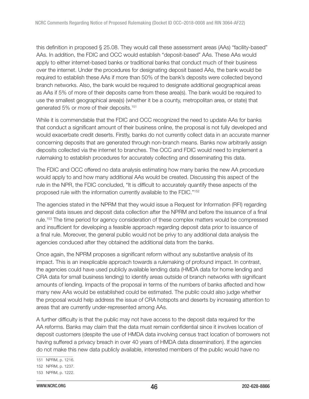this definition in proposed § 25.08. They would call these assessment areas (AAs) "facility-based" AAs. In addition, the FDIC and OCC would establish "deposit-based" AAs. These AAs would apply to either internet-based banks or traditional banks that conduct much of their business over the internet. Under the procedures for designating deposit based AAs, the bank would be required to establish these AAs if more than 50% of the bank's deposits were collected beyond branch networks. Also, the bank would be required to designate additional geographical areas as AAs if 5% of more of their deposits came from these area(s). The bank would be required to use the smallest geographical area(s) (whether it be a county, metropolitan area, or state) that generated 5% or more of their deposits.<sup>151</sup>

While it is commendable that the FDIC and OCC recognized the need to update AAs for banks that conduct a significant amount of their business online, the proposal is not fully developed and would exacerbate credit deserts. Firstly, banks do not currently collect data in an accurate manner concerning deposits that are generated through non-branch means. Banks now arbitrarily assign deposits collected via the internet to branches. The OCC and FDIC would need to implement a rulemaking to establish procedures for accurately collecting and disseminating this data.

The FDIC and OCC offered no data analysis estimating how many banks the new AA procedure would apply to and how many additional AAs would be created. Discussing this aspect of the rule in the NPR, the FDIC concluded, "It is difficult to accurately quantify these aspects of the proposed rule with the information currently available to the FDIC."<sup>152</sup>

The agencies stated in the NPRM that they would issue a Request for Information (RFI) regarding general data issues and deposit data collection after the NPRM and before the issuance of a final rule.<sup>153</sup> The time period for agency consideration of these complex matters would be compressed and insufficient for developing a feasible approach regarding deposit data prior to issuance of a final rule. Moreover, the general public would not be privy to any additional data analysis the agencies conduced after they obtained the additional data from the banks.

Once again, the NPRM proposes a significant reform without any substantive analysis of its impact. This is an inexplicable approach towards a rulemaking of profound impact. In contrast, the agencies could have used publicly available lending data (HMDA data for home lending and CRA data for small business lending) to identify areas outside of branch networks with significant amounts of lending. Impacts of the proposal in terms of the numbers of banks affected and how many new AAs would be established could be estimated. The public could also judge whether the proposal would help address the issue of CRA hotspots and deserts by increasing attention to areas that are currently under-represented among AAs.

A further difficulty is that the public may not have access to the deposit data required for the AA reforms. Banks may claim that the data must remain confidential since it involves location of deposit customers (despite the use of HMDA data involving census tract location of borrowers not having suffered a privacy breach in over 40 years of HMDA data dissemination). If the agencies do not make this new data publicly available, interested members of the public would have no

<sup>151</sup> NPRM, p. 1216.

<sup>152</sup> NPRM, p. 1237.

<sup>153</sup> NPRM, p. 1222.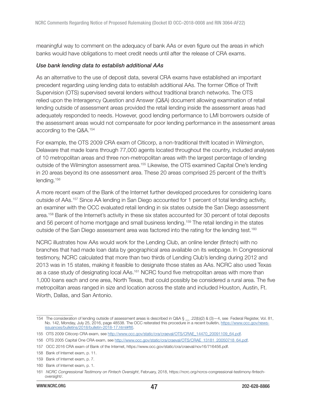meaningful way to comment on the adequacy of bank AAs or even figure out the areas in which banks would have obligations to meet credit needs until after the release of CRA exams.

#### Use bank lending data to establish additional AAs

As an alternative to the use of deposit data, several CRA exams have established an important precedent regarding using lending data to establish additional AAs. The former Office of Thrift Supervision (OTS) supervised several lenders without traditional branch networks. The OTS relied upon the Interagency Question and Answer (Q&A) document allowing examination of retail lending outside of assessment areas provided the retail lending inside the assessment areas had adequately responded to needs. However, good lending performance to LMI borrowers outside of the assessment areas would not compensate for poor lending performance in the assessment areas according to the Q&A.<sup>154</sup>

For example, the OTS 2009 CRA exam of Citicorp, a non-traditional thrift located in Wilmington, Delaware that made loans through 77,000 agents located throughout the country, included analyses of 10 metropolitan areas and three non-metropolitan areas with the largest percentage of lending outside of the Wilmington assessment area.<sup>155</sup> Likewise, the OTS examined Capital One's lending in 20 areas beyond its one assessment area. These 20 areas comprised 25 percent of the thrift's lending.<sup>156</sup>

A more recent exam of the Bank of the Internet further developed procedures for considering loans outside of AAs.<sup>157</sup> Since AA lending in San Diego accounted for 1 percent of total lending activity, an examiner with the OCC evaluated retail lending in six states outside the San Diego assessment area.<sup>158</sup> Bank of the Internet's activity in these six states accounted for 30 percent of total deposits and 56 percent of home mortgage and small business lending.<sup>159</sup> The retail lending in the states outside of the San Diego assessment area was factored into the rating for the lending test.<sup>160</sup>

NCRC illustrates how AAs would work for the Lending Club, an online lender (fintech) with no branches that had made loan data by geographical area available on its webpage. In Congressional testimony, NCRC calculated that more than two thirds of Lending Club's lending during 2012 and 2013 was in 15 states, making it feasible to designate those states as AAs. NCRC also used Texas as a case study of designating local AAs.<sup>161</sup> NCRC found five metropolitan areas with more than 1,000 loans each and one area, North Texas, that could possibly be considered a rural area. The five metropolitan areas ranged in size and location across the state and included Houston, Austin, Ft. Worth, Dallas, and San Antonio.

<sup>154</sup> The consideration of lending outside of assessment areas is described in Q&A § \_\_ .22(b)(2) & (3)—4, see Federal Register, Vol. 81, No. 142, Monday, July 25, 2016, page 48538. The OCC reiterated this procedure in a recent bulletin, https://www.occ.gov/newsissuances/bulletins/2018/bulletin-2018-17.html#ft6.

<sup>155</sup> OTS 2009 Citicorp CRA exam, see [http://www.occ.gov/static/cra/craeval/OTS/CRAE\\_14470\\_20091109\\_64.pdf](http://www.occ.gov/static/cra/craeval/OTS/CRAE_14470_20091109_64.pdf).

<sup>156</sup> OTS 2005 Capital One CRA exam, see [http://www.occ.gov/static/cra/craeval/OTS/CRAE\\_13181\\_20050718\\_64.pdf.](http://www.occ.gov/static/cra/craeval/OTS/CRAE_13181_20050718_64.pdf)

<sup>157</sup> OCC 2016 CRA exam of Bank of the Internet, <https://www.occ.gov/static/cra/craeval/nov16/716456.pdf>.

<sup>158</sup> Bank of Internet exam, p. 11.

<sup>159</sup> Bank of Internet exam, p. 7.

<sup>160</sup> Bank of Internet exam, p. 1.

<sup>161</sup> NCRC Congressional Testimony on Fintech Oversight, February, 2018, https://ncrc.org/ncrcs-congressional-testimony-fintechoversight/.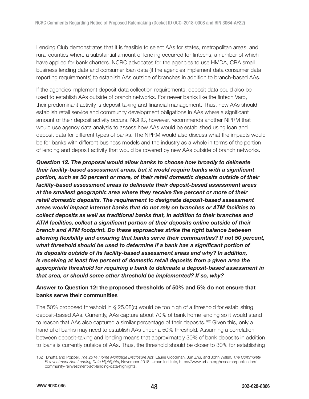Lending Club demonstrates that it is feasible to select AAs for states, metropolitan areas, and rural counties where a substantial amount of lending occurred for fintechs, a number of which have applied for bank charters. NCRC advocates for the agencies to use HMDA, CRA small business lending data and consumer loan data (if the agencies implement data consumer data reporting requirements) to establish AAs outside of branches in addition to branch-based AAs.

If the agencies implement deposit data collection requirements, deposit data could also be used to establish AAs outside of branch networks. For newer banks like the fintech Varo, their predominant activity is deposit taking and financial management. Thus, new AAs should establish retail service and community development obligations in AAs where a significant amount of their deposit activity occurs. NCRC, however, recommends another NPRM that would use agency data analysis to assess how AAs would be established using loan and deposit data for different types of banks. The NPRM would also discuss what the impacts would be for banks with different business models and the industry as a whole in terms of the portion of lending and deposit activity that would be covered by new AAs outside of branch networks.

Question 12. The proposal would allow banks to choose how broadly to delineate their facility-based assessment areas, but it would require banks with a significant portion, such as 50 percent or more, of their retail domestic deposits outside of their facility-based assessment areas to delineate their deposit-based assessment areas at the smallest geographic area where they receive five percent or more of their retail domestic deposits. The requirement to designate deposit-based assessment areas would impact internet banks that do not rely on branches or ATM facilities to collect deposits as well as traditional banks that, in addition to their branches and ATM facilities, collect a significant portion of their deposits online outside of their branch and ATM footprint. Do these approaches strike the right balance between allowing flexibility and ensuring that banks serve their communities? If not 50 percent, what threshold should be used to determine if a bank has a significant portion of its deposits outside of its facility-based assessment areas and why? In addition, is receiving at least five percent of domestic retail deposits from a given area the appropriate threshold for requiring a bank to delineate a deposit-based assessment in that area, or should some other threshold be implemented? If so, why?

# Answer to Question 12: the proposed thresholds of 50% and 5% do not ensure that banks serve their communities

The 50% proposed threshold in § 25.08(c) would be too high of a threshold for establishing deposit-based AAs. Currently, AAs capture about 70% of bank home lending so it would stand to reason that AAs also captured a similar percentage of their deposits.<sup>162</sup> Given this, only a handful of banks may need to establish AAs under a 50% threshold. Assuming a correlation between deposit-taking and lending means that approximately 30% of bank deposits in addition to loans is currently outside of AAs. Thus, the threshold should be closer to 30% for establishing

<sup>162</sup> Bhutta and Popper, The 2014 Home Mortgage Disclosure Act; Laurie Goodman, Jun Zhu, and John Walsh, The Community Reinvestment Act: Lending Data Highlights, November 2018, Urban Institute, https://www.urban.org/research/publication/ community-reinvestment-act-lending-data-highlights.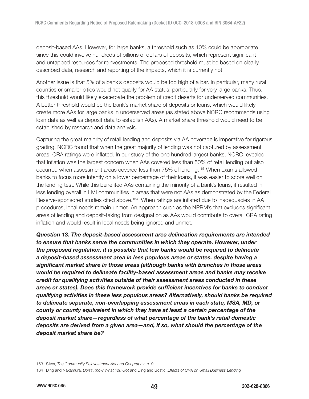deposit-based AAs. However, for large banks, a threshold such as 10% could be appropriate since this could involve hundreds of billions of dollars of deposits, which represent significant and untapped resources for reinvestments. The proposed threshold must be based on clearly described data, research and reporting of the impacts, which it is currently not.

Another issue is that 5% of a bank's deposits would be too high of a bar. In particular, many rural counties or smaller cities would not qualify for AA status, particularly for very large banks. Thus, this threshold would likely exacerbate the problem of credit deserts for underserved communities. A better threshold would be the bank's market share of deposits or loans, which would likely create more AAs for large banks in underserved areas (as stated above NCRC recommends using loan data as well as deposit data to establish AAs). A market share threshold would need to be established by research and data analysis.

Capturing the great majority of retail lending and deposits via AA coverage is imperative for rigorous grading. NCRC found that when the great majority of lending was not captured by assessment areas, CRA ratings were inflated. In our study of the one hundred largest banks, NCRC revealed that inflation was the largest concern when AAs covered less than 50% of retail lending but also occurred when assessment areas covered less than 75% of lending.<sup>163</sup> When exams allowed banks to focus more intently on a lower percentage of their loans, it was easier to score well on the lending test. While this benefited AAs containing the minority of a bank's loans, it resulted in less lending overall in LMI communities in areas that were not AAs as demonstrated by the Federal Reserve-sponsored studies cited above.<sup>164</sup> When ratings are inflated due to inadequacies in AA procedures, local needs remain unmet. An approach such as the NPRM's that excludes significant areas of lending and deposit-taking from designation as AAs would contribute to overall CRA rating inflation and would result in local needs being ignored and unmet.

Question 13. The deposit-based assessment area delineation requirements are intended to ensure that banks serve the communities in which they operate. However, under the proposed regulation, it is possible that few banks would be required to delineate a deposit-based assessment area in less populous areas or states, despite having a significant market share in those areas (although banks with branches in those areas would be required to delineate facility-based assessment areas and banks may receive credit for qualifying activities outside of their assessment areas conducted in these areas or states). Does this framework provide sufficient incentives for banks to conduct qualifying activities in these less populous areas? Alternatively, should banks be required to delineate separate, non-overlapping assessment areas in each state, MSA, MD, or county or county equivalent in which they have at least a certain percentage of the deposit market share—regardless of what percentage of the bank's retail domestic deposits are derived from a given area—and, if so, what should the percentage of the deposit market share be?

<sup>163</sup> Silver, The Community Reinvestment Act and Geography, p. 9.

<sup>164</sup> Ding and Nakamura, Don't Know What You Got and Ding and Bostic, Effects of CRA on Small Business Lending.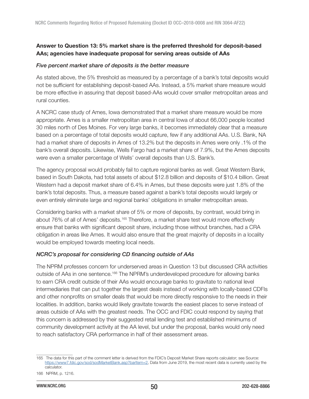# Answer to Question 13: 5% market share is the preferred threshold for deposit-based AAs; agencies have inadequate proposal for serving areas outside of AAs

#### Five percent market share of deposits is the better measure

As stated above, the 5% threshold as measured by a percentage of a bank's total deposits would not be sufficient for establishing deposit-based AAs. Instead, a 5% market share measure would be more effective in assuring that deposit based-AAs would cover smaller metropolitan areas and rural counties.

A NCRC case study of Ames, Iowa demonstrated that a market share measure would be more appropriate. Ames is a smaller metropolitan area in central Iowa of about 66,000 people located 30 miles north of Des Moines. For very large banks, it becomes immediately clear that a measure based on a percentage of total deposits would capture, few if any additional AAs. U.S. Bank, NA had a market share of deposits in Ames of 13.2% but the deposits in Ames were only .1% of the bank's overall deposits. Likewise, Wells Fargo had a market share of 7.9%, but the Ames deposits were even a smaller percentage of Wells' overall deposits than U.S. Bank's.

The agency proposal would probably fail to capture regional banks as well. Great Western Bank, based in South Dakota, had total assets of about \$12.8 billion and deposits of \$10.4 billion. Great Western had a deposit market share of 6.4% in Ames, but these deposits were just 1.8% of the bank's total deposits. Thus, a measure based against a bank's total deposits would largely or even entirely eliminate large and regional banks' obligations in smaller metropolitan areas.

Considering banks with a market share of 5% or more of deposits, by contrast, would bring in about 76% of all of Ames' deposits.<sup>165</sup> Therefore, a market share test would more effectively ensure that banks with significant deposit share, including those without branches, had a CRA obligation in areas like Ames. It would also ensure that the great majority of deposits in a locality would be employed towards meeting local needs.

## NCRC's proposal for considering CD financing outside of AAs

The NPRM professes concern for underserved areas in Question 13 but discussed CRA activities outside of AAs in one sentence.<sup>166</sup> The NPRM's underdeveloped procedure for allowing banks to earn CRA credit outside of their AAs would encourage banks to gravitate to national level intermediaries that can put together the largest deals instead of working with locally-based CDFIs and other nonprofits on smaller deals that would be more directly responsive to the needs in their localities. In addition, banks would likely gravitate towards the easiest places to serve instead of areas outside of AAs with the greatest needs. The OCC and FDIC could respond by saying that this concern is addressed by their suggested retail lending test and established minimums of community development activity at the AA level, but under the proposal, banks would only need to reach satisfactory CRA performance in half of their assessment areas.

<sup>165</sup> The data for this part of the comment letter is derived from the FDIC's Deposit Market Share reports calculator; see Source: [https://www7.fdic.gov/sod/sodMarketBank.asp?barItem=2,](https://www7.fdic.gov/sod/sodMarketBank.asp?barItem=2) Data from June 2019, the most recent data is currently used by the calculator.

<sup>166</sup> NPRM, p. 1216.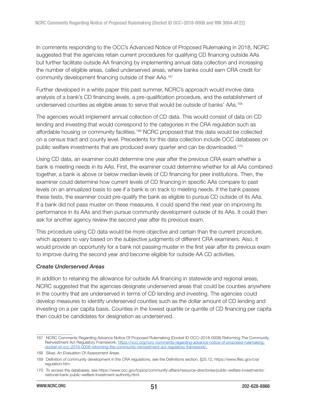In comments responding to the OCC's Advanced Notice of Proposed Rulemaking in 2018, NCRC suggested that the agencies retain current procedures for qualifying CD financing outside AAs but further facilitate outside AA financing by implementing annual data collection and increasing the number of eligible areas, called underserved areas, where banks could earn CRA credit for community development financing outside of their AAs.<sup>167</sup>

Further developed in a white paper this past summer, NCRC's approach would involve data analysis of a bank's CD financing levels, a pre-qualification procedure, and the establishment of underserved counties as eligible areas to serve that would be outside of banks' AAs.<sup>168</sup>

The agencies would implement annual collection of CD data. This would consist of data on CD lending and investing that would correspond to the categories in the CRA regulation such as affordable housing or community facilities.<sup>169</sup> NCRC proposed that this data would be collected on a census tract and county level. Precedents for this data collection include OCC databases on public welfare investments that are produced every quarter and can be downloaded.<sup>170</sup>

Using CD data, an examiner could determine one year after the previous CRA exam whether a bank is meeting needs in its AAs. First, the examiner could determine whether for all AAs combined together, a bank is above or below median levels of CD financing for peer institutions. Then, the examiner could determine how current levels of CD financing in specific AAs compare to past levels on an annualized basis to see if a bank is on track to meeting needs. If the bank passes these tests, the examiner could pre-qualify the bank as eligible to pursue CD outside of its AAs. If a bank did not pass muster on these measures, it could spend the next year on improving its performance in its AAs and then pursue community development outside of its AAs. It could then ask for another agency review the second year after its previous exam.

This procedure using CD data would be more objective and certain than the current procedure, which appears to vary based on the subjective judgments of different CRA examiners. Also, it would provide an opportunity for a bank not passing muster in the first year after its previous exam to improve during the second year and become eligible for outside AA CD activities.

#### Create Underserved Areas

In addition to retaining the allowance for outside AA financing in statewide and regional areas, NCRC suggested that the agencies designate underserved areas that could be counties anywhere in the country that are underserved in terms of CD lending and investing. The agencies could develop measures to identify underserved counties such as the dollar amount of CD lending and investing on a per capita basis. Counties in the lowest quartile or quintile of CD financing per capita then could be candidates for designation as underserved.

<sup>167</sup> NCRC Comments Regarding Advance Notice Of Proposed Rulemaking (Docket ID OCC–2018-0008) Reforming The Community Reinvestment Act Regulatory Framework, [https://ncrc.org/ncrc-comments-regarding-advance-notice-of-proposed-rulemaking](https://ncrc.org/ncrc-comments-regarding-advance-notice-of-proposed-rulemaking-docket-id-occ-2018-0008-reforming-the-community-reinvestment-act-regulatory-framework/)[docket-id-occ-2018-0008-reforming-the-community-reinvestment-act-regulatory-framework/.](https://ncrc.org/ncrc-comments-regarding-advance-notice-of-proposed-rulemaking-docket-id-occ-2018-0008-reforming-the-community-reinvestment-act-regulatory-framework/)

<sup>168</sup> Silver, An Evaluation Of Assessment Areas.

<sup>169</sup> Definition of community development in the CRA regulations, see the Definitions section, §25.12, [https://www.ffiec.gov/cra/](https://www.ffiec.gov/cra/regulation.htm) [regulation.htm](https://www.ffiec.gov/cra/regulation.htm).

<sup>170</sup> To access the databases, see [https://www.occ.gov/topics/community-affairs/resource-directories/public-welfare-investments/](https://www.occ.gov/topics/community-affairs/resource-directories/public-welfare-investments/national-bank-public-welfare-investment-authority.html) [national-bank-public-welfare-investment-authority.html.](https://www.occ.gov/topics/community-affairs/resource-directories/public-welfare-investments/national-bank-public-welfare-investment-authority.html)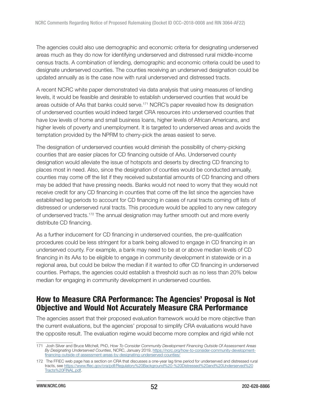The agencies could also use demographic and economic criteria for designating underserved areas much as they do now for identifying underserved and distressed rural middle-income census tracts. A combination of lending, demographic and economic criteria could be used to designate underserved counties. The counties receiving an underserved designation could be updated annually as is the case now with rural underserved and distressed tracts.

A recent NCRC white paper demonstrated via data analysis that using measures of lending levels, it would be feasible and desirable to establish underserved counties that would be areas outside of AAs that banks could serve.<sup>171</sup> NCRC's paper revealed how its designation of underserved counties would indeed target CRA resources into underserved counties that have low levels of home and small business loans, higher levels of African Americans, and higher levels of poverty and unemployment. It is targeted to underserved areas and avoids the temptation provided by the NPRM to cherry-pick the areas easiest to serve.

The designation of underserved counties would diminish the possibility of cherry-picking counties that are easier places for CD financing outside of AAs. Underserved county designation would alleviate the issue of hotspots and deserts by directing CD financing to places most in need. Also, since the designation of counties would be conducted annually, counties may come off the list if they received substantial amounts of CD financing and others may be added that have pressing needs. Banks would not need to worry that they would not receive credit for any CD financing in counties that come off the list since the agencies have established lag periods to account for CD financing in cases of rural tracts coming off lists of distressed or underserved rural tracts. This procedure would be applied to any new category of underserved tracts.<sup>172</sup> The annual designation may further smooth out and more evenly distribute CD financing.

As a further inducement for CD financing in underserved counties, the pre-qualification procedures could be less stringent for a bank being allowed to engage in CD financing in an underserved county. For example, a bank may need to be at or above median levels of CD financing in its AAs to be eligible to engage in community development in statewide or in a regional area, but could be below the median if it wanted to offer CD financing in underserved counties. Perhaps, the agencies could establish a threshold such as no less than 20% below median for engaging in community development in underserved counties.

# How to Measure CRA Performance: The Agencies' Proposal is Not Objective and Would Not Accurately Measure CRA Performance

The agencies assert that their proposed evaluation framework would be more objective than the current evaluations, but the agencies' proposal to simplify CRA evaluations would have the opposite result. The evaluation regime would become more complex and rigid while not

<sup>171</sup> Josh Silver and Bruce Mitchell, PhD, How To Consider Community Development Financing Outside Of Assessment Areas By Designating Underserved Counties, NCRC, January 2019, [https://ncrc.org/how-to-consider-community-development](https://ncrc.org/how-to-consider-community-development-financing-outside-of-assessment-areas-by-designating-underserved-counties/)[financing-outside-of-assessment-areas-by-designating-underserved-counties/](https://ncrc.org/how-to-consider-community-development-financing-outside-of-assessment-areas-by-designating-underserved-counties/)

<sup>172</sup> The FFIEC web page has a section on CRA that discusses a one-year lag time period for underserved and distressed rural tracts, see [https://www.ffiec.gov/cra/pdf/Regulatory%20Background%20-%20Distressed%20and%20Underserved%20](https://www.ffiec.gov/cra/pdf/Regulatory%20Background%20-%20Distressed%20and%20Underserved%20Tracts%20FINAL.pdf) [Tracts%20FINAL.pdf](https://www.ffiec.gov/cra/pdf/Regulatory%20Background%20-%20Distressed%20and%20Underserved%20Tracts%20FINAL.pdf).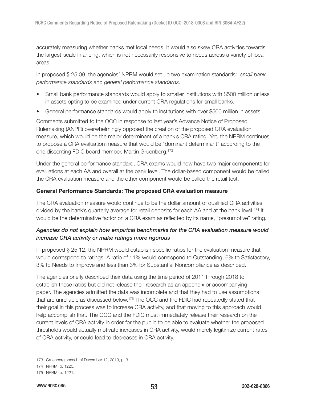accurately measuring whether banks met local needs. It would also skew CRA activities towards the largest-scale financing, which is not necessarily responsive to needs across a variety of local areas.

In proposed § 25.09, the agencies' NPRM would set up two examination standards: *small bank* performance standards and general performance standards.

- Small bank performance standards would apply to smaller institutions with \$500 million or less in assets opting to be examined under current CRA regulations for small banks.
- General performance standards would apply to institutions with over \$500 million in assets.

Comments submitted to the OCC in response to last year's Advance Notice of Proposed Rulemaking (ANPR) overwhelmingly opposed the creation of the proposed CRA evaluation measure, which would be the major determinant of a bank's CRA rating. Yet, the NPRM continues to propose a CRA evaluation measure that would be "dominant determinant" according to the one dissenting FDIC board member, Martin Gruenberg.<sup>173</sup>

Under the general performance standard, CRA exams would now have two major components for evaluations at each AA and overall at the bank level. The dollar-based component would be called the CRA evaluation measure and the other component would be called the retail test.

### General Performance Standards: The proposed CRA evaluation measure

The CRA evaluation measure would continue to be the dollar amount of qualified CRA activities divided by the bank's quarterly average for retail deposits for each AA and at the bank level.<sup>174</sup> It would be the determinative factor on a CRA exam as reflected by its name, "presumptive" rating.

# Agencies do not explain how empirical benchmarks for the CRA evaluation measure would increase CRA activity or make ratings more rigorous

In proposed § 25.12, the NPRM would establish specific ratios for the evaluation measure that would correspond to ratings. A ratio of 11% would correspond to Outstanding, 6% to Satisfactory, 3% to Needs to Improve and less than 3% for Substantial Noncompliance as described.

The agencies briefly described their data using the time period of 2011 through 2018 to establish these ratios but did not release their research as an appendix or accompanying paper. The agencies admitted the data was incomplete and that they had to use assumptions that are unreliable as discussed below.<sup>175</sup> The OCC and the FDIC had repeatedly stated that their goal in this process was to increase CRA activity, and that moving to this approach would help accomplish that. The OCC and the FDIC must immediately release their research on the current levels of CRA activity in order for the public to be able to evaluate whether the proposed thresholds would actually motivate increases in CRA activity, would merely legitimize current rates of CRA activity, or could lead to decreases in CRA activity.

<sup>173</sup> Gruenberg speech of December 12, 2019, p. 3.

<sup>174</sup> NPRM, p. 1220.

<sup>175</sup> NPRM, p. 1221.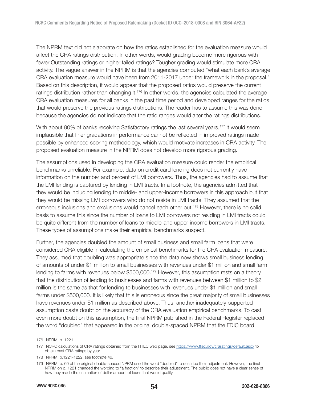The NPRM text did not elaborate on how the ratios established for the evaluation measure would affect the CRA ratings distribution. In other words, would grading become more rigorous with fewer Outstanding ratings or higher failed ratings? Tougher grading would stimulate more CRA activity. The vague answer in the NPRM is that the agencies computed "what each bank's average CRA evaluation measure would have been from 2011-2017 under the framework in the proposal." Based on this description, it would appear that the proposed ratios would preserve the current ratings distribution rather than changing it.<sup>176</sup> In other words, the agencies calculated the average CRA evaluation measures for all banks in the past time period and developed ranges for the ratios that would preserve the previous ratings distributions. The reader has to assume this was done because the agencies do not indicate that the ratio ranges would alter the ratings distributions.

With about 90% of banks receiving Satisfactory ratings the last several years,<sup>177</sup> it would seem implausible that finer gradations in performance cannot be reflected in improved ratings made possible by enhanced scoring methodology, which would motivate increases in CRA activity. The proposed evaluation measure in the NPRM does not develop more rigorous grading.

The assumptions used in developing the CRA evaluation measure could render the empirical benchmarks unreliable. For example, data on credit card lending does not currently have information on the number and percent of LMI borrowers. Thus, the agencies had to assume that the LMI lending is captured by lending in LMI tracts. In a footnote, the agencies admitted that they would be including lending to middle- and upper-income borrowers in this approach but that they would be missing LMI borrowers who do not reside in LMI tracts. They assumed that the erroneous inclusions and exclusions would cancel each other out.<sup>178</sup> However, there is no solid basis to assume this since the number of loans to LMI borrowers not residing in LMI tracts could be quite different from the number of loans to middle-and upper-income borrowers in LMI tracts. These types of assumptions make their empirical benchmarks suspect.

Further, the agencies doubled the amount of small business and small farm loans that were considered CRA eligible in calculating the empirical benchmarks for the CRA evaluation measure. They assumed that doubling was appropriate since the data now shows small business lending of amounts of under \$1 million to small businesses with revenues under \$1 million and small farm lending to farms with revenues below \$500,000.<sup>179</sup> However, this assumption rests on a theory that the distribution of lending to businesses and farms with revenues between \$1 million to \$2 million is the same as that for lending to businesses with revenues under \$1 million and small farms under \$500,000. It is likely that this is erroneous since the great majority of small businesses have revenues under \$1 million as described above. Thus, another inadequately-supported assumption casts doubt on the accuracy of the CRA evaluation empirical benchmarks. To cast even more doubt on this assumption, the final NPRM published in the Federal Register replaced the word "doubled" that appeared in the original double-spaced NPRM that the FDIC board

<sup>176</sup> NPRM, p. 1221.

<sup>177</sup> NCRC calculations of CRA ratings obtained from the FFIEC web page, see <https://www.ffiec.gov/craratings/default.aspx>to obtain past CRA ratings by year.

<sup>178</sup> NPRM, p.1221-1222, see footnote 46.

<sup>179</sup> NPRM, p. 60 of the original double-spaced NPRM used the word "doubled" to describe their adjustment. However, the final NPRM on p. 1221 changed the wording to "a fraction" to describe their adjustment. The public does not have a clear sense of how they made the estimation of dollar amount of loans that would qualify.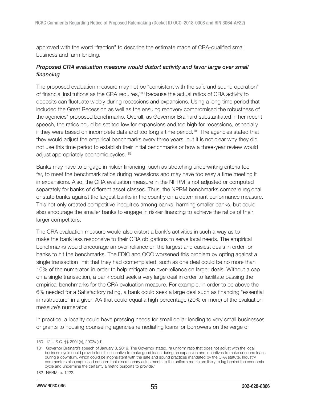approved with the word "fraction" to describe the estimate made of CRA-qualified small business and farm lending.

## Proposed CRA evaluation measure would distort activity and favor large over small financing

The proposed evaluation measure may not be "consistent with the safe and sound operation" of financial institutions as the CRA requires,<sup>180</sup> because the actual ratios of CRA activity to deposits can fluctuate widely during recessions and expansions. Using a long time period that included the Great Recession as well as the ensuing recovery compromised the robustness of the agencies' proposed benchmarks. Overall, as Governor Brainard substantiated in her recent speech, the ratios could be set too low for expansions and too high for recessions, especially if they were based on incomplete data and too long a time period.<sup>181</sup> The agencies stated that they would adjust the empirical benchmarks every three years, but it is not clear why they did not use this time period to establish their initial benchmarks or how a three-year review would adjust appropriately economic cycles.<sup>182</sup>

Banks may have to engage in riskier financing, such as stretching underwriting criteria too far, to meet the benchmark ratios during recessions and may have too easy a time meeting it in expansions. Also, the CRA evaluation measure in the NPRM is not adjusted or computed separately for banks of different asset classes. Thus, the NPRM benchmarks compare regional or state banks against the largest banks in the country on a determinant performance measure. This not only created competitive inequities among banks, harming smaller banks, but could also encourage the smaller banks to engage in riskier financing to achieve the ratios of their larger competitors.

The CRA evaluation measure would also distort a bank's activities in such a way as to make the bank less responsive to their CRA obligations to serve local needs. The empirical benchmarks would encourage an over-reliance on the largest and easiest deals in order for banks to hit the benchmarks. The FDIC and OCC worsened this problem by opting against a single transaction limit that they had contemplated, such as one deal could be no more than 10% of the numerator, in order to help mitigate an over-reliance on larger deals. Without a cap on a single transaction, a bank could seek a very large deal in order to facilitate passing the empirical benchmarks for the CRA evaluation measure. For example, in order to be above the 6% needed for a Satisfactory rating, a bank could seek a large deal such as financing "essential infrastructure" in a given AA that could equal a high percentage (20% or more) of the evaluation measure's numerator.

In practice, a locality could have pressing needs for small dollar lending to very small businesses or grants to housing counseling agencies remediating loans for borrowers on the verge of

<sup>180 12</sup> U.S.C. §§ 2901(b), 2903(a)(1).

<sup>181</sup> Governor Brainard's speech of January 8, 2019. The Governor stated, "a uniform ratio that does not adjust with the local business cycle could provide too little incentive to make good loans during an expansion and incentives to make unsound loans during a downturn, which could be inconsistent with the safe and sound practices mandated by the CRA statute. Industry commenters also expressed concern that discretionary adjustments to the uniform metric are likely to lag behind the economic cycle and undermine the certainty a metric purports to provide."

<sup>182</sup> NPRM, p. 1222.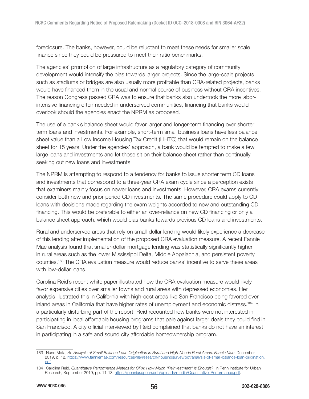foreclosure. The banks, however, could be reluctant to meet these needs for smaller scale finance since they could be pressured to meet their ratio benchmarks.

The agencies' promotion of large infrastructure as a regulatory category of community development would intensify the bias towards larger projects. Since the large-scale projects such as stadiums or bridges are also usually more profitable than CRA-related projects, banks would have financed them in the usual and normal course of business without CRA incentives. The reason Congress passed CRA was to ensure that banks also undertook the more laborintensive financing often needed in underserved communities, financing that banks would overlook should the agencies enact the NPRM as proposed.

The use of a bank's balance sheet would favor larger and longer-term financing over shorter term loans and investments. For example, short-term small business loans have less balance sheet value than a Low Income Housing Tax Credit (LIHTC) that would remain on the balance sheet for 15 years. Under the agencies' approach, a bank would be tempted to make a few large loans and investments and let those sit on their balance sheet rather than continually seeking out new loans and investments.

The NPRM is attempting to respond to a tendency for banks to issue shorter term CD loans and investments that correspond to a three-year CRA exam cycle since a perception exists that examiners mainly focus on newer loans and investments. However, CRA exams currently consider both new and prior-period CD investments. The same procedure could apply to CD loans with decisions made regarding the exam weights accorded to new and outstanding CD financing. This would be preferable to either an over-reliance on new CD financing or only a balance sheet approach, which would bias banks towards previous CD loans and investments.

Rural and underserved areas that rely on small-dollar lending would likely experience a decrease of this lending after implementation of the proposed CRA evaluation measure. A recent Fannie Mae analysis found that smaller-dollar mortgage lending was statistically significantly higher in rural areas such as the lower Mississippi Delta, Middle Appalachia, and persistent poverty counties.<sup>183</sup> The CRA evaluation measure would reduce banks' incentive to serve these areas with low-dollar loans.

Carolina Reid's recent white paper illustrated how the CRA evaluation measure would likely favor expensive cities over smaller towns and rural areas with depressed economies. Her analysis illustrated this in California with high-cost areas like San Francisco being favored over inland areas in California that have higher rates of unemployment and economic distress.<sup>184</sup> In a particularly disturbing part of the report, Reid recounted how banks were not interested in participating in local affordable housing programs that pale against larger deals they could find in San Francisco. A city official interviewed by Reid complained that banks do not have an interest in participating in a safe and sound city affordable homeownership program.

<sup>183</sup> Nuno Mota, An Analysis of Small Balance Loan Origination in Rural and High-Needs Rural Areas, Fannie Mae, December 2019, p. 12, [https://www.fanniemae.com/resources/file/research/housingsurvey/pdf/analysis-of-small-balance-loan-origination.](https://www.fanniemae.com/resources/file/research/housingsurvey/pdf/analysis-of-small-balance-loan-origination.pdf) [pdf](https://www.fanniemae.com/resources/file/research/housingsurvey/pdf/analysis-of-small-balance-loan-origination.pdf).

<sup>184</sup> Carolina Reid, Quantitative Performance Metrics for CRA: How Much "Reinvestment" is Enough?, in Penn Institute for Urban Research, September 2019, pp. 11-13, [https://penniur.upenn.edu/uploads/media/Quantitative\\_Performance.pdf](https://penniur.upenn.edu/uploads/media/Quantitative_Performance.pdf).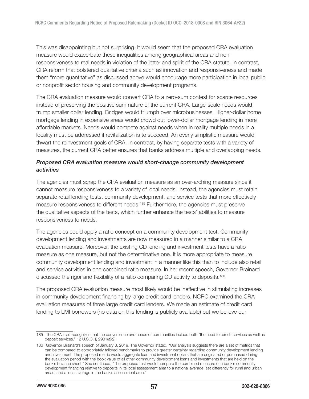This was disappointing but not surprising. It would seem that the proposed CRA evaluation measure would exacerbate these inequalities among geographical areas and nonresponsiveness to real needs in violation of the letter and spirit of the CRA statute. In contrast, CRA reform that bolstered qualitative criteria such as innovation and responsiveness and made them "more quantitative" as discussed above would encourage more participation in local public or nonprofit sector housing and community development programs.

The CRA evaluation measure would convert CRA to a zero-sum contest for scarce resources instead of preserving the positive sum nature of the current CRA. Large-scale needs would trump smaller dollar lending. Bridges would triumph over microbusinesses. Higher-dollar home mortgage lending in expensive areas would crowd out lower-dollar mortgage lending in more affordable markets. Needs would compete against needs when in reality multiple needs in a locality must be addressed if revitalization is to succeed. An overly simplistic measure would thwart the reinvestment goals of CRA. In contrast, by having separate tests with a variety of measures, the current CRA better ensures that banks address multiple and overlapping needs.

## Proposed CRA evaluation measure would short-change community development activities

The agencies must scrap the CRA evaluation measure as an over-arching measure since it cannot measure responsiveness to a variety of local needs. Instead, the agencies must retain separate retail lending tests, community development, and service tests that more effectively measure responsiveness to different needs.<sup>185</sup> Furthermore, the agencies must preserve the qualitative aspects of the tests, which further enhance the tests' abilities to measure responsiveness to needs.

The agencies could apply a ratio concept on a community development test. Community development lending and investments are now measured in a manner similar to a CRA evaluation measure. Moreover, the existing CD lending and investment tests have a ratio measure as one measure, but not the determinative one. It is more appropriate to measure community development lending and investment in a manner like this than to include also retail and service activities in one combined ratio measure. In her recent speech, Governor Brainard discussed the rigor and flexibility of a ratio comparing CD activity to deposits.<sup>186</sup>

The proposed CRA evaluation measure most likely would be ineffective in stimulating increases in community development financing by large credit card lenders. NCRC examined the CRA evaluation measures of three large credit card lenders. We made an estimate of credit card lending to LMI borrowers (no data on this lending is publicly available) but we believe our

<sup>185</sup> The CRA itself recognizes that the convenience and needs of communities include both "the need for credit services as well as deposit services." 12 U.S.C. § 2901(a)(2).

<sup>186</sup> Governor Brainard's speech of January 8, 2019. The Governor stated, "Our analysis suggests there are a set of metrics that can be compared to appropriately tailored benchmarks to provide greater certainty regarding community development lending and investment. The proposed metric would aggregate loan and investment dollars that are originated or purchased during the evaluation period with the book value of all other community development loans and investments that are held on the bank's balance sheet." She continued, "The proposed test would compare the combined measure of a bank's community development financing relative to deposits in its local assessment area to a national average, set differently for rural and urban areas, and a local average in the bank's assessment area."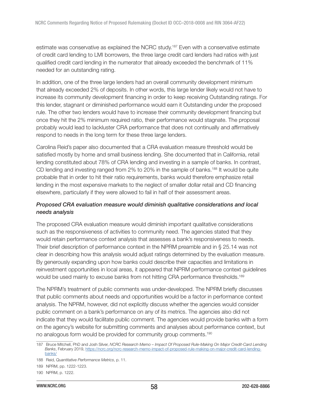estimate was conservative as explained the NCRC study.<sup>187</sup> Even with a conservative estimate of credit card lending to LMI borrowers, the three large credit card lenders had ratios with just qualified credit card lending in the numerator that already exceeded the benchmark of 11% needed for an outstanding rating.

In addition, one of the three large lenders had an overall community development minimum that already exceeded 2% of deposits. In other words, this large lender likely would not have to increase its community development financing in order to keep receiving Outstanding ratings. For this lender, stagnant or diminished performance would earn it Outstanding under the proposed rule. The other two lenders would have to increase their community development financing but once they hit the 2% minimum required ratio, their performance would stagnate. The proposal probably would lead to lackluster CRA performance that does not continually and affirmatively respond to needs in the long term for these three large lenders.

Carolina Reid's paper also documented that a CRA evaluation measure threshold would be satisfied mostly by home and small business lending. She documented that in California, retail lending constituted about 78% of CRA lending and investing in a sample of banks. In contrast, CD lending and investing ranged from 2% to 20% in the sample of banks.<sup>188</sup> It would be quite probable that in order to hit their ratio requirements, banks would therefore emphasize retail lending in the most expensive markets to the neglect of smaller dollar retail and CD financing elsewhere, particularly if they were allowed to fail in half of their assessment areas.

## Proposed CRA evaluation measure would diminish qualitative considerations and local needs analysis

The proposed CRA evaluation measure would diminish important qualitative considerations such as the responsiveness of activities to community need. The agencies stated that they would retain performance context analysis that assesses a bank's responsiveness to needs. Their brief description of performance context in the NPRM preamble and in § 25.14 was not clear in describing how this analysis would adjust ratings determined by the evaluation measure. By generously expanding upon how banks could describe their capacities and limitations in reinvestment opportunities in local areas, it appeared that NPRM performance context guidelines would be used mainly to excuse banks from not hitting CRA performance thresholds.<sup>189</sup>

The NPRM's treatment of public comments was under-developed. The NPRM briefly discusses that public comments about needs and opportunities would be a factor in performance context analysis. The NPRM, however, did not explicitly discuss whether the agencies would consider public comment on a bank's performance on any of its metrics. The agencies also did not indicate that they would facilitate public comment. The agencies would provide banks with a form on the agency's website for submitting comments and analyses about performance context, but no analogous form would be provided for community group comments.<sup>190</sup>

<sup>187</sup> Bruce Mitchell, PhD and Josh Silver, NCRC Research Memo – Impact Of Proposed Rule-Making On Major Credit-Card Lending Banks, February 2019, [https://ncrc.org/ncrc-research-memo-impact-of-proposed-rule-making-on-major-credit-card-lending](https://ncrc.org/ncrc-research-memo-impact-of-proposed-rule-making-on-major-credit-card-lending-banks/)[banks/](https://ncrc.org/ncrc-research-memo-impact-of-proposed-rule-making-on-major-credit-card-lending-banks/)

<sup>188</sup> Reid, Quantitative Performance Metrics, p. 11.

<sup>189</sup> NPRM, pp. 1222-1223.

<sup>190</sup> NPRM, p. 1222.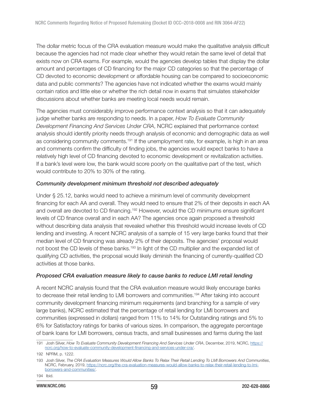The dollar metric focus of the CRA evaluation measure would make the qualitative analysis difficult because the agencies had not made clear whether they would retain the same level of detail that exists now on CRA exams. For example, would the agencies develop tables that display the dollar amount and percentages of CD financing for the major CD categories so that the percentage of CD devoted to economic development or affordable housing can be compared to socioeconomic data and public comments? The agencies have not indicated whether the exams would mainly contain ratios and little else or whether the rich detail now in exams that simulates stakeholder discussions about whether banks are meeting local needs would remain.

The agencies must considerably improve performance context analysis so that it can adequately judge whether banks are responding to needs. In a paper, How To Evaluate Community Development Financing And Services Under CRA, NCRC explained that performance context analysis should identify priority needs through analysis of economic and demographic data as well as considering community comments.<sup>191</sup> If the unemployment rate, for example, is high in an area and comments confirm the difficulty of finding jobs, the agencies would expect banks to have a relatively high level of CD financing devoted to economic development or revitalization activities. If a bank's level were low, the bank would score poorly on the qualitative part of the test, which would contribute to 20% to 30% of the rating.

#### Community development minimum threshold not described adequately

Under § 25.12, banks would need to achieve a minimum level of community development financing for each AA and overall. They would need to ensure that 2% of their deposits in each AA and overall are devoted to CD financing.<sup>192</sup> However, would the CD minimums ensure significant levels of CD finance overall and in each AA? The agencies once again proposed a threshold without describing data analysis that revealed whether this threshold would increase levels of CD lending and investing. A recent NCRC analysis of a sample of 15 very large banks found that their median level of CD financing was already 2% of their deposits. The agencies' proposal would not boost the CD levels of these banks.<sup>193</sup> In light of the CD multiplier and the expanded list of qualifying CD activities, the proposal would likely diminish the financing of currently-qualified CD activities at those banks.

#### Proposed CRA evaluation measure likely to cause banks to reduce LMI retail lending

A recent NCRC analysis found that the CRA evaluation measure would likely encourage banks to decrease their retail lending to LMI borrowers and communities.<sup>194</sup> After taking into account community development financing minimum requirements (and branching for a sample of very large banks), NCRC estimated that the percentage of retail lending for LMI borrowers and communities (expressed in dollars) ranged from 11% to 14% for Outstanding ratings and 5% to 6% for Satisfactory ratings for banks of various sizes. In comparison, the aggregate percentage of bank loans for LMI borrowers, census tracts, and small businesses and farms during the last

<sup>191</sup> Josh Silver, How To Evaluate Community Development Financing And Services Under CRA, December, 2019, NCRC, [https://](https://ncrc.org/how-to-evaluate-community-development-financing-and-services-under-cra/) [ncrc.org/how-to-evaluate-community-development-financing-and-services-under-cra/](https://ncrc.org/how-to-evaluate-community-development-financing-and-services-under-cra/).

<sup>192</sup> NPRM, p. 1222.

<sup>193</sup> Josh Silver, The CRA Evaluation Measures Would Allow Banks To Relax Their Retail Lending To LMI Borrowers And Communities, NCRC, February, 2019, [https://ncrc.org/the-cra-evaluation-measures-would-allow-banks-to-relax-their-retail-lending-to-lmi](https://ncrc.org/the-cra-evaluation-measures-would-allow-banks-to-relax-their-retail-lending-to-lmi-borrowers-and-communities/)[borrowers-and-communities/](https://ncrc.org/the-cra-evaluation-measures-would-allow-banks-to-relax-their-retail-lending-to-lmi-borrowers-and-communities/).

<sup>194</sup> Ibid.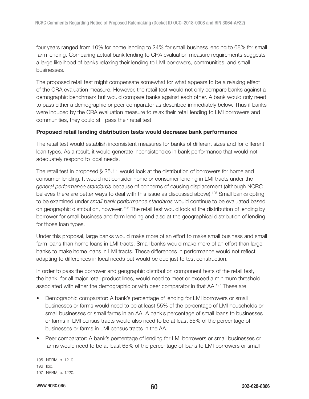four years ranged from 10% for home lending to 24% for small business lending to 68% for small farm lending. Comparing actual bank lending to CRA evaluation measure requirements suggests a large likelihood of banks relaxing their lending to LMI borrowers, communities, and small businesses.

The proposed retail test might compensate somewhat for what appears to be a relaxing effect of the CRA evaluation measure. However, the retail test would not only compare banks against a demographic benchmark but would compare banks against each other. A bank would only need to pass either a demographic or peer comparator as described immediately below. Thus if banks were induced by the CRA evaluation measure to relax their retail lending to LMI borrowers and communities, they could still pass their retail test.

### Proposed retail lending distribution tests would decrease bank performance

The retail test would establish inconsistent measures for banks of different sizes and for different loan types. As a result, it would generate inconsistencies in bank performance that would not adequately respond to local needs.

The retail test in proposed § 25.11 would look at the distribution of borrowers for home and consumer lending. It would not consider home or consumer lending in LMI tracts under the general performance standards because of concerns of causing displacement (although NCRC believes there are better ways to deal with this issue as discussed above).<sup>195</sup> Small banks opting to be examined under small bank performance standards would continue to be evaluated based on geographic distribution, however.<sup>196</sup> The retail test would look at the distribution of lending by borrower for small business and farm lending and also at the geographical distribution of lending for those loan types.

Under this proposal, large banks would make more of an effort to make small business and small farm loans than home loans in LMI tracts. Small banks would make more of an effort than large banks to make home loans in LMI tracts. These differences in performance would not reflect adapting to differences in local needs but would be due just to test construction.

In order to pass the borrower and geographic distribution component tests of the retail test, the bank, for all major retail product lines, would need to meet or exceed a minimum threshold associated with either the demographic or with peer comparator in that AA.<sup>197</sup> These are:

- Demographic comparator: A bank's percentage of lending for LMI borrowers or small businesses or farms would need to be at least 55% of the percentage of LMI households or small businesses or small farms in an AA. A bank's percentage of small loans to businesses or farms in LMI census tracts would also need to be at least 55% of the percentage of businesses or farms in LMI census tracts in the AA.
- Peer comparator: A bank's percentage of lending for LMI borrowers or small businesses or farms would need to be at least 65% of the percentage of loans to LMI borrowers or small

<sup>195</sup> NPRM, p. 1219. 196 Ibid.

<sup>197</sup> NPRM, p. 1220.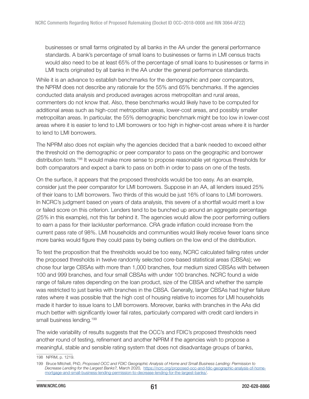businesses or small farms originated by all banks in the AA under the general performance standards. A bank's percentage of small loans to businesses or farms in LMI census tracts would also need to be at least 65% of the percentage of small loans to businesses or farms in LMI tracts originated by all banks in the AA under the general performance standards.

While it is an advance to establish benchmarks for the demographic and peer comparators, the NPRM does not describe any rationale for the 55% and 65% benchmarks. If the agencies conducted data analysis and produced averages across metropolitan and rural areas, commenters do not know that. Also, these benchmarks would likely have to be computed for additional areas such as high-cost metropolitan areas, lower-cost areas, and possibly smaller metropolitan areas. In particular, the 55% demographic benchmark might be too low in lower-cost areas where it is easier to lend to LMI borrowers or too high in higher-cost areas where it is harder to lend to LMI borrowers.

The NPRM also does not explain why the agencies decided that a bank needed to exceed either the threshold on the demographic or peer comparator to pass on the geographic and borrower distribution tests.<sup>198</sup> It would make more sense to propose reasonable yet rigorous thresholds for both comparators and expect a bank to pass on both in order to pass on one of the tests.

On the surface, it appears that the proposed thresholds would be too easy. As an example, consider just the peer comparator for LMI borrowers. Suppose in an AA, all lenders issued 25% of their loans to LMI borrowers. Two thirds of this would be just 16% of loans to LMI borrowers. In NCRC's judgment based on years of data analysis, this severe of a shortfall would merit a low or failed score on this criterion. Lenders tend to be bunched up around an aggregate percentage (25% in this example), not this far behind it. The agencies would allow the poor performing outliers to earn a pass for their lackluster performance. CRA grade inflation could increase from the current pass rate of 98%. LMI households and communities would likely receive fewer loans since more banks would figure they could pass by being outliers on the low end of the distribution.

To test the proposition that the thresholds would be too easy, NCRC calculated failing rates under the proposed thresholds in twelve randomly selected core-based statistical areas (CBSAs); we chose four large CBSAs with more than 1,000 branches, four medium sized CBSAs with between 100 and 999 branches, and four small CBSAs with under 100 branches. NCRC found a wide range of failure rates depending on the loan product, size of the CBSA and whether the sample was restricted to just banks with branches in the CBSA. Generally, larger CBSAs had higher failure rates where it was possible that the high cost of housing relative to incomes for LMI households made it harder to issue loans to LMI borrowers. Moreover, banks with branches in the AAs did much better with significantly lower fail rates, particularly compared with credit card lenders in small business lending.<sup>199</sup>

The wide variability of results suggests that the OCC's and FDIC's proposed thresholds need another round of testing, refinement and another NPRM if the agencies wish to propose a meaningful, stable and sensible rating system that does not disadvantage groups of banks,

<sup>198</sup> NPRM, p. 1219.

<sup>199</sup> Bruce Mitchell, PhD, Proposed OCC and FDIC Geographic Analysis of Home and Small Business Lending: Permission to Decrease Lending for the Largest Banks?, March 2020, [https://ncrc.org/proposed-occ-and-fdic-geographic-analysis-of-home](https://ncrc.org/proposed-occ-and-fdic-geographic-analysis-of-home-mortgage-and-small-business-lending-permission-to-decrease-lending-for-the-largest-banks/)[mortgage-and-small-business-lending-permission-to-decrease-lending-for-the-largest-banks/.](https://ncrc.org/proposed-occ-and-fdic-geographic-analysis-of-home-mortgage-and-small-business-lending-permission-to-decrease-lending-for-the-largest-banks/)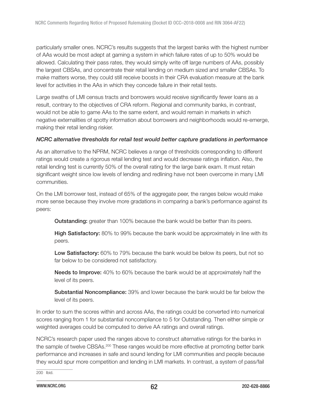particularly smaller ones. NCRC's results suggests that the largest banks with the highest number of AAs would be most adept at gaming a system in which failure rates of up to 50% would be allowed. Calculating their pass rates, they would simply write off large numbers of AAs, possibly the largest CBSAs, and concentrate their retail lending on medium sized and smaller CBSAs. To make matters worse, they could still receive boosts in their CRA evaluation measure at the bank level for activities in the AAs in which they concede failure in their retail tests.

Large swaths of LMI census tracts and borrowers would receive significantly fewer loans as a result, contrary to the objectives of CRA reform. Regional and community banks, in contrast, would not be able to game AAs to the same extent, and would remain in markets in which negative externalities of spotty information about borrowers and neighborhoods would re-emerge, making their retail lending riskier.

### NCRC alternative thresholds for retail test would better capture gradations in performance

As an alternative to the NPRM, NCRC believes a range of thresholds corresponding to different ratings would create a rigorous retail lending test and would decrease ratings inflation. Also, the retail lending test is currently 50% of the overall rating for the large bank exam. It must retain significant weight since low levels of lending and redlining have not been overcome in many LMI communities.

On the LMI borrower test, instead of 65% of the aggregate peer, the ranges below would make more sense because they involve more gradations in comparing a bank's performance against its peers:

**Outstanding:** greater than 100% because the bank would be better than its peers.

**High Satisfactory:** 80% to 99% because the bank would be approximately in line with its peers.

Low Satisfactory: 60% to 79% because the bank would be below its peers, but not so far below to be considered not satisfactory.

**Needs to Improve:** 40% to 60% because the bank would be at approximately half the level of its peers.

Substantial Noncompliance: 39% and lower because the bank would be far below the level of its peers.

In order to sum the scores within and across AAs, the ratings could be converted into numerical scores ranging from 1 for substantial noncompliance to 5 for Outstanding. Then either simple or weighted averages could be computed to derive AA ratings and overall ratings.

NCRC's research paper used the ranges above to construct alternative ratings for the banks in the sample of twelve CBSAs.<sup>200</sup> These ranges would be more effective at promoting better bank performance and increases in safe and sound lending for LMI communities and people because they would spur more competition and lending in LMI markets. In contrast, a system of pass/fail

200 Ibid.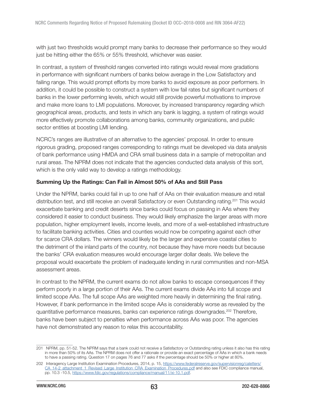with just two thresholds would prompt many banks to decrease their performance so they would just be hitting either the 65% or 55% threshold, whichever was easier.

In contrast, a system of threshold ranges converted into ratings would reveal more gradations in performance with significant numbers of banks below average in the Low Satisfactory and failing range. This would prompt efforts by more banks to avoid exposure as poor performers. In addition, it could be possible to construct a system with low fail rates but significant numbers of banks in the lower performing levels, which would still provide powerful motivations to improve and make more loans to LMI populations. Moreover, by increased transparency regarding which geographical areas, products, and tests in which any bank is lagging, a system of ratings would more effectively promote collaborations among banks, community organizations, and public sector entities at boosting LMI lending.

NCRC's ranges are illustrative of an alternative to the agencies' proposal. In order to ensure rigorous grading, proposed ranges corresponding to ratings must be developed via data analysis of bank performance using HMDA and CRA small business data in a sample of metropolitan and rural areas. The NPRM does not indicate that the agencies conducted data analysis of this sort, which is the only valid way to develop a ratings methodology.

### Summing Up the Ratings: Can Fail in Almost 50% of AAs and Still Pass

Under the NPRM, banks could fail in up to one half of AAs on their evaluation measure and retail distribution test, and still receive an overall Satisfactory or even Outstanding rating.<sup>201</sup> This would exacerbate banking and credit deserts since banks could focus on passing in AAs where they considered it easier to conduct business. They would likely emphasize the larger areas with more population, higher employment levels, income levels, and more of a well-established infrastructure to facilitate banking activities. Cities and counties would now be competing against each other for scarce CRA dollars. The winners would likely be the larger and expensive coastal cities to the detriment of the inland parts of the country, not because they have more needs but because the banks' CRA evaluation measures would encourage larger dollar deals. We believe the proposal would exacerbate the problem of inadequate lending in rural communities and non-MSA assessment areas.

In contrast to the NPRM, the current exams do not allow banks to escape consequences if they perform poorly in a large portion of their AAs. The current exams divide AAs into full scope and limited scope AAs. The full scope AAs are weighted more heavily in determining the final rating. However, if bank performance in the limited scope AAs is considerably worse as revealed by the quantitative performance measures, banks can experience ratings downgrades.<sup>202</sup> Therefore, banks have been subject to penalties when performance across AAs was poor. The agencies have not demonstrated any reason to relax this accountability.

<sup>201</sup> NPRM, pp. 51-52. The NPRM says that a bank could not receive a Satisfactory or Outstanding rating unless it also has this rating in more than 50% of its AAs. The NPRM does not offer a rationale or provide an exact percentage of AAs in which a bank needs to have a passing rating. Question 17 on pages 76 and 77 asks if the percentage should be 50% or higher at 80%.

<sup>202</sup> Interagency Large Institution Examination Procedures, 2014, p. 15, [https://www.federalreserve.gov/supervisionreg/caletters/](https://www.federalreserve.gov/supervisionreg/caletters/CA_14-2_attachment_1_Revised_Large_Institution_CRA_Examination_Procedures.pdf) [CA\\_14-2\\_attachment\\_1\\_Revised\\_Large\\_Institution\\_CRA\\_Examination\\_Procedures.pdf](https://www.federalreserve.gov/supervisionreg/caletters/CA_14-2_attachment_1_Revised_Large_Institution_CRA_Examination_Procedures.pdf) and also see FDIC compliance manual, pp. 10.3 -10.5, [https://www.fdic.gov/regulations/compliance/manual/11/xi-10.1.pdf.](https://www.fdic.gov/regulations/compliance/manual/11/xi-10.1.pdf)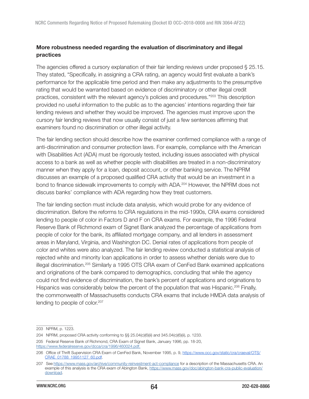# More robustness needed regarding the evaluation of discriminatory and illegal practices

The agencies offered a cursory explanation of their fair lending reviews under proposed § 25.15. They stated, "Specifically, in assigning a CRA rating, an agency would first evaluate a bank's performance for the applicable time period and then make any adjustments to the presumptive rating that would be warranted based on evidence of discriminatory or other illegal credit practices, consistent with the relevant agency's policies and procedures."<sup>203</sup> This description provided no useful information to the public as to the agencies' intentions regarding their fair lending reviews and whether they would be improved. The agencies must improve upon the cursory fair lending reviews that now usually consist of just a few sentences affirming that examiners found no discrimination or other illegal activity.

The fair lending section should describe how the examiner confirmed compliance with a range of anti-discrimination and consumer protection laws. For example, compliance with the American with Disabilities Act (ADA) must be rigorously tested, including issues associated with physical access to a bank as well as whether people with disabilities are treated in a non-discriminatory manner when they apply for a loan, deposit account, or other banking service. The NPRM discusses an example of a proposed qualified CRA activity that would be an investment in a bond to finance sidewalk improvements to comply with ADA.<sup>204</sup> However, the NPRM does not discuss banks' compliance with ADA regarding how they treat customers.

The fair lending section must include data analysis, which would probe for any evidence of discrimination. Before the reforms to CRA regulations in the mid-1990s, CRA exams considered lending to people of color in Factors D and F on CRA exams. For example, the 1996 Federal Reserve Bank of Richmond exam of Signet Bank analyzed the percentage of applications from people of color for the bank, its affiliated mortgage company, and all lenders in assessment areas in Maryland, Virginia, and Washington DC. Denial rates of applications from people of color and whites were also analyzed. The fair lending review conducted a statistical analysis of rejected white and minority loan applications in order to assess whether denials were due to illegal discrimination.<sup>205</sup> Similarly a 1995 OTS CRA exam of CenFed Bank examined applications and originations of the bank compared to demographics, concluding that while the agency could not find evidence of discrimination, the bank's percent of applications and originations to Hispanics was considerably below the percent of the population that was Hispanic.<sup>206</sup> Finally, the commonwealth of Massachusetts conducts CRA exams that include HMDA data analysis of lending to people of color.<sup>207</sup>

<sup>203</sup> NPRM, p. 1223.

<sup>204</sup> NPRM, proposed CRA activity conforming to §§ 25.04(c)(6)(ii) and 345.04(c)(6)(ii), p. 1233.

<sup>205</sup> Federal Reserve Bank of Richmond, CRA Exam of Signet Bank, January 1996, pp. 18-20, <https://www.federalreserve.gov/dcca/cra/1996/460024.pdf.>

<sup>206</sup> Office of Thrift Supervision CRA Exam of CenFed Bank, November 1995, p. 9, [https://www.occ.gov/static/cra/craeval/OTS/](https://www.occ.gov/static/cra/craeval/OTS/CRAE_01788_19951127_60.pdf) [CRAE\\_01788\\_19951127\\_60.pdf.](https://www.occ.gov/static/cra/craeval/OTS/CRAE_01788_19951127_60.pdf)

<sup>207</sup> See <https://www.mass.gov/archive/community-reinvestment-act-compliance>for a description of the Massachusetts CRA. An example of this analysis is the CRA exam of Abington Bank, [https://www.mass.gov/doc/abington-bank-cra-public-evaluation/](https://www.mass.gov/doc/abington-bank-cra-public-evaluation/download) [download.](https://www.mass.gov/doc/abington-bank-cra-public-evaluation/download)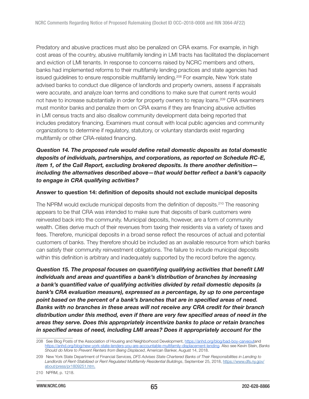Predatory and abusive practices must also be penalized on CRA exams. For example, in high cost areas of the country, abusive multifamily lending in LMI tracts has facilitated the displacement and eviction of LMI tenants. In response to concerns raised by NCRC members and others, banks had implemented reforms to their multifamily lending practices and state agencies had issued guidelines to ensure responsible multifamily lending.<sup>208</sup> For example, New York state advised banks to conduct due diligence of landlords and property owners, assess if appraisals were accurate, and analyze loan terms and conditions to make sure that current rents would not have to increase substantially in order for property owners to repay loans.<sup>209</sup> CRA examiners must monitor banks and penalize them on CRA exams if they are financing abusive activities in LMI census tracts and also disallow community development data being reported that includes predatory financing. Examiners must consult with local public agencies and community organizations to determine if regulatory, statutory, or voluntary standards exist regarding multifamily or other CRA-related financing.

# Question 14. The proposed rule would define retail domestic deposits as total domestic deposits of individuals, partnerships, and corporations, as reported on Schedule RC-E, item 1, of the Call Report, excluding brokered deposits. Is there another definition including the alternatives described above—that would better reflect a bank's capacity to engage in CRA qualifying activities?

#### Answer to question 14: definition of deposits should not exclude municipal deposits

The NPRM would exclude municipal deposits from the definition of deposits.<sup>210</sup> The reasoning appears to be that CRA was intended to make sure that deposits of bank customers were reinvested back into the community. Municipal deposits, however, are a form of community wealth. Cities derive much of their revenues from taxing their residents via a variety of taxes and fees. Therefore, municipal deposits in a broad sense reflect the resources of actual and potential customers of banks. They therefore should be included as an available resource from which banks can satisfy their community reinvestment obligations. The failure to include municipal deposits within this definition is arbitrary and inadequately supported by the record before the agency.

Question 15. The proposal focuses on quantifying qualifying activities that benefit LMI individuals and areas and quantifies a bank's distribution of branches by increasing a bank's quantified value of qualifying activities divided by retail domestic deposits (a bank's CRA evaluation measure), expressed as a percentage, by up to one percentage point based on the percent of a bank's branches that are in specified areas of need. Banks with no branches in these areas will not receive any CRA credit for their branch distribution under this method, even if there are very few specified areas of need in the areas they serve. Does this appropriately incentivize banks to place or retain branches in specified areas of need, including LMI areas? Does it appropriately account for the

<sup>208</sup> See Blog Posts of the Association of Housing and Neighborhood Development,<https://anhd.org/blog/bad-boy-carveout>and [https://anhd.org/blog/new-york-state-lenders-you-are-accountable-multifamily-displacement-lending.](https://anhd.org/blog/new-york-state-lenders-you-are-accountable-multifamily-displacement-lending) Also see Kevin Stein, Banks Should do More to Prevent Renters from Being Displaced, American Banker, August 14, 2018.

<sup>209</sup> New York State Department of Financial Services, DFS Advises State Chartered Banks of Their Responsibilities in Lending to Landlords of Rent-Stabilized or Rent Regulated Multifamily Residential Buildings, September 25, 2018, [https://www.dfs.ny.gov/](https://www.dfs.ny.gov/about/press/pr1809251.htm.) [about/press/pr1809251.htm.](https://www.dfs.ny.gov/about/press/pr1809251.htm.)

<sup>210</sup> NPRM, p. 1218.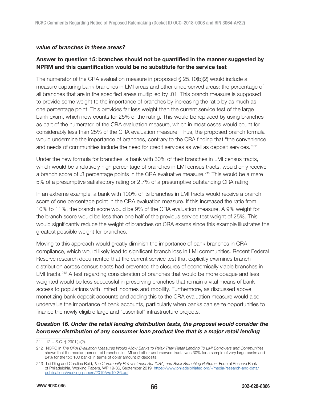#### value of branches in these areas?

## Answer to question 15: branches should not be quantified in the manner suggested by NPRM and this quantification would be no substitute for the service test

The numerator of the CRA evaluation measure in proposed  $\S$  25.10(b)(2) would include a measure capturing bank branches in LMI areas and other underserved areas: the percentage of all branches that are in the specified areas multiplied by .01. This branch measure is supposed to provide some weight to the importance of branches by increasing the ratio by as much as one percentage point. This provides far less weight than the current service test of the large bank exam, which now counts for 25% of the rating. This would be replaced by using branches as part of the numerator of the CRA evaluation measure, which in most cases would count for considerably less than 25% of the CRA evaluation measure. Thus, the proposed branch formula would undermine the importance of branches, contrary to the CRA finding that "the convenience and needs of communities include the need for credit services as well as deposit services."<sup>211</sup>

Under the new formula for branches, a bank with 30% of their branches in LMI census tracts, which would be a relatively high percentage of branches in LMI census tracts, would only receive a branch score of .3 percentage points in the CRA evaluative measure.<sup>212</sup> This would be a mere 5% of a presumptive satisfactory rating or 2.7% of a presumptive outstanding CRA rating.

In an extreme example, a bank with 100% of its branches in LMI tracts would receive a branch score of one percentage point in the CRA evaluation measure. If this increased the ratio from 10% to 11%, the branch score would be 9% of the CRA evaluation measure. A 9% weight for the branch score would be less than one half of the previous service test weight of 25%. This would significantly reduce the weight of branches on CRA exams since this example illustrates the greatest possible weight for branches.

Moving to this approach would greatly diminish the importance of bank branches in CRA compliance, which would likely lead to significant branch loss in LMI communities. Recent Federal Reserve research documented that the current service test that explicitly examines branch distribution across census tracts had prevented the closures of economically viable branches in LMI tracts.<sup>213</sup> A test regarding consideration of branches that would be more opaque and less weighted would be less successful in preserving branches that remain a vital means of bank access to populations with limited incomes and mobility. Furthermore, as discussed above, monetizing bank deposit accounts and adding this to the CRA evaluation measure would also undervalue the importance of bank accounts, particularly when banks can seize opportunities to finance the newly eligible large and "essential" infrastructure projects.

## Question 16. Under the retail lending distribution tests, the proposal would consider the borrower distribution of any consumer loan product line that is a major retail lending

<sup>211 12</sup> U.S.C. § 2901(a)(2).

<sup>212</sup> NCRC in The CRA Evaluation Measures Would Allow Banks to Relax Their Retail Lending To LMI Borrowers and Communities shows that the median percent of branches in LMI and other underserved tracts was 30% for a sample of very large banks and 24% for the top 100 banks in terms of dollar amount of deposits.

<sup>213</sup> Lei Ding and Carolina Reid, The Community Reinvestment Act (CRA) and Bank Branching Patterns, Federal Reserve Bank of Philadelphia, Working Papers, WP 19-36, September 2019, [https://www.philadelphiafed.org/-/media/research-and-data/](https://www.philadelphiafed.org/-/media/research-and-data/publications/working-papers/2019/wp19-36.pdf) [publications/working-papers/2019/wp19-36.pdf.](https://www.philadelphiafed.org/-/media/research-and-data/publications/working-papers/2019/wp19-36.pdf)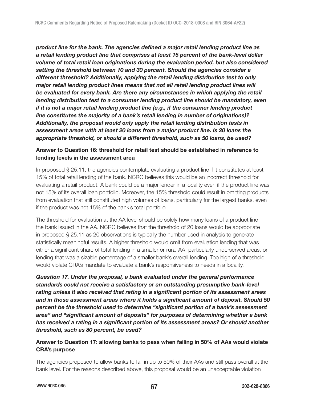product line for the bank. The agencies defined a major retail lending product line as a retail lending product line that comprises at least 15 percent of the bank-level dollar volume of total retail loan originations during the evaluation period, but also considered setting the threshold between 10 and 30 percent. Should the agencies consider a different threshold? Additionally, applying the retail lending distribution test to only major retail lending product lines means that not all retail lending product lines will be evaluated for every bank. Are there any circumstances in which applying the retail lending distribution test to a consumer lending product line should be mandatory, even if it is not a major retail lending product line (e.g., if the consumer lending product line constitutes the majority of a bank's retail lending in number of originations)? Additionally, the proposal would only apply the retail lending distribution tests in assessment areas with at least 20 loans from a major product line. Is 20 loans the appropriate threshold, or should a different threshold, such as 50 loans, be used?

## Answer to Question 16: threshold for retail test should be established in reference to lending levels in the assessment area

In proposed § 25.11, the agencies contemplate evaluating a product line if it constitutes at least 15% of total retail lending of the bank. NCRC believes this would be an incorrect threshold for evaluating a retail product. A bank could be a major lender in a locality even if the product line was not 15% of its overall loan portfolio. Moreover, the 15% threshold could result in omitting products from evaluation that still constituted high volumes of loans, particularly for the largest banks, even if the product was not 15% of the bank's total portfolio

The threshold for evaluation at the AA level should be solely how many loans of a product line the bank issued in the AA. NCRC believes that the threshold of 20 loans would be appropriate in proposed § 25.11 as 20 observations is typically the number used in analysis to generate statistically meaningful results. A higher threshold would omit from evaluation lending that was either a significant share of total lending in a smaller or rural AA, particularly underserved areas, or lending that was a sizable percentage of a smaller bank's overall lending. Too high of a threshold would violate CRA's mandate to evaluate a bank's responsiveness to needs in a locality.

Question 17. Under the proposal, a bank evaluated under the general performance standards could not receive a satisfactory or an outstanding presumptive bank-level rating unless it also received that rating in a significant portion of its assessment areas and in those assessment areas where it holds a significant amount of deposit. Should 50 percent be the threshold used to determine "significant portion of a bank's assessment area" and "significant amount of deposits" for purposes of determining whether a bank has received a rating in a significant portion of its assessment areas? Or should another threshold, such as 80 percent, be used?

# Answer to Question 17: allowing banks to pass when failing in 50% of AAs would violate CRA's purpose

The agencies proposed to allow banks to fail in up to 50% of their AAs and still pass overall at the bank level. For the reasons described above, this proposal would be an unacceptable violation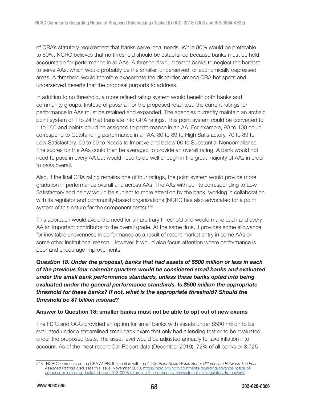of CRA's statutory requirement that banks serve local needs. While 80% would be preferable to 50%, NCRC believes that no threshold should be established because banks must be held accountable for performance in all AAs. A threshold would tempt banks to neglect the hardest to serve AAs, which would probably be the smaller, underserved, or economically depressed areas. A threshold would therefore exacerbate the disparities among CRA hot spots and underserved deserts that the proposal purports to address.

In addition to no threshold, a more refined rating system would benefit both banks and community groups. Instead of pass/fail for the proposed retail test, the current ratings for performance in AAs must be retained and expanded. The agencies currently maintain an archaic point system of 1 to 24 that translate into CRA ratings. This point system could be converted to 1 to 100 and points could be assigned to performance in an AA. For example, 90 to 100 could correspond to Outstanding performance in an AA, 80 to 89 to High Satisfactory, 70 to 89 to Low Satisfactory, 60 to 69 to Needs to Improve and below 60 to Substantial Noncompliance. The scores for the AAs could then be averaged to provide an overall rating. A bank would not need to pass in every AA but would need to do well enough in the great majority of AAs in order to pass overall.

Also, if the final CRA rating remains one of four ratings, the point system would provide more gradation in performance overall and across AAs. The AAs with points corresponding to Low Satisfactory and below would be subject to more attention by the bank, working in collaboration with its regulator and community-based organizations (NCRC has also advocated for a point system of this nature for the component tests).<sup>214</sup>

This approach would avoid the need for an arbitrary threshold and would make each and every AA an important contributor to the overall grade. At the same time, it provides some allowance for inevitable unevenness in performance as a result of recent market entry in some AAs or some other institutional reason. However, it would also focus attention where performance is poor and encourage improvements.

Question 18. Under the proposal, banks that had assets of \$500 million or less in each of the previous four calendar quarters would be considered small banks and evaluated under the small bank performance standards, unless these banks opted into being evaluated under the general performance standards. Is \$500 million the appropriate threshold for these banks? If not, what is the appropriate threshold? Should the threshold be \$1 billion instead?

#### Answer to Question 18: smaller banks must not be able to opt out of new exams

The FDIC and OCC provided an option for small banks with assets under \$500 million to be evaluated under a streamlined small bank exam that only had a lending test or to be evaluated under the proposed tests. The asset level would be adjusted annually to take inflation into account. As of the most recent Call Report data (December 2019), 72% of all banks or 3,725

<sup>214</sup> NCRC comments on the CRA ANPR, the section with the A 100 Point Scale Would Better Differentiate Between The Four Assigned Ratings discusses this issue, November 2018, [https://ncrc.org/ncrc-comments-regarding-advance-notice-of](https://ncrc.org/ncrc-comments-regarding-advance-notice-of-proposed-rulemaking-docket-id-occ-2018-0008-reforming-the-community-reinvestment-act-regulatory-framework/)[proposed-rulemaking-docket-id-occ-2018-0008-reforming-the-community-reinvestment-act-regulatory-framework/](https://ncrc.org/ncrc-comments-regarding-advance-notice-of-proposed-rulemaking-docket-id-occ-2018-0008-reforming-the-community-reinvestment-act-regulatory-framework/).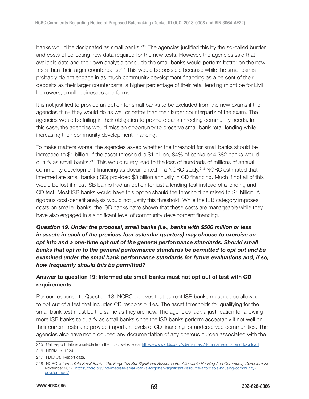banks would be designated as small banks.<sup>215</sup> The agencies justified this by the so-called burden and costs of collecting new data required for the new tests. However, the agencies said that available data and their own analysis conclude the small banks would perform better on the new tests than their larger counterparts.<sup>216</sup> This would be possible because while the small banks probably do not engage in as much community development financing as a percent of their deposits as their larger counterparts, a higher percentage of their retail lending might be for LMI borrowers, small businesses and farms.

It is not justified to provide an option for small banks to be excluded from the new exams if the agencies think they would do as well or better than their larger counterparts of the exam. The agencies would be failing in their obligation to promote banks meeting community needs. In this case, the agencies would miss an opportunity to preserve small bank retail lending while increasing their community development financing.

To make matters worse, the agencies asked whether the threshold for small banks should be increased to \$1 billion. If the asset threshold is \$1 billion, 84% of banks or 4,382 banks would qualify as small banks.<sup>217</sup> This would surely lead to the loss of hundreds of millions of annual community development financing as documented in a NCRC study.<sup>218</sup> NCRC estimated that intermediate small banks (ISB) provided \$3 billion annually in CD financing. Much if not all of this would be lost if most ISB banks had an option for just a lending test instead of a lending and CD test. Most ISB banks would have this option should the threshold be raised to \$1 billion. A rigorous cost-benefit analysis would not justify this threshold. While the ISB category imposes costs on smaller banks, the ISB banks have shown that these costs are manageable while they have also engaged in a significant level of community development financing.

Question 19. Under the proposal, small banks (i.e., banks with \$500 million or less in assets in each of the previous four calendar quarters) may choose to exercise an opt into and a one-time opt out of the general performance standards. Should small banks that opt in to the general performance standards be permitted to opt out and be examined under the small bank performance standards for future evaluations and, if so, how frequently should this be permitted?

## Answer to question 19: Intermediate small banks must not opt out of test with CD requirements

Per our response to Question 18, NCRC believes that current ISB banks must not be allowed to opt out of a test that includes CD responsibilities. The asset thresholds for qualifying for the small bank test must be the same as they are now. The agencies lack a justification for allowing more ISB banks to qualify as small banks since the ISB banks perform acceptably if not well on their current tests and provide important levels of CD financing for underserved communities. The agencies also have not produced any documentation of any onerous burden associated with the

<sup>215</sup> Call Report data is available from the FDIC website via: [https://www7.fdic.gov/sdi/main.asp?formname=customddownload.](https://www7.fdic.gov/sdi/main.asp?formname=customddownload) 216 NPRM, p. 1224.

<sup>217</sup> FDIC Call Report data.

<sup>218</sup> NCRC, Intermediate Small Banks: The Forgotten But Significant Resource For Affordable Housing And Community Development, November 2017, [https://ncrc.org/intermediate-small-banks-forgotten-significant-resource-affordable-housing-community](https://ncrc.org/intermediate-small-banks-forgotten-significant-resource-affordable-housing-community-development/)[development/](https://ncrc.org/intermediate-small-banks-forgotten-significant-resource-affordable-housing-community-development/)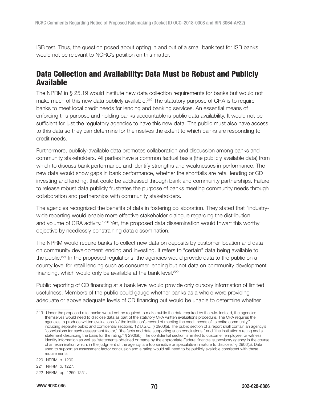ISB test. Thus, the question posed about opting in and out of a small bank test for ISB banks would not be relevant to NCRC's position on this matter.

# Data Collection and Availability: Data Must be Robust and Publicly Available

The NPRM in § 25.19 would institute new data collection requirements for banks but would not make much of this new data publicly available.<sup>219</sup> The statutory purpose of CRA is to require banks to meet local credit needs for lending and banking services. An essential means of enforcing this purpose and holding banks accountable is public data availability. It would not be sufficient for just the regulatory agencies to have this new data. The public must also have access to this data so they can determine for themselves the extent to which banks are responding to credit needs.

Furthermore, publicly-available data promotes collaboration and discussion among banks and community stakeholders. All parties have a common factual basis (the publicly available data) from which to discuss bank performance and identify strengths and weaknesses in performance. The new data would show gaps in bank performance, whether the shortfalls are retail lending or CD investing and lending, that could be addressed through bank and community partnerships. Failure to release robust data publicly frustrates the purpose of banks meeting community needs through collaboration and partnerships with community stakeholders.

The agencies recognized the benefits of data in fostering collaboration. They stated that "industrywide reporting would enable more effective stakeholder dialogue regarding the distribution and volume of CRA activity."<sup>220</sup> Yet, the proposed data dissemination would thwart this worthy objective by needlessly constraining data dissemination.

The NPRM would require banks to collect new data on deposits by customer location and data on community development lending and investing. It refers to "certain" data being available to the public.<sup>221</sup> In the proposed regulations, the agencies would provide data to the public on a county level for retail lending such as consumer lending but not data on community development financing, which would only be available at the bank level.<sup>222</sup>

Public reporting of CD financing at a bank level would provide only cursory information of limited usefulness. Members of the public could gauge whether banks as a whole were providing adequate or above adequate levels of CD financing but would be unable to determine whether

<sup>219</sup> Under the proposed rule, banks would not be required to make public the data required by the rule. Instead, the agencies themselves would need to disclose data as part of the statutory CRA written evaluations procedure. The CRA requires the agencies to produce written evaluations "of the institution's record of meeting the credit needs of its entire community," including separate public and confidential sections. 12 U.S.C. § 2906(a). The public section of a report shall contain an agency's "conclusions for each assessment factor," "the facts and data supporting such conclusions," and "the institution's rating and a statement describing the basis for the rating," § 2906(b). The confidential section is limited to customer, employee, or witness identity information as well as "statements obtained or made by the appropriate Federal financial supervisory agency in the course of an examination which, in the judgment of the agency, are too sensitive or speculative in nature to disclose," § 2906(c). Data used to support an assessment factor conclusion and a rating would still need to be publicly available consistent with these requirements.

<sup>220</sup> NPRM, p. 1209.

<sup>221</sup> NPRM, p. 1227.

<sup>222</sup> NPRM, pp. 1250-1251.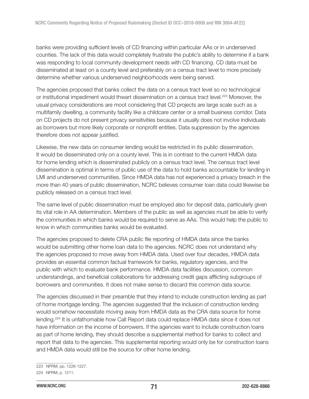banks were providing sufficient levels of CD financing within particular AAs or in underserved counties. The lack of this data would completely frustrate the public's ability to determine if a bank was responding to local community development needs with CD financing. CD data must be disseminated at least on a county level and preferably on a census tract level to more precisely determine whether various underserved neighborhoods were being served.

The agencies proposed that banks collect the data on a census tract level so no technological or institutional impediment would thwart dissemination on a census tract level.<sup>223</sup> Moreover, the usual privacy considerations are moot considering that CD projects are large scale such as a multifamily dwelling, a community facility like a childcare center or a small business corridor. Data on CD projects do not present privacy sensitivities because it usually does not involve individuals as borrowers but more likely corporate or nonprofit entities. Data suppression by the agencies therefore does not appear justified.

Likewise, the new data on consumer lending would be restricted in its public dissemination. It would be disseminated only on a county level. This is in contrast to the current HMDA data for home lending which is disseminated publicly on a census tract level. The census tract level dissemination is optimal in terms of public use of the data to hold banks accountable for lending in LMI and underserved communities. Since HMDA data has not experienced a privacy breach in the more than 40 years of public dissemination, NCRC believes consumer loan data could likewise be publicly released on a census tract level.

The same level of public dissemination must be employed also for deposit data, particularly given its vital role in AA determination. Members of the public as well as agencies must be able to verify the communities in which banks would be required to serve as AAs. This would help the public to know in which communities banks would be evaluated.

The agencies proposed to delete CRA public file reporting of HMDA data since the banks would be submitting other home loan data to the agencies. NCRC does not understand why the agencies proposed to move away from HMDA data. Used over four decades, HMDA data provides an essential common factual framework for banks, regulatory agencies, and the public with which to evaluate bank performance. HMDA data facilities discussion, common understandings, and beneficial collaborations for addressing credit gaps afflicting subgroups of borrowers and communities. It does not make sense to discard this common data source.

The agencies discussed in their preamble that they intend to include construction lending as part of home mortgage lending. The agencies suggested that the inclusion of construction lending would somehow necessitate moving away from HMDA data as the CRA data source for home lending.<sup>224</sup> It is unfathomable how Call Report data could replace HMDA data since it does not have information on the income of borrowers. If the agencies want to include construction loans as part of home lending, they should describe a supplemental method for banks to collect and report that data to the agencies. This supplemental reporting would only be for construction loans and HMDA data would still be the source for other home lending.

<sup>223</sup> NPRM, pp. 1226-1227.

<sup>224</sup> NPRM, p. 1211.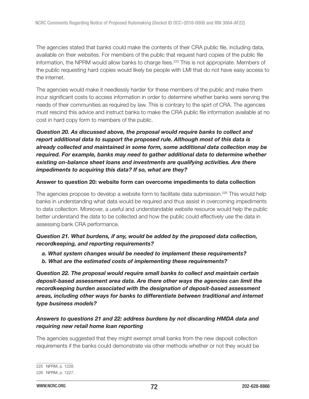The agencies stated that banks could make the contents of their CRA public file, including data, available on their websites. For members of the public that request hard copies of the public file information, the NPRM would allow banks to charge fees.<sup>225</sup> This is not appropriate. Members of the public requesting hard copies would likely be people with LMI that do not have easy access to the internet.

The agencies would make it needlessly harder for these members of the public and make them incur significant costs to access information in order to determine whether banks were serving the needs of their communities as required by law. This is contrary to the spirt of CRA. The agencies must rescind this advice and instruct banks to make the CRA public file information available at no cost in hard copy form to members of the public.

Question 20. As discussed above, the proposal would require banks to collect and report additional data to support the proposed rule. Although most of this data is already collected and maintained in some form, some additional data collection may be required. For example, banks may need to gather additional data to determine whether existing on-balance sheet loans and investments are qualifying activities. Are there impediments to acquiring this data? If so, what are they?

### Answer to question 20: website form can overcome impediments to data collection

The agencies propose to develop a website form to facilitate data submission.<sup>226</sup> This would help banks in understanding what data would be required and thus assist in overcoming impediments to data collection. Moreover, a useful and understandable website resource would help the public better understand the data to be collected and how the public could effectively use the data in assessing bank CRA performance.

# Question 21. What burdens, if any, would be added by the proposed data collection, recordkeeping, and reporting requirements?

- a. What system changes would be needed to implement these requirements?
- b. What are the estimated costs of implementing these requirements?

Question 22. The proposal would require small banks to collect and maintain certain deposit-based assessment area data. Are there other ways the agencies can limit the recordkeeping burden associated with the designation of deposit-based assessment areas, including other ways for banks to differentiate between traditional and internet type business models?

# Answers to questions 21 and 22: address burdens by not discarding HMDA data and requiring new retail home loan reporting

The agencies suggested that they might exempt small banks from the new deposit collection requirements if the banks could demonstrate via other methods whether or not they would be

<sup>225</sup> NPRM, p. 1228.

<sup>226</sup> NPRM, p. 1227.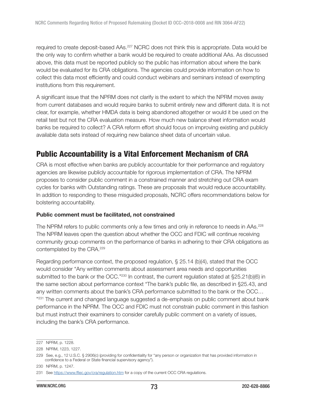required to create deposit-based AAs.<sup>227</sup> NCRC does not think this is appropriate. Data would be the only way to confirm whether a bank would be required to create additional AAs. As discussed above, this data must be reported publicly so the public has information about where the bank would be evaluated for its CRA obligations. The agencies could provide information on how to collect this data most efficiently and could conduct webinars and seminars instead of exempting institutions from this requirement.

A significant issue that the NPRM does not clarify is the extent to which the NPRM moves away from current databases and would require banks to submit entirely new and different data. It is not clear, for example, whether HMDA data is being abandoned altogether or would it be used on the retail test but not the CRA evaluation measure. How much new balance sheet information would banks be required to collect? A CRA reform effort should focus on improving existing and publicly available data sets instead of requiring new balance sheet data of uncertain value.

# Public Accountability is a Vital Enforcement Mechanism of CRA

CRA is most effective when banks are publicly accountable for their performance and regulatory agencies are likewise publicly accountable for rigorous implementation of CRA. The NPRM proposes to consider public comment in a constrained manner and stretching out CRA exam cycles for banks with Outstanding ratings. These are proposals that would reduce accountability. In addition to responding to these misguided proposals, NCRC offers recommendations below for bolstering accountability.

#### Public comment must be facilitated, not constrained

The NPRM refers to public comments only a few times and only in reference to needs in AAs.<sup>228</sup> The NPRM leaves open the question about whether the OCC and FDIC will continue receiving community group comments on the performance of banks in adhering to their CRA obligations as contemplated by the CRA.<sup>229</sup>

Regarding performance context, the proposed regulation, § 25.14 (b)(4), stated that the OCC would consider "Any written comments about assessment area needs and opportunities submitted to the bank or the OCC."230 In contrast, the current regulation stated at §25.21(b)(6) in the same section about performance context "The bank's public file, as described in §25.43, and any written comments about the bank's CRA performance submitted to the bank or the OCC… " <sup>231</sup> The current and changed language suggested a de-emphasis on public comment about bank performance in the NPRM. The OCC and FDIC must not constrain public comment in this fashion but must instruct their examiners to consider carefully public comment on a variety of issues, including the bank's CRA performance.

<sup>227</sup> NPRM, p. 1228.

<sup>228</sup> NPRM, 1223, 1227.

<sup>229</sup> See, e.g., 12 U.S.C. § 2906(c) (providing for confidentiality for "any person or organization that has provided information in confidence to a Federal or State financial supervisory agency").

<sup>230</sup> NPRM, p. 1247.

<sup>231</sup> See <https://www.ffiec.gov/cra/regulation.htm> for a copy of the current OCC CRA regulations.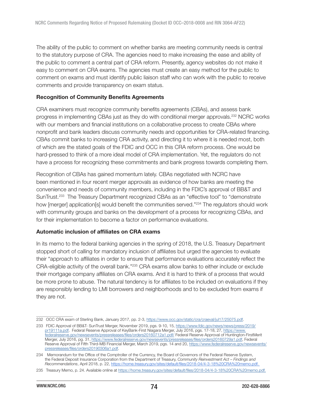The ability of the public to comment on whether banks are meeting community needs is central to the statutory purpose of CRA. The agencies need to make increasing the ease and ability of the public to comment a central part of CRA reform. Presently, agency websites do not make it easy to comment on CRA exams. The agencies must create an easy method for the public to comment on exams and must identify public liaison staff who can work with the public to receive comments and provide transparency on exam status.

#### Recognition of Community Benefits Agreements

CRA examiners must recognize community benefits agreements (CBAs), and assess bank progress in implementing CBAs just as they do with conditional merger approvals.<sup>232</sup> NCRC works with our members and financial institutions on a collaborative process to create CBAs where nonprofit and bank leaders discuss community needs and opportunities for CRA-related financing. CBAs commit banks to increasing CRA activity, and directing it to where it is needed most, both of which are the stated goals of the FDIC and OCC in this CRA reform process. One would be hard-pressed to think of a more ideal model of CRA implementation. Yet, the regulators do not have a process for recognizing these commitments and bank progress towards completing them.

Recognition of CBAs has gained momentum lately. CBAs negotiated with NCRC have been mentioned in four recent merger approvals as evidence of how banks are meeting the convenience and needs of community members, including in the FDIC's approval of BB&T and SunTrust.<sup>233</sup> The Treasury Department recognized CBAs as an "effective tool" to "demonstrate how [merger] application[s] would benefit the communities served."<sup>234</sup> The regulators should work with community groups and banks on the development of a process for recognizing CBAs, and for their implementation to become a factor on performance evaluations.

#### Automatic inclusion of affiliates on CRA exams

In its memo to the federal banking agencies in the spring of 2018, the U.S. Treasury Department stopped short of calling for mandatory inclusion of affiliates but urged the agencies to evaluate their "approach to affiliates in order to ensure that performance evaluations accurately reflect the CRA-eligible activity of the overall bank."<sup>235</sup> CRA exams allow banks to either include or exclude their mortgage company affiliates on CRA exams. And it is hard to think of a process that would be more prone to abuse. The natural tendency is for affiliates to be included on evaluations if they are responsibly lending to LMI borrowers and neighborhoods and to be excluded from exams if they are not.

<sup>232</sup> OCC CRA exam of Sterling Bank, January 2017, pp. 2-3,<https://www.occ.gov/static/cra/craeval/jul17/25075.pdf>.

<sup>233</sup> FDIC Approval of BB&T- SunTrust Merger, November 2019, pgs. 9-10, 15, [https://www.fdic.gov/news/news/press/2019/](https://www.fdic.gov/news/news/press/2019/pr19111a.pdf) [pr19111a.pdf.](https://www.fdic.gov/news/news/press/2019/pr19111a.pdf) Federal Reserve Approval of KeyBank-First Niagara Merger, July 2016, pgs. 17-18, 27, [https://www.](https://www.federalreserve.gov/newsevents/pressreleases/files/orders20160712a1.pdf/) [federalreserve.gov/newsevents/pressreleases/files/orders20160712a1.pdf/](https://www.federalreserve.gov/newsevents/pressreleases/files/orders20160712a1.pdf/) Federal Reserve Approval of Huntington-FirstMerit Merger, July 2016, pg. 31, [https://www.federalreserve.gov/newsevents/pressreleases/files/orders20160729a1.pdf,](https://www.federalreserve.gov/newsevents/pressreleases/files/orders20160729a1.pdf) Federal Reserve Approval of Fifth Third-MB Financial Merger, March 2019, pgs. 14 and 20, [https://www.federalreserve.gov/newsevents/](https://www.federalreserve.gov/newsevents/pressreleases/files/orders20190306a1.pdf) [pressreleases/files/orders20190306a1.pdf.](https://www.federalreserve.gov/newsevents/pressreleases/files/orders20190306a1.pdf)

<sup>234</sup> Memorandum for the Office of the Comptroller of the Currency, the Board of Governors of the Federal Reserve System, the Federal Deposit Insurance Corporation from the Department of Treasury, Community Reinvestment Act – Findings and Recommendations, April 2018, p. 22, [https://home.treasury.gov/sites/default/files/2018-04/4-3-18%20CRA%20memo.pdf.](https://home.treasury.gov/sites/default/files/2018-04/4-3-18%20CRA%20memo.pdf)

<sup>235</sup> Treasury Memo, p. 24. Available online at [https://home.treasury.gov/sites/default/files/2018-04/4-3-18%20CRA%20memo.pdf.](https://home.treasury.gov/sites/default/files/2018-04/4-3-18%20CRA%20memo.pdf)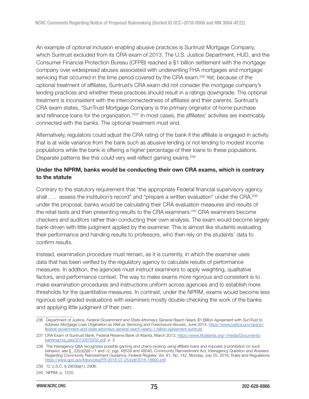An example of optional inclusion enabling abusive practices is Suntrust Mortgage Company, which Suntrust excluded from its CRA exam of 2013. The U.S. Justice Department, HUD, and the Consumer Financial Protection Bureau (CFPB) reached a \$1 billion settlement with the mortgage company over widespread abuses associated with underwriting FHA mortgages and mortgage servicing that occurred in the time period covered by the CRA exam.<sup>236</sup> Yet, because of the optional treatment of affiliates, Suntrust's CRA exam did not consider the mortgage company's lending practices and whether these practices should result in a ratings downgrade. The optional treatment is inconsistent with the interconnectedness of affiliates and their parents. Suntrust's CRA exam states, "SunTrust Mortgage Company is the primary originator of home purchase and refinance loans for the organization."<sup>237</sup> In most cases, the affiliates' activities are inextricably connected with the banks. The optional treatment must end.

Alternatively, regulators could adjust the CRA rating of the bank if the affiliate is engaged in activity that is at wide variance from the bank such as abusive lending or not lending to modest income populations while the bank is offering a higher percentage of their loans to these populations. Disparate patterns like this could very well reflect gaming exams.<sup>238</sup>

## Under the NPRM, banks would be conducting their own CRA exams, which is contrary to the statute

Contrary to the statutory requirement that "the appropriate Federal financial supervisory agency shall . . . assess the institution's record" and "prepare a written evaluation" under the CRA,<sup>239</sup> under the proposal, banks would be calculating their CRA evaluation measures and results of the retail tests and then presenting results to the CRA examiners.<sup>240</sup> CRA examiners become checkers and auditors rather than conducting their own analysis. The exam would become largely bank-driven with little judgment applied by the examiner. This is almost like students evaluating their performance and handing results to professors, who then rely on the students' data to confirm results.

Instead, examination procedure must remain, as it is currently, in which the examiner uses data that has been verified by the regulatory agency to calculate results of performance measures. In addition, the agencies must instruct examiners to apply weighting, qualitative factors, and performance context. The way to make exams more rigorous and consistent is to make examination procedures and instructions uniform across agencies and to establish more thresholds for the quantitative measures. In contrast, under the NPRM, exams would become less rigorous self-graded evaluations with examiners mostly double-checking the work of the banks and applying little judgment of their own.

<sup>236</sup> Department of Justice, Federal Government and State Attorneys General Reach Nearly \$1 Billion Agreement with SunTrust to Address Mortgage Loan Origination as Well as Servicing and Foreclosure Abuses, June 2014, [https://www.justice.gov/opa/pr/](https://www.justice.gov/opa/pr/federal-government-and-state-attorneys-general-reach-nearly-1-billion-agreement-suntrust) [federal-government-and-state-attorneys-general-reach-nearly-1-billion-agreement-suntrust.](https://www.justice.gov/opa/pr/federal-government-and-state-attorneys-general-reach-nearly-1-billion-agreement-suntrust)

<sup>237</sup> CRA Exam of Suntrust Bank, Federal Reserve Bank of Atlanta, March 2013, [https://www.frbatlanta.org/-/media/Documents/](https://www.frbatlanta.org/-/media/Documents/banking/cra_pes/2013/675332.pdf) [banking/cra\\_pes/2013/675332.pdf,](https://www.frbatlanta.org/-/media/Documents/banking/cra_pes/2013/675332.pdf) p. 2.

<sup>238</sup> The Interagency Q&A recognizes possible gaming and cherry-picking using affiliate loans and imposes a prohibition on such behavior, see §\_.22(c)(2)(ii)—1 and –2, pgs. 48539 and 48540, Community Reinvestment Act, Interagency Question and Answers Regarding Community Reinvestment Guidance, Federal Register, Vol. 81, No. 142, Monday, July 25, 2016, Rules and Regulations <https://www.gpo.gov/fdsys/pkg/FR-2016-07-25/pdf/2016-16693.pdf>.

<sup>239 12</sup> U.S.C. § 2903(a)(1), 2906.

<sup>240</sup> NPRM, p. 1220.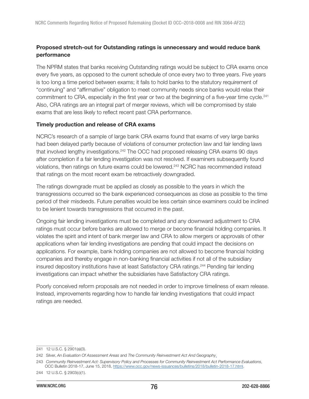# Proposed stretch-out for Outstanding ratings is unnecessary and would reduce bank performance

The NPRM states that banks receiving Outstanding ratings would be subject to CRA exams once every five years, as opposed to the current schedule of once every two to three years. Five years is too long a time period between exams; it fails to hold banks to the statutory requirement of "continuing" and "affirmative" obligation to meet community needs since banks would relax their commitment to CRA, especially in the first year or two at the beginning of a five-year time cycle.<sup>241</sup> Also, CRA ratings are an integral part of merger reviews, which will be compromised by stale exams that are less likely to reflect recent past CRA performance.

#### Timely production and release of CRA exams

NCRC's research of a sample of large bank CRA exams found that exams of very large banks had been delayed partly because of violations of consumer protection law and fair lending laws that involved lengthy investigations.<sup>242</sup> The OCC had proposed releasing CRA exams 90 days after completion if a fair lending investigation was not resolved. If examiners subsequently found violations, then ratings on future exams could be lowered.<sup>243</sup> NCRC has recommended instead that ratings on the most recent exam be retroactively downgraded.

The ratings downgrade must be applied as closely as possible to the years in which the transgressions occurred so the bank experienced consequences as close as possible to the time period of their misdeeds. Future penalties would be less certain since examiners could be inclined to be lenient towards transgressions that occurred in the past.

Ongoing fair lending investigations must be completed and any downward adjustment to CRA ratings must occur before banks are allowed to merge or become financial holding companies. It violates the spirit and intent of bank merger law and CRA to allow mergers or approvals of other applications when fair lending investigations are pending that could impact the decisions on applications. For example, bank holding companies are not allowed to become financial holding companies and thereby engage in non-banking financial activities if not all of the subsidiary insured depository institutions have at least Satisfactory CRA ratings.<sup>244</sup> Pending fair lending investigations can impact whether the subsidiaries have Satisfactory CRA ratings.

Poorly conceived reform proposals are not needed in order to improve timeliness of exam release. Instead, improvements regarding how to handle fair lending investigations that could impact ratings are needed.

<sup>241 12</sup> U.S.C. § 2901(a)(3).

<sup>242</sup> Silver, An Evaluation Of Assessment Areas and The Community Reinvestment Act And Geography.

<sup>243</sup> Community Reinvestment Act: Supervisory Policy and Processes for Community Reinvestment Act Performance Evaluations, OCC Bulletin 2018-17, June 15, 2018, [https://www.occ.gov/news-issuances/bulletins/2018/bulletin-2018-17.html.](https://www.occ.gov/news-issuances/bulletins/2018/bulletin-2018-17.html)

<sup>244 12</sup> U.S.C. § 2903(c)(1).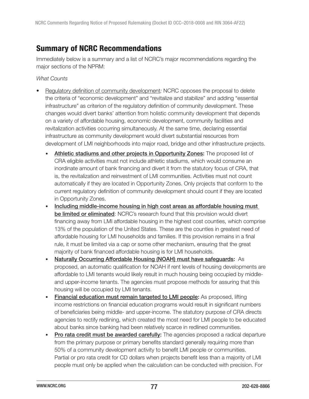# Summary of NCRC Recommendations

Immediately below is a summary and a list of NCRC's major recommendations regarding the major sections of the NPRM:

What Counts

- Regulatory definition of community development: NCRC opposes the proposal to delete the criteria of "economic development" and "revitalize and stabilize" and adding "essential infrastructure" as criterion of the regulatory definition of community development. These changes would divert banks' attention from holistic community development that depends on a variety of affordable housing, economic development, community facilities and revitalization activities occurring simultaneously. At the same time, declaring essential infrastructure as community development would divert substantial resources from development of LMI neighborhoods into major road, bridge and other infrastructure projects.
	- Athletic stadiums and other projects in Opportunity Zones: The proposed list of CRA eligible activities must not include athletic stadiums, which would consume an inordinate amount of bank financing and divert it from the statutory focus of CRA, that is, the revitalization and reinvestment of LMI communities. Activities must not count automatically if they are located in Opportunity Zones. Only projects that conform to the current regulatory definition of community development should count if they are located in Opportunity Zones.
	- Including middle-income housing in high cost areas as affordable housing must be limited or eliminated: NCRC's research found that this provision would divert financing away from LMI affordable housing in the highest cost counties, which comprise 13% of the population of the United States. These are the counties in greatest need of affordable housing for LMI households and families. If this provision remains in a final rule, it must be limited via a cap or some other mechanism, ensuring that the great majority of bank financed affordable housing is for LMI households.
	- Naturally Occurring Affordable Housing (NOAH) must have safeguards: As proposed, an automatic qualification for NOAH if rent levels of housing developments are affordable to LMI tenants would likely result in much housing being occupied by middleand upper-income tenants. The agencies must propose methods for assuring that this housing will be occupied by LMI tenants.
	- Financial education must remain targeted to LMI people: As proposed, lifting income restrictions on financial education programs would result in significant numbers of beneficiaries being middle- and upper-income. The statutory purpose of CRA directs agencies to rectify redlining, which created the most need for LMI people to be educated about banks since banking had been relatively scarce in redlined communities.
	- **Pro rata credit must be awarded carefully:** The agencies proposed a radical departure from the primary purpose or primary benefits standard generally requiring more than 50% of a community development activity to benefit LMI people or communities. Partial or pro rata credit for CD dollars when projects benefit less than a majority of LMI people must only be applied when the calculation can be conducted with precision. For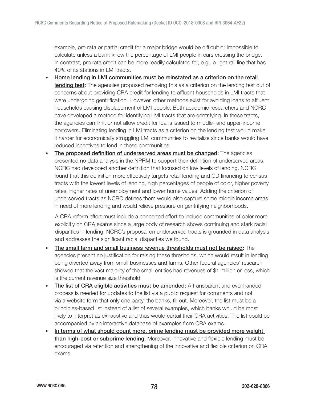example, pro rata or partial credit for a major bridge would be difficult or impossible to calculate unless a bank knew the percentage of LMI people in cars crossing the bridge. In contrast, pro rata credit can be more readily calculated for, e.g., a light rail line that has 40% of its stations in LMI tracts.

- Home lending in LMI communities must be reinstated as a criterion on the retail lending test: The agencies proposed removing this as a criterion on the lending test out of concerns about providing CRA credit for lending to affluent households in LMI tracts that were undergoing gentrification. However, other methods exist for avoiding loans to affluent households causing displacement of LMI people. Both academic researchers and NCRC have developed a method for identifying LMI tracts that are gentrifying. In these tracts, the agencies can limit or not allow credit for loans issued to middle- and upper-income borrowers. Eliminating lending in LMI tracts as a criterion on the lending test would make it harder for economically struggling LMI communities to revitalize since banks would have reduced incentives to lend in these communities.
- The proposed definition of underserved areas must be changed: The agencies presented no data analysis in the NPRM to support their definition of underserved areas. NCRC had developed another definition that focused on low levels of lending. NCRC found that this definition more effectively targets retail lending and CD financing to census tracts with the lowest levels of lending, high percentages of people of color, higher poverty rates, higher rates of unemployment and lower home values. Adding the criterion of underserved tracts as NCRC defines them would also capture some middle income areas in need of more lending and would relieve pressure on gentrifying neighborhoods.

A CRA reform effort must include a concerted effort to include communities of color more explicitly on CRA exams since a large body of research shows continuing and stark racial disparities in lending. NCRC's proposal on underserved tracts is grounded in data analysis and addresses the significant racial disparities we found.

- The small farm and small business revenue thresholds must not be raised: The agencies present no justification for raising these thresholds, which would result in lending being diverted away from small businesses and farms. Other federal agencies' research showed that the vast majority of the small entities had revenues of \$1 million or less, which is the current revenue size threshold.
- The list of CRA eligible activities must be amended: A transparent and evenhanded process is needed for updates to the list via a public request for comments and not via a website form that only one party, the banks, fill out. Moreover, the list must be a principles-based list instead of a list of several examples, which banks would be most likely to interpret as exhaustive and thus would curtail their CRA activities. The list could be accompanied by an interactive database of examples from CRA exams.
- In terms of what should count more, prime lending must be provided more weight than high-cost or subprime lending. Moreover, innovative and flexible lending must be encouraged via retention and strengthening of the innovative and flexible criterion on CRA exams.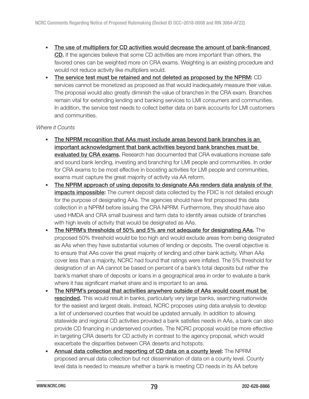- The use of multipliers for CD activities would decrease the amount of bank-financed CD. If the agencies believe that some CD activities are more important than others, the favored ones can be weighted more on CRA exams. Weighting is an existing procedure and would not reduce activity like multipliers would.
- The service test must be retained and not deleted as proposed by the NPRM: CD services cannot be monetized as proposed as that would inadequately measure their value. The proposal would also greatly diminish the value of branches in the CRA exam. Branches remain vital for extending lending and banking services to LMI consumers and communities. In addition, the service test needs to collect better data on bank accounts for LMI customers and communities.

### Where it Counts

- The NPRM recognition that AAs must include areas beyond bank branches is an important acknowledgment that bank activities beyond bank branches must be evaluated by CRA exams. Research has documented that CRA evaluations increase safe and sound bank lending, investing and branching for LMI people and communities. In order for CRA exams to be most effective in boosting activities for LMI people and communities, exams must capture the great majority of activity via AA reform.
- The NPRM approach of using deposits to designate AAs renders data analysis of the impacts impossible: The current deposit data collected by the FDIC is not detailed enough for the purpose of designating AAs. The agencies should have first proposed this data collection in a NPRM before issuing the CRA NPRM. Furthermore, they should have also used HMDA and CRA small business and farm data to identify areas outside of branches with high levels of activity that would be designated as AAs.
- The NPRM's thresholds of 50% and 5% are not adequate for designating AAs. The proposed 50% threshold would be too high and would exclude areas from being designated as AAs when they have substantial volumes of lending or deposits. The overall objective is to ensure that AAs cover the great majority of lending and other bank activity. When AAs cover less than a majority, NCRC had found that ratings were inflated. The 5% threshold for designation of an AA cannot be based on percent of a bank's total deposits but rather the bank's market share of deposits or loans in a geographical area in order to evaluate a bank where it has significant market share and is important to an area.
- The NRPM's proposal that activities anywhere outside of AAs would count must be rescinded. This would result in banks, particularly very large banks, searching nationwide for the easiest and largest deals. Instead, NCRC proposes using data analysis to develop a list of underserved counties that would be updated annually. In addition to allowing statewide and regional CD activities provided a bank satisfies needs in AAs, a bank can also provide CD financing in underserved counties. The NCRC proposal would be more effective in targeting CRA deserts for CD activity in contrast to the agency proposal, which would exacerbate the disparities between CRA deserts and hotspots.
- Annual data collection and reporting of CD data on a county level: The NPRM proposed annual data collection but not dissemination of data on a county level. County level data is needed to measure whether a bank is meeting CD needs in its AA before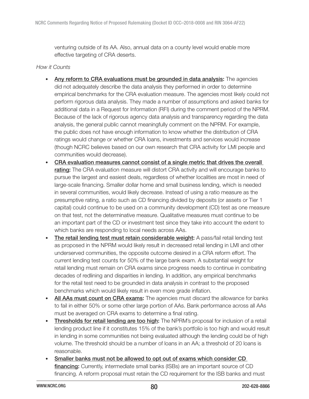venturing outside of its AA. Also, annual data on a county level would enable more effective targeting of CRA deserts.

### How it Counts

- Any reform to CRA evaluations must be grounded in data analysis: The agencies did not adequately describe the data analysis they performed in order to determine empirical benchmarks for the CRA evaluation measure. The agencies most likely could not perform rigorous data analysis. They made a number of assumptions and asked banks for additional data in a Request for Information (RFI) during the comment period of the NPRM. Because of the lack of rigorous agency data analysis and transparency regarding the data analysis, the general public cannot meaningfully comment on the NPRM. For example, the public does not have enough information to know whether the distribution of CRA ratings would change or whether CRA loans, investments and services would increase (though NCRC believes based on our own research that CRA activity for LMI people and communities would decrease).
- CRA evaluation measures cannot consist of a single metric that drives the overall rating: The CRA evaluation measure will distort CRA activity and will encourage banks to pursue the largest and easiest deals, regardless of whether localities are most in need of large-scale financing. Smaller dollar home and small business lending, which is needed in several communities, would likely decrease. Instead of using a ratio measure as the presumptive rating, a ratio such as CD financing divided by deposits (or assets or Tier 1 capital) could continue to be used on a community development (CD) test as one measure on that test, not the determinative measure. Qualitative measures must continue to be an important part of the CD or investment test since they take into account the extent to which banks are responding to local needs across AAs.
- The retail lending test must retain considerable weight: A pass/fail retail lending test as proposed in the NPRM would likely result in decreased retail lending in LMI and other underserved communities, the opposite outcome desired in a CRA reform effort. The current lending test counts for 50% of the large bank exam. A substantial weight for retail lending must remain on CRA exams since progress needs to continue in combating decades of redlining and disparities in lending. In addition, any empirical benchmarks for the retail test need to be grounded in data analysis in contrast to the proposed benchmarks which would likely result in even more grade inflation.
- All AAs must count on CRA exams: The agencies must discard the allowance for banks to fail in either 50% or some other large portion of AAs. Bank performance across all AAs must be averaged on CRA exams to determine a final rating.
- Thresholds for retail lending are too high: The NPRM's proposal for inclusion of a retail lending product line if it constitutes 15% of the bank's portfolio is too high and would result in lending in some communities not being evaluated although the lending could be of high volume. The threshold should be a number of loans in an AA; a threshold of 20 loans is reasonable.
- Smaller banks must not be allowed to opt out of exams which consider CD financing: Currently, intermediate small banks (ISBs) are an important source of CD financing. A reform proposal must retain the CD requirement for the ISB banks and must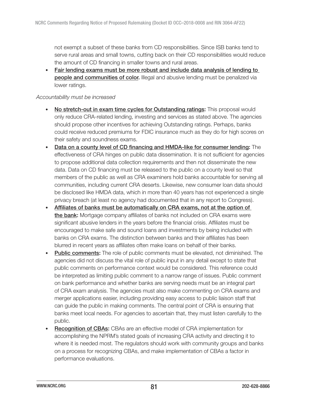not exempt a subset of these banks from CD responsibilities. Since ISB banks tend to serve rural areas and small towns, cutting back on their CD responsibilities would reduce the amount of CD financing in smaller towns and rural areas.

• Fair lending exams must be more robust and include data analysis of lending to people and communities of color. Illegal and abusive lending must be penalized via lower ratings.

### Accountability must be increased

- No stretch-out in exam time cycles for Outstanding ratings: This proposal would only reduce CRA-related lending, investing and services as stated above. The agencies should propose other incentives for achieving Outstanding ratings. Perhaps, banks could receive reduced premiums for FDIC insurance much as they do for high scores on their safety and soundness exams.
- Data on a county level of CD financing and HMDA-like for consumer lending: The effectiveness of CRA hinges on public data dissemination. It is not sufficient for agencies to propose additional data collection requirements and then not disseminate the new data. Data on CD financing must be released to the public on a county level so that members of the public as well as CRA examiners hold banks accountable for serving all communities, including current CRA deserts. Likewise, new consumer loan data should be disclosed like HMDA data, which in more than 40 years has not experienced a single privacy breach (at least no agency had documented that in any report to Congress).
- Affiliates of banks must be automatically on CRA exams, not at the option of the bank: Mortgage company affiliates of banks not included on CRA exams were significant abusive lenders in the years before the financial crisis. Affiliates must be encouraged to make safe and sound loans and investments by being included with banks on CRA exams. The distinction between banks and their affiliates has been blurred in recent years as affiliates often make loans on behalf of their banks.
- Public comments: The role of public comments must be elevated, not diminished. The agencies did not discuss the vital role of public input in any detail except to state that public comments on performance context would be considered. This reference could be interpreted as limiting public comment to a narrow range of issues. Public comment on bank performance and whether banks are serving needs must be an integral part of CRA exam analysis. The agencies must also make commenting on CRA exams and merger applications easier, including providing easy access to public liaison staff that can guide the public in making comments. The central point of CRA is ensuring that banks meet local needs. For agencies to ascertain that, they must listen carefully to the public.
- Recognition of CBAs: CBAs are an effective model of CRA implementation for accomplishing the NPRM's stated goals of increasing CRA activity and directing it to where it is needed most. The regulators should work with community groups and banks on a process for recognizing CBAs, and make implementation of CBAs a factor in performance evaluations.